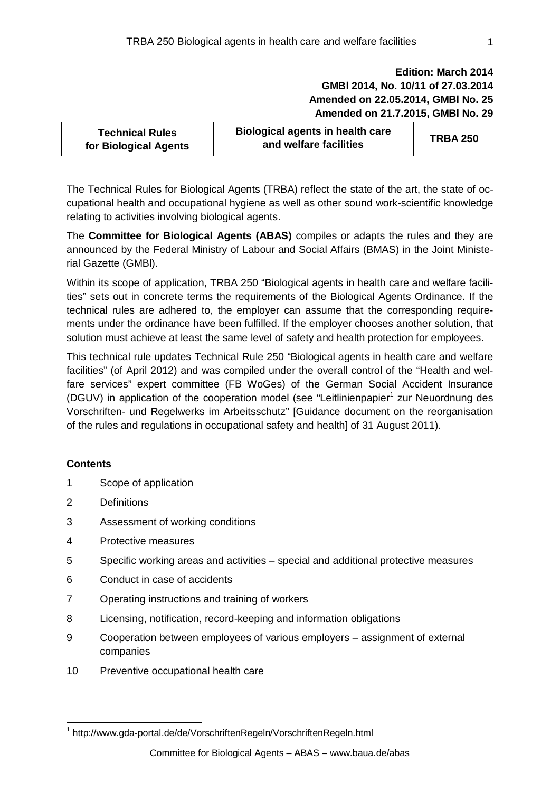# **Edition: March 2014 GMBl 2014, No. 10/11 of 27.03.2014 Amended on 22.05.2014, GMBl No. 25 Amended on 21.7.2015, GMBl No. 29**

| <b>Technical Rules</b><br>for Biological Agents | <b>Biological agents in health care</b><br>and welfare facilities | <b>TRBA 250</b> |
|-------------------------------------------------|-------------------------------------------------------------------|-----------------|
|-------------------------------------------------|-------------------------------------------------------------------|-----------------|

The Technical Rules for Biological Agents (TRBA) reflect the state of the art, the state of occupational health and occupational hygiene as well as other sound work-scientific knowledge relating to activities involving biological agents.

The **Committee for Biological Agents (ABAS)** compiles or adapts the rules and they are announced by the Federal Ministry of Labour and Social Affairs (BMAS) in the Joint Ministerial Gazette (GMBl).

Within its scope of application, TRBA 250 "Biological agents in health care and welfare facilities" sets out in concrete terms the requirements of the Biological Agents Ordinance. If the technical rules are adhered to, the employer can assume that the corresponding requirements under the ordinance have been fulfilled. If the employer chooses another solution, that solution must achieve at least the same level of safety and health protection for employees.

This technical rule updates Technical Rule 250 "Biological agents in health care and welfare facilities" (of April 2012) and was compiled under the overall control of the "Health and welfare services" expert committee (FB WoGes) of the German Social Accident Insurance (DGUV) in application of the cooperation model (see "Leitlinienpapier<sup>[1](#page-0-0)</sup> zur Neuordnung des Vorschriften- und Regelwerks im Arbeitsschutz" [Guidance document on the reorganisation of the rules and regulations in occupational safety and health] of 31 August 2011).

# **Contents**

- 1 Scope of application
- 2 Definitions
- 3 Assessment of working conditions
- 4 Protective measures
- 5 Specific working areas and activities special and additional protective measures
- 6 Conduct in case of accidents
- 7 Operating instructions and training of workers
- 8 Licensing, notification, record-keeping and information obligations
- 9 Cooperation between employees of various employers assignment of external companies
- 10 Preventive occupational health care

<span id="page-0-0"></span><sup>1</sup> http://www.gda-portal.de/de/VorschriftenRegeln/VorschriftenRegeln.html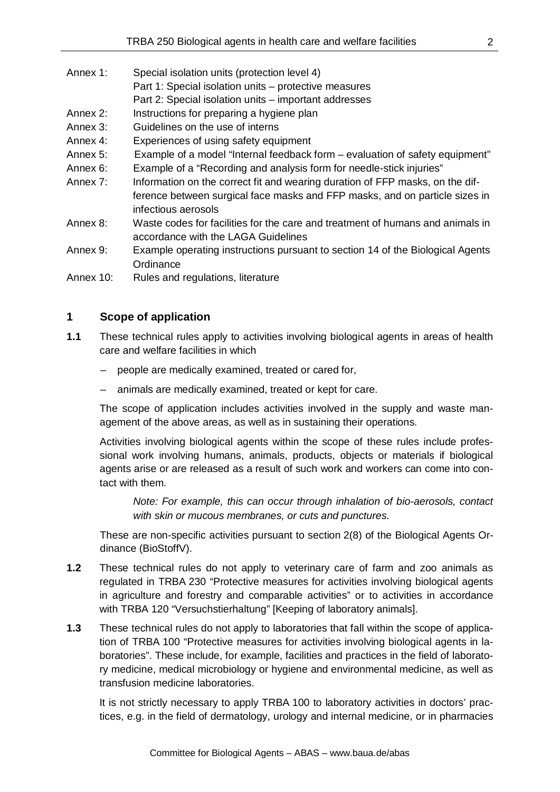- Annex 1: Special isolation units (protection level 4)
	- Part 1: Special isolation units protective measures
		- Part 2: Special isolation units important addresses
- Annex 2: Instructions for preparing a hygiene plan
- Annex 3: Guidelines on the use of interns
- Annex 4: Experiences of using safety equipment
- Annex 5: Example of a model "Internal feedback form evaluation of safety equipment"
- Annex 6: Example of a "Recording and analysis form for needle-stick injuries"
- Annex 7: Information on the correct fit and wearing duration of FFP masks, on the difference between surgical face masks and FFP masks, and on particle sizes in infectious aerosols
- Annex 8: Waste codes for facilities for the care and treatment of humans and animals in accordance with the LAGA Guidelines
- Annex 9: Example operating instructions pursuant to section 14 of the Biological Agents **Ordinance**
- Annex 10: Rules and regulations, literature

## **1 Scope of application**

- **1.1** These technical rules apply to activities involving biological agents in areas of health care and welfare facilities in which
	- people are medically examined, treated or cared for,
	- animals are medically examined, treated or kept for care.

The scope of application includes activities involved in the supply and waste management of the above areas, as well as in sustaining their operations.

Activities involving biological agents within the scope of these rules include professional work involving humans, animals, products, objects or materials if biological agents arise or are released as a result of such work and workers can come into contact with them.

*Note: For example, this can occur through inhalation of bio-aerosols, contact with skin or mucous membranes, or cuts and punctures.* 

These are non-specific activities pursuant to section 2(8) of the Biological Agents Ordinance (BioStoffV).

- **1.2** These technical rules do not apply to veterinary care of farm and zoo animals as regulated in TRBA 230 "Protective measures for activities involving biological agents in agriculture and forestry and comparable activities" or to activities in accordance with TRBA 120 "Versuchstierhaltung" [Keeping of laboratory animals].
- **1.3** These technical rules do not apply to laboratories that fall within the scope of application of TRBA 100 "Protective measures for activities involving biological agents in laboratories". These include, for example, facilities and practices in the field of laboratory medicine, medical microbiology or hygiene and environmental medicine, as well as transfusion medicine laboratories.

It is not strictly necessary to apply TRBA 100 to laboratory activities in doctors' practices, e.g. in the field of dermatology, urology and internal medicine, or in pharmacies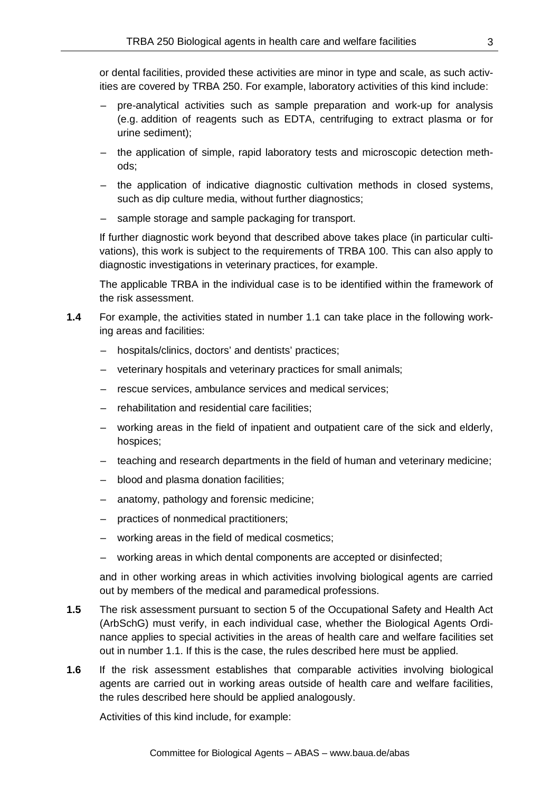or dental facilities, provided these activities are minor in type and scale, as such activities are covered by TRBA 250. For example, laboratory activities of this kind include:

- pre-analytical activities such as sample preparation and work-up for analysis (e.g. addition of reagents such as EDTA, centrifuging to extract plasma or for urine sediment);
- the application of simple, rapid laboratory tests and microscopic detection methods;
- the application of indicative diagnostic cultivation methods in closed systems, such as dip culture media, without further diagnostics;
- sample storage and sample packaging for transport.

If further diagnostic work beyond that described above takes place (in particular cultivations), this work is subject to the requirements of TRBA 100. This can also apply to diagnostic investigations in veterinary practices, for example.

The applicable TRBA in the individual case is to be identified within the framework of the risk assessment.

- **1.4** For example, the activities stated in number 1.1 can take place in the following working areas and facilities:
	- hospitals/clinics, doctors' and dentists' practices;
	- veterinary hospitals and veterinary practices for small animals;
	- rescue services, ambulance services and medical services;
	- rehabilitation and residential care facilities;
	- working areas in the field of inpatient and outpatient care of the sick and elderly, hospices;
	- teaching and research departments in the field of human and veterinary medicine;
	- blood and plasma donation facilities;
	- anatomy, pathology and forensic medicine;
	- practices of nonmedical practitioners;
	- working areas in the field of medical cosmetics;
	- working areas in which dental components are accepted or disinfected;

and in other working areas in which activities involving biological agents are carried out by members of the medical and paramedical professions.

- **1.5** The risk assessment pursuant to section 5 of the Occupational Safety and Health Act (ArbSchG) must verify, in each individual case, whether the Biological Agents Ordinance applies to special activities in the areas of health care and welfare facilities set out in number 1.1. If this is the case, the rules described here must be applied.
- **1.6** If the risk assessment establishes that comparable activities involving biological agents are carried out in working areas outside of health care and welfare facilities, the rules described here should be applied analogously.

Activities of this kind include, for example: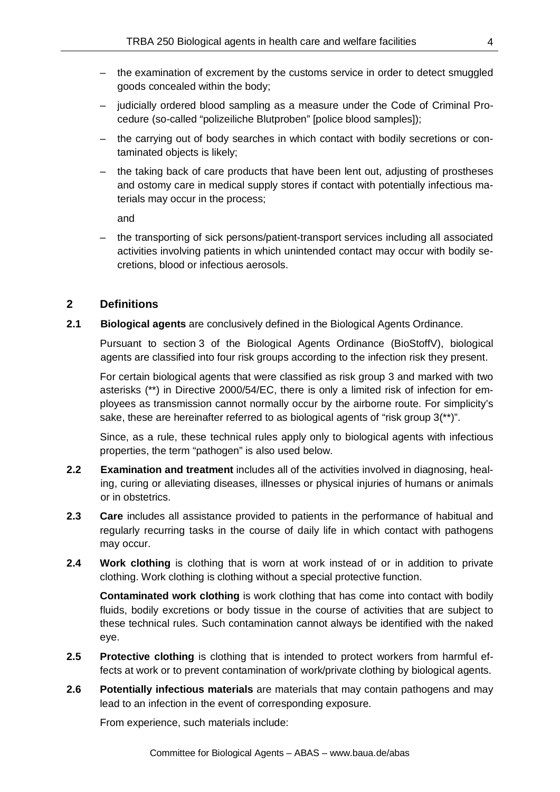- the examination of excrement by the customs service in order to detect smuggled goods concealed within the body;
- judicially ordered blood sampling as a measure under the Code of Criminal Procedure (so-called "polizeiliche Blutproben" [police blood samples]);
- the carrying out of body searches in which contact with bodily secretions or contaminated objects is likely;
- the taking back of care products that have been lent out, adjusting of prostheses and ostomy care in medical supply stores if contact with potentially infectious materials may occur in the process;

and

– the transporting of sick persons/patient-transport services including all associated activities involving patients in which unintended contact may occur with bodily secretions, blood or infectious aerosols.

# **2 Definitions**

**2.1 Biological agents** are conclusively defined in the Biological Agents Ordinance.

Pursuant to section 3 of the Biological Agents Ordinance (BioStoffV), biological agents are classified into four risk groups according to the infection risk they present.

For certain biological agents that were classified as risk group 3 and marked with two asterisks (\*\*) in Directive 2000/54/EC, there is only a limited risk of infection for employees as transmission cannot normally occur by the airborne route. For simplicity's sake, these are hereinafter referred to as biological agents of "risk group 3(\*\*)".

Since, as a rule, these technical rules apply only to biological agents with infectious properties, the term "pathogen" is also used below.

- **2.2 Examination and treatment** includes all of the activities involved in diagnosing, healing, curing or alleviating diseases, illnesses or physical injuries of humans or animals or in obstetrics.
- **2.3 Care** includes all assistance provided to patients in the performance of habitual and regularly recurring tasks in the course of daily life in which contact with pathogens may occur.
- **2.4 Work clothing** is clothing that is worn at work instead of or in addition to private clothing. Work clothing is clothing without a special protective function.

**Contaminated work clothing** is work clothing that has come into contact with bodily fluids, bodily excretions or body tissue in the course of activities that are subject to these technical rules. Such contamination cannot always be identified with the naked eye.

- **2.5 Protective clothing** is clothing that is intended to protect workers from harmful effects at work or to prevent contamination of work/private clothing by biological agents.
- **2.6 Potentially infectious materials** are materials that may contain pathogens and may lead to an infection in the event of corresponding exposure.

From experience, such materials include: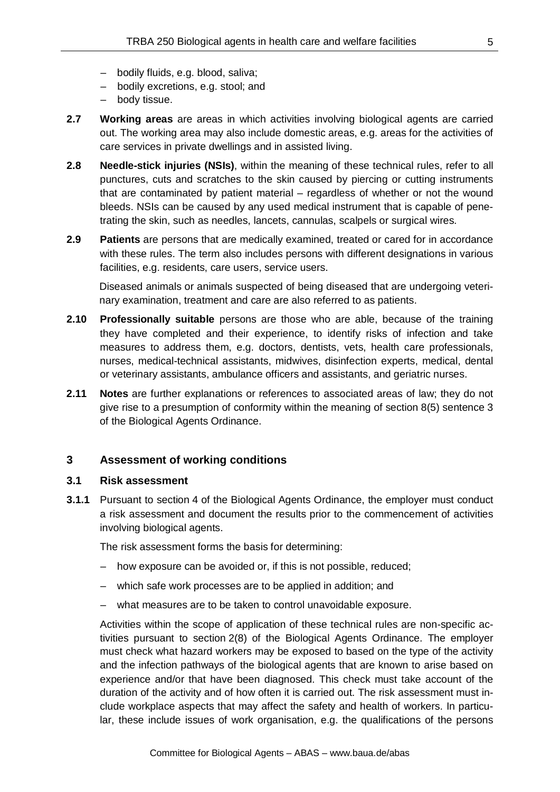- bodily fluids, e.g. blood, saliva;
- bodily excretions, e.g. stool; and
- body tissue.
- **2.7 Working areas** are areas in which activities involving biological agents are carried out. The working area may also include domestic areas, e.g. areas for the activities of care services in private dwellings and in assisted living.
- **2.8 Needle-stick injuries (NSIs)**, within the meaning of these technical rules, refer to all punctures, cuts and scratches to the skin caused by piercing or cutting instruments that are contaminated by patient material – regardless of whether or not the wound bleeds. NSIs can be caused by any used medical instrument that is capable of penetrating the skin, such as needles, lancets, cannulas, scalpels or surgical wires.
- **2.9 Patients** are persons that are medically examined, treated or cared for in accordance with these rules. The term also includes persons with different designations in various facilities, e.g. residents, care users, service users.

Diseased animals or animals suspected of being diseased that are undergoing veterinary examination, treatment and care are also referred to as patients.

- **2.10 Professionally suitable** persons are those who are able, because of the training they have completed and their experience, to identify risks of infection and take measures to address them, e.g. doctors, dentists, vets, health care professionals, nurses, medical-technical assistants, midwives, disinfection experts, medical, dental or veterinary assistants, ambulance officers and assistants, and geriatric nurses.
- **2.11 Notes** are further explanations or references to associated areas of law; they do not give rise to a presumption of conformity within the meaning of section 8(5) sentence 3 of the Biological Agents Ordinance.

#### **3 Assessment of working conditions**

#### **3.1 Risk assessment**

**3.1.1** Pursuant to section 4 of the Biological Agents Ordinance, the employer must conduct a risk assessment and document the results prior to the commencement of activities involving biological agents.

The risk assessment forms the basis for determining:

- how exposure can be avoided or, if this is not possible, reduced;
- which safe work processes are to be applied in addition; and
- what measures are to be taken to control unavoidable exposure.

Activities within the scope of application of these technical rules are non-specific activities pursuant to section 2(8) of the Biological Agents Ordinance. The employer must check what hazard workers may be exposed to based on the type of the activity and the infection pathways of the biological agents that are known to arise based on experience and/or that have been diagnosed. This check must take account of the duration of the activity and of how often it is carried out. The risk assessment must include workplace aspects that may affect the safety and health of workers. In particular, these include issues of work organisation, e.g. the qualifications of the persons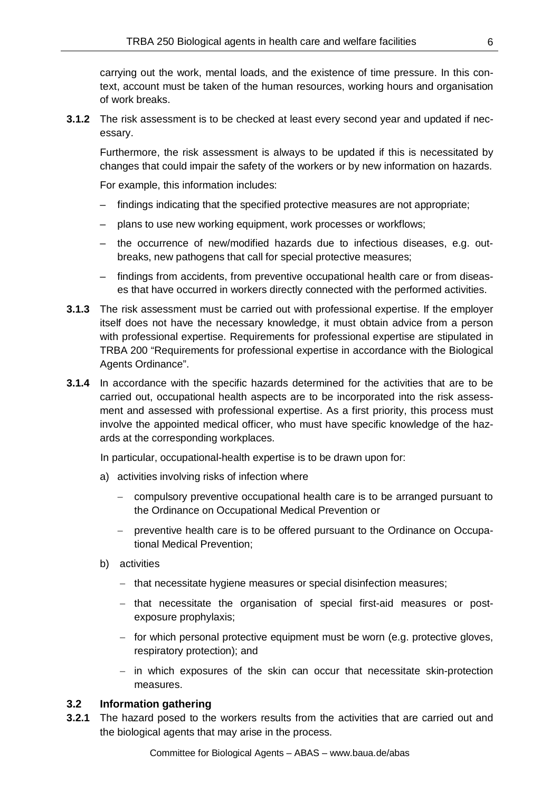carrying out the work, mental loads, and the existence of time pressure. In this context, account must be taken of the human resources, working hours and organisation of work breaks.

**3.1.2** The risk assessment is to be checked at least every second year and updated if necessary.

Furthermore, the risk assessment is always to be updated if this is necessitated by changes that could impair the safety of the workers or by new information on hazards.

For example, this information includes:

- findings indicating that the specified protective measures are not appropriate;
- plans to use new working equipment, work processes or workflows;
- the occurrence of new/modified hazards due to infectious diseases, e.g. outbreaks, new pathogens that call for special protective measures;
- findings from accidents, from preventive occupational health care or from diseases that have occurred in workers directly connected with the performed activities.
- **3.1.3** The risk assessment must be carried out with professional expertise. If the employer itself does not have the necessary knowledge, it must obtain advice from a person with professional expertise. Requirements for professional expertise are stipulated in TRBA 200 "Requirements for professional expertise in accordance with the Biological Agents Ordinance".
- **3.1.4** In accordance with the specific hazards determined for the activities that are to be carried out, occupational health aspects are to be incorporated into the risk assessment and assessed with professional expertise. As a first priority, this process must involve the appointed medical officer, who must have specific knowledge of the hazards at the corresponding workplaces.

In particular, occupational-health expertise is to be drawn upon for:

- a) activities involving risks of infection where
	- − compulsory preventive occupational health care is to be arranged pursuant to the Ordinance on Occupational Medical Prevention or
	- − preventive health care is to be offered pursuant to the Ordinance on Occupational Medical Prevention;
- b) activities
	- − that necessitate hygiene measures or special disinfection measures;
	- − that necessitate the organisation of special first-aid measures or postexposure prophylaxis;
	- − for which personal protective equipment must be worn (e.g. protective gloves, respiratory protection); and
	- − in which exposures of the skin can occur that necessitate skin-protection measures.

#### **3.2 Information gathering**

**3.2.1** The hazard posed to the workers results from the activities that are carried out and the biological agents that may arise in the process.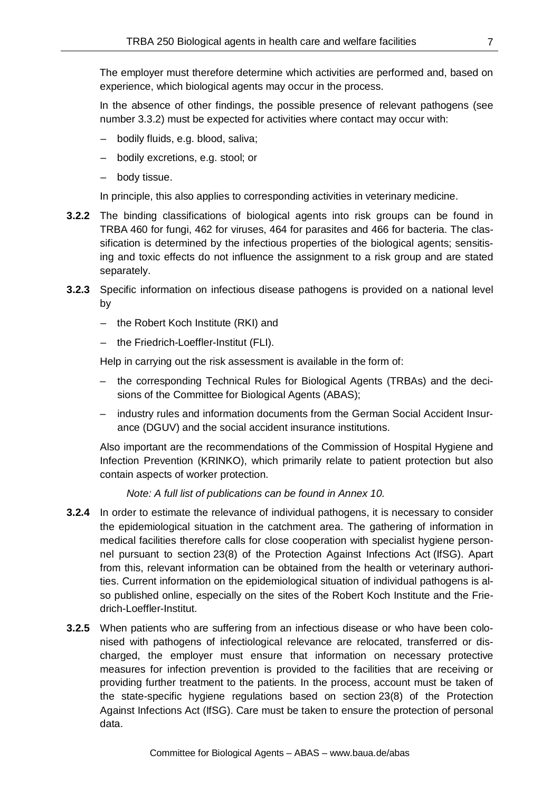The employer must therefore determine which activities are performed and, based on experience, which biological agents may occur in the process.

In the absence of other findings, the possible presence of relevant pathogens (see number 3.3.2) must be expected for activities where contact may occur with:

- bodily fluids, e.g. blood, saliva;
- bodily excretions, e.g. stool; or
- body tissue.

In principle, this also applies to corresponding activities in veterinary medicine.

- **3.2.2** The binding classifications of biological agents into risk groups can be found in TRBA 460 for fungi, 462 for viruses, 464 for parasites and 466 for bacteria. The classification is determined by the infectious properties of the biological agents; sensitising and toxic effects do not influence the assignment to a risk group and are stated separately.
- **3.2.3** Specific information on infectious disease pathogens is provided on a national level by
	- the Robert Koch Institute (RKI) and
	- the Friedrich-Loeffler-Institut (FLI).

Help in carrying out the risk assessment is available in the form of:

- the corresponding Technical Rules for Biological Agents (TRBAs) and the decisions of the Committee for Biological Agents (ABAS);
- industry rules and information documents from the German Social Accident Insurance (DGUV) and the social accident insurance institutions.

Also important are the recommendations of the Commission of Hospital Hygiene and Infection Prevention (KRINKO), which primarily relate to patient protection but also contain aspects of worker protection.

*Note: A full list of publications can be found in Annex 10.*

- **3.2.4** In order to estimate the relevance of individual pathogens, it is necessary to consider the epidemiological situation in the catchment area. The gathering of information in medical facilities therefore calls for close cooperation with specialist hygiene personnel pursuant to section 23(8) of the Protection Against Infections Act (IfSG). Apart from this, relevant information can be obtained from the health or veterinary authorities. Current information on the epidemiological situation of individual pathogens is also published online, especially on the sites of the Robert Koch Institute and the Friedrich-Loeffler-Institut.
- **3.2.5** When patients who are suffering from an infectious disease or who have been colonised with pathogens of infectiological relevance are relocated, transferred or discharged, the employer must ensure that information on necessary protective measures for infection prevention is provided to the facilities that are receiving or providing further treatment to the patients. In the process, account must be taken of the state-specific hygiene regulations based on section 23(8) of the Protection Against Infections Act (IfSG). Care must be taken to ensure the protection of personal data.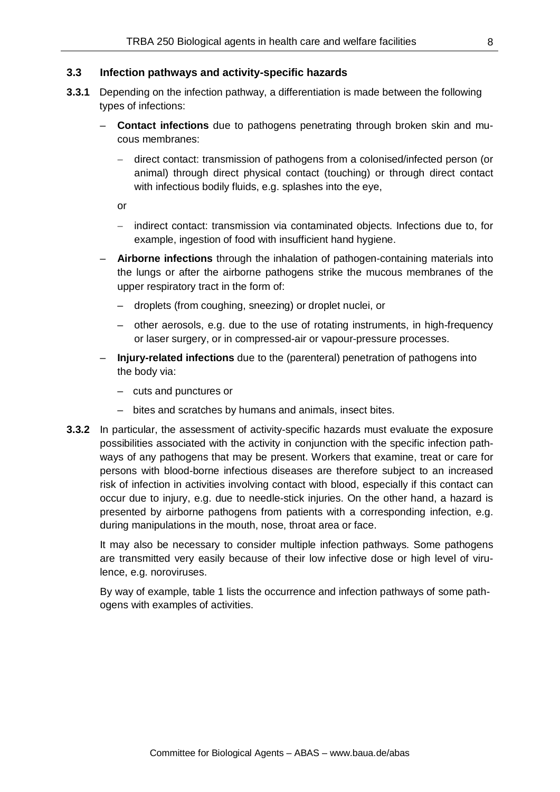#### **3.3 Infection pathways and activity-specific hazards**

- **3.3.1** Depending on the infection pathway, a differentiation is made between the following types of infections:
	- **Contact infections** due to pathogens penetrating through broken skin and mucous membranes:
		- − direct contact: transmission of pathogens from a colonised/infected person (or animal) through direct physical contact (touching) or through direct contact with infectious bodily fluids, e.g. splashes into the eye,

or

- − indirect contact: transmission via contaminated objects. Infections due to, for example, ingestion of food with insufficient hand hygiene.
- **Airborne infections** through the inhalation of pathogen-containing materials into the lungs or after the airborne pathogens strike the mucous membranes of the upper respiratory tract in the form of:
	- droplets (from coughing, sneezing) or droplet nuclei, or
	- other aerosols, e.g. due to the use of rotating instruments, in high-frequency or laser surgery, or in compressed-air or vapour-pressure processes.
- **Injury-related infections** due to the (parenteral) penetration of pathogens into the body via:
	- cuts and punctures or
	- bites and scratches by humans and animals, insect bites.
- **3.3.2** In particular, the assessment of activity-specific hazards must evaluate the exposure possibilities associated with the activity in conjunction with the specific infection pathways of any pathogens that may be present. Workers that examine, treat or care for persons with blood-borne infectious diseases are therefore subject to an increased risk of infection in activities involving contact with blood, especially if this contact can occur due to injury, e.g. due to needle-stick injuries. On the other hand, a hazard is presented by airborne pathogens from patients with a corresponding infection, e.g. during manipulations in the mouth, nose, throat area or face.

It may also be necessary to consider multiple infection pathways. Some pathogens are transmitted very easily because of their low infective dose or high level of virulence, e.g. noroviruses.

By way of example, table 1 lists the occurrence and infection pathways of some pathogens with examples of activities.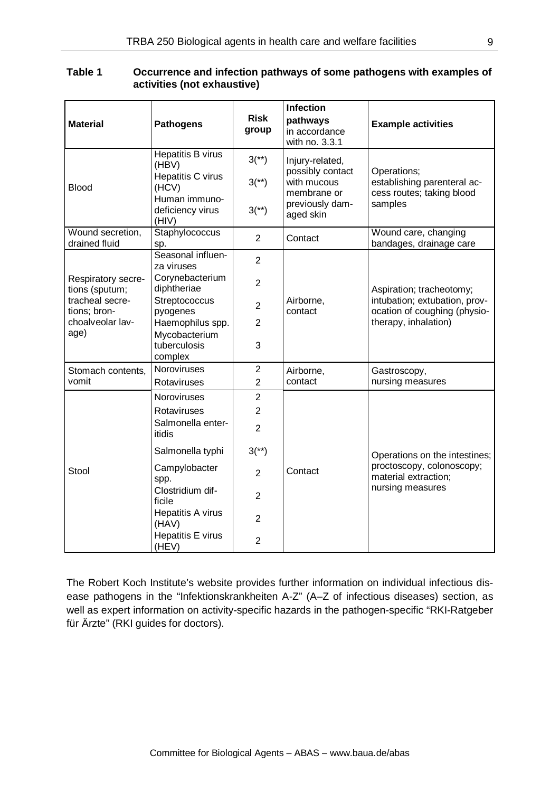| <b>Material</b>                                                                                     | <b>Pathogens</b>                                                                                       | <b>Risk</b><br>group                | Infection<br>pathways<br>in accordance<br>with no. 3.3.1                                          | <b>Example activities</b>                                                                                         |
|-----------------------------------------------------------------------------------------------------|--------------------------------------------------------------------------------------------------------|-------------------------------------|---------------------------------------------------------------------------------------------------|-------------------------------------------------------------------------------------------------------------------|
| <b>Blood</b>                                                                                        | Hepatitis B virus<br>(HBV)<br>Hepatitis C virus<br>(HCV)<br>Human immuno-<br>deficiency virus<br>(HIV) | $3^{(*)}$<br>$3^{(*)}$<br>$3^{(*)}$ | Injury-related,<br>possibly contact<br>with mucous<br>membrane or<br>previously dam-<br>aged skin | Operations;<br>establishing parenteral ac-<br>cess routes; taking blood<br>samples                                |
| Wound secretion,<br>drained fluid                                                                   | Staphylococcus<br>sp.                                                                                  | $\overline{2}$                      | Contact                                                                                           | Wound care, changing<br>bandages, drainage care                                                                   |
| Respiratory secre-<br>tions (sputum;<br>tracheal secre-<br>tions; bron-<br>choalveolar lav-<br>age) | Seasonal influen-<br>za viruses<br>Corynebacterium                                                     | $\overline{2}$                      | Airborne,<br>contact                                                                              | Aspiration; tracheotomy;<br>intubation; extubation, prov-<br>ocation of coughing (physio-<br>therapy, inhalation) |
|                                                                                                     | diphtheriae<br>Streptococcus                                                                           | $\overline{2}$                      |                                                                                                   |                                                                                                                   |
|                                                                                                     | pyogenes<br>Haemophilus spp.                                                                           | $\overline{2}$<br>$\overline{2}$    |                                                                                                   |                                                                                                                   |
|                                                                                                     | Mycobacterium<br>tuberculosis<br>complex                                                               | 3                                   |                                                                                                   |                                                                                                                   |
| Stomach contents,                                                                                   | Noroviruses                                                                                            | $\overline{2}$                      | Airborne,                                                                                         | Gastroscopy,                                                                                                      |
| vomit                                                                                               | Rotaviruses                                                                                            | $\overline{2}$                      | contact                                                                                           | nursing measures                                                                                                  |
| Stool                                                                                               | Noroviruses<br>Rotaviruses                                                                             | $\overline{2}$<br>$\overline{2}$    |                                                                                                   |                                                                                                                   |
|                                                                                                     | Salmonella enter-<br>itidis                                                                            | $\overline{2}$                      |                                                                                                   |                                                                                                                   |
|                                                                                                     | Salmonella typhi                                                                                       | $3(*)$                              | Contact                                                                                           | Operations on the intestines;<br>proctoscopy, colonoscopy;<br>material extraction;                                |
|                                                                                                     | Campylobacter<br>spp.                                                                                  | $\overline{2}$                      |                                                                                                   |                                                                                                                   |
|                                                                                                     | Clostridium dif-<br>ficile                                                                             | $\overline{2}$                      |                                                                                                   | nursing measures                                                                                                  |
|                                                                                                     | Hepatitis A virus<br>(HAV)                                                                             | $\overline{2}$                      |                                                                                                   |                                                                                                                   |
|                                                                                                     | Hepatitis E virus<br>(HEV)                                                                             | $\overline{2}$                      |                                                                                                   |                                                                                                                   |

## **Table 1 Occurrence and infection pathways of some pathogens with examples of activities (not exhaustive)**

The Robert Koch Institute's website provides further information on individual infectious disease pathogens in the "Infektionskrankheiten A-Z" (A–Z of infectious diseases) section, as well as expert information on activity-specific hazards in the pathogen-specific "RKI-Ratgeber für Ärzte" (RKI guides for doctors).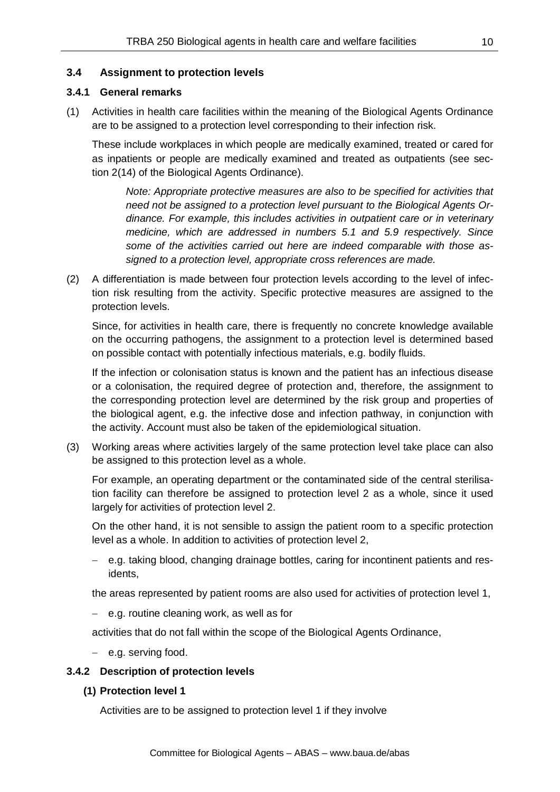## **3.4 Assignment to protection levels**

## **3.4.1 General remarks**

(1) Activities in health care facilities within the meaning of the Biological Agents Ordinance are to be assigned to a protection level corresponding to their infection risk.

These include workplaces in which people are medically examined, treated or cared for as inpatients or people are medically examined and treated as outpatients (see section 2(14) of the Biological Agents Ordinance).

*Note: Appropriate protective measures are also to be specified for activities that need not be assigned to a protection level pursuant to the Biological Agents Ordinance. For example, this includes activities in outpatient care or in veterinary medicine, which are addressed in numbers 5.1 and 5.9 respectively. Since some of the activities carried out here are indeed comparable with those assigned to a protection level, appropriate cross references are made.* 

(2) A differentiation is made between four protection levels according to the level of infection risk resulting from the activity. Specific protective measures are assigned to the protection levels.

Since, for activities in health care, there is frequently no concrete knowledge available on the occurring pathogens, the assignment to a protection level is determined based on possible contact with potentially infectious materials, e.g. bodily fluids.

If the infection or colonisation status is known and the patient has an infectious disease or a colonisation, the required degree of protection and, therefore, the assignment to the corresponding protection level are determined by the risk group and properties of the biological agent, e.g. the infective dose and infection pathway, in conjunction with the activity. Account must also be taken of the epidemiological situation.

(3) Working areas where activities largely of the same protection level take place can also be assigned to this protection level as a whole.

For example, an operating department or the contaminated side of the central sterilisation facility can therefore be assigned to protection level 2 as a whole, since it used largely for activities of protection level 2.

On the other hand, it is not sensible to assign the patient room to a specific protection level as a whole. In addition to activities of protection level 2,

− e.g. taking blood, changing drainage bottles, caring for incontinent patients and residents,

the areas represented by patient rooms are also used for activities of protection level 1,

− e.g. routine cleaning work, as well as for

activities that do not fall within the scope of the Biological Agents Ordinance,

− e.g. serving food.

## **3.4.2 Description of protection levels**

**(1) Protection level 1**

Activities are to be assigned to protection level 1 if they involve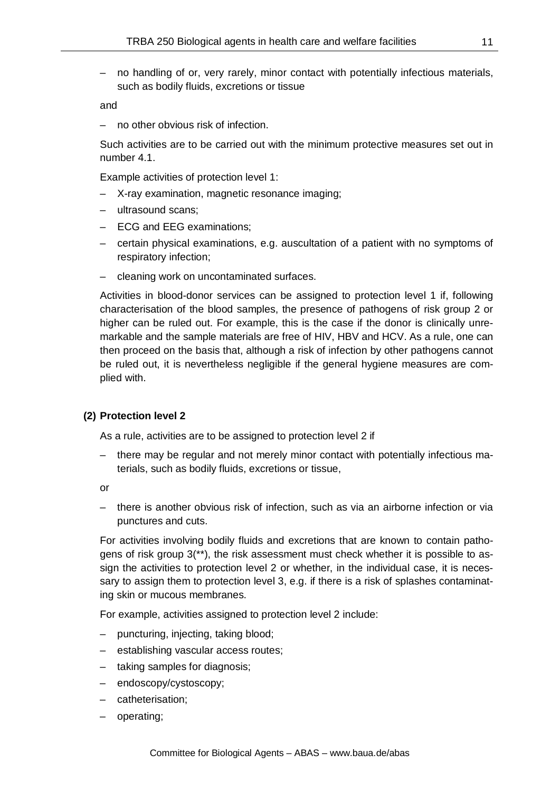– no handling of or, very rarely, minor contact with potentially infectious materials, such as bodily fluids, excretions or tissue

and

– no other obvious risk of infection.

Such activities are to be carried out with the minimum protective measures set out in number 4.1.

Example activities of protection level 1:

- X-ray examination, magnetic resonance imaging;
- ultrasound scans;
- ECG and EEG examinations;
- certain physical examinations, e.g. auscultation of a patient with no symptoms of respiratory infection;
- cleaning work on uncontaminated surfaces.

Activities in blood-donor services can be assigned to protection level 1 if, following characterisation of the blood samples, the presence of pathogens of risk group 2 or higher can be ruled out. For example, this is the case if the donor is clinically unremarkable and the sample materials are free of HIV, HBV and HCV. As a rule, one can then proceed on the basis that, although a risk of infection by other pathogens cannot be ruled out, it is nevertheless negligible if the general hygiene measures are complied with.

#### **(2) Protection level 2**

As a rule, activities are to be assigned to protection level 2 if

– there may be regular and not merely minor contact with potentially infectious materials, such as bodily fluids, excretions or tissue,

or

– there is another obvious risk of infection, such as via an airborne infection or via punctures and cuts.

For activities involving bodily fluids and excretions that are known to contain pathogens of risk group 3(\*\*), the risk assessment must check whether it is possible to assign the activities to protection level 2 or whether, in the individual case, it is necessary to assign them to protection level 3, e.g. if there is a risk of splashes contaminating skin or mucous membranes.

For example, activities assigned to protection level 2 include:

- puncturing, injecting, taking blood;
- establishing vascular access routes;
- taking samples for diagnosis;
- endoscopy/cystoscopy;
- catheterisation;
- operating;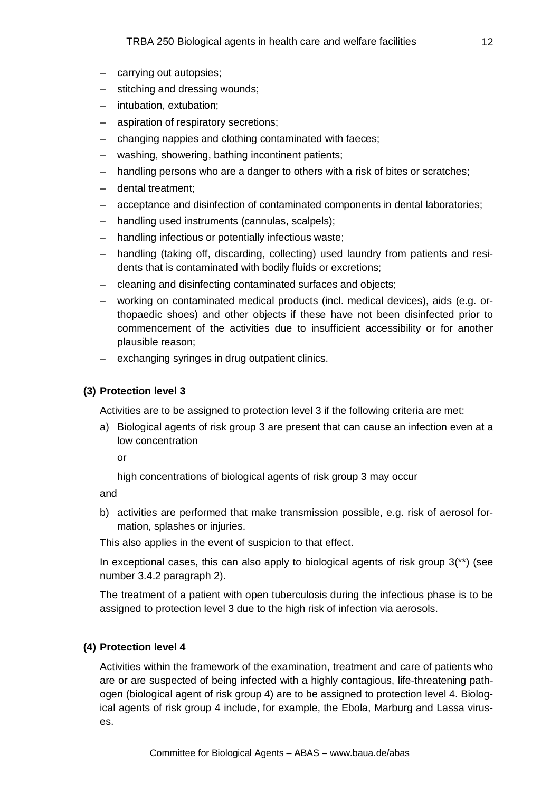- carrying out autopsies;
- stitching and dressing wounds;
- intubation, extubation;
- aspiration of respiratory secretions;
- changing nappies and clothing contaminated with faeces;
- washing, showering, bathing incontinent patients;
- handling persons who are a danger to others with a risk of bites or scratches;
- dental treatment;
- acceptance and disinfection of contaminated components in dental laboratories;
- handling used instruments (cannulas, scalpels);
- handling infectious or potentially infectious waste;
- handling (taking off, discarding, collecting) used laundry from patients and residents that is contaminated with bodily fluids or excretions;
- cleaning and disinfecting contaminated surfaces and objects;
- working on contaminated medical products (incl. medical devices), aids (e.g. orthopaedic shoes) and other objects if these have not been disinfected prior to commencement of the activities due to insufficient accessibility or for another plausible reason;
- exchanging syringes in drug outpatient clinics.

## **(3) Protection level 3**

Activities are to be assigned to protection level 3 if the following criteria are met:

a) Biological agents of risk group 3 are present that can cause an infection even at a low concentration

or

high concentrations of biological agents of risk group 3 may occur

and

b) activities are performed that make transmission possible, e.g. risk of aerosol formation, splashes or injuries.

This also applies in the event of suspicion to that effect.

In exceptional cases, this can also apply to biological agents of risk group  $3$ <sup>\*\*</sup>) (see number 3.4.2 paragraph 2).

The treatment of a patient with open tuberculosis during the infectious phase is to be assigned to protection level 3 due to the high risk of infection via aerosols.

## **(4) Protection level 4**

Activities within the framework of the examination, treatment and care of patients who are or are suspected of being infected with a highly contagious, life-threatening pathogen (biological agent of risk group 4) are to be assigned to protection level 4. Biological agents of risk group 4 include, for example, the Ebola, Marburg and Lassa viruses.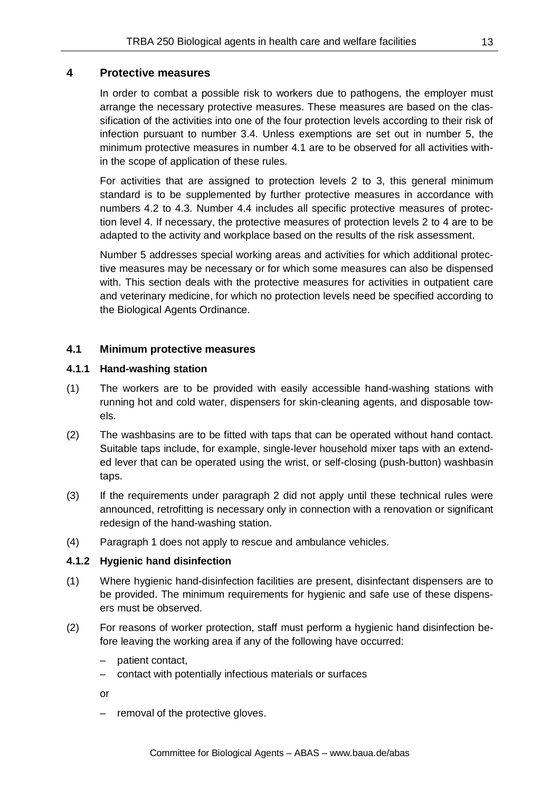# **4 Protective measures**

In order to combat a possible risk to workers due to pathogens, the employer must arrange the necessary protective measures. These measures are based on the classification of the activities into one of the four protection levels according to their risk of infection pursuant to number 3.4. Unless exemptions are set out in number 5, the minimum protective measures in number 4.1 are to be observed for all activities within the scope of application of these rules.

For activities that are assigned to protection levels 2 to 3, this general minimum standard is to be supplemented by further protective measures in accordance with numbers 4.2 to 4.3. Number 4.4 includes all specific protective measures of protection level 4. If necessary, the protective measures of protection levels 2 to 4 are to be adapted to the activity and workplace based on the results of the risk assessment.

Number 5 addresses special working areas and activities for which additional protective measures may be necessary or for which some measures can also be dispensed with. This section deals with the protective measures for activities in outpatient care and veterinary medicine, for which no protection levels need be specified according to the Biological Agents Ordinance.

## **4.1 Minimum protective measures**

## **4.1.1 Hand-washing station**

- (1) The workers are to be provided with easily accessible hand-washing stations with running hot and cold water, dispensers for skin-cleaning agents, and disposable towels.
- (2) The washbasins are to be fitted with taps that can be operated without hand contact. Suitable taps include, for example, single-lever household mixer taps with an extended lever that can be operated using the wrist, or self-closing (push-button) washbasin taps.
- (3) If the requirements under paragraph 2 did not apply until these technical rules were announced, retrofitting is necessary only in connection with a renovation or significant redesign of the hand-washing station.
- (4) Paragraph 1 does not apply to rescue and ambulance vehicles.

## **4.1.2 Hygienic hand disinfection**

- (1) Where hygienic hand-disinfection facilities are present, disinfectant dispensers are to be provided. The minimum requirements for hygienic and safe use of these dispensers must be observed.
- (2) For reasons of worker protection, staff must perform a hygienic hand disinfection before leaving the working area if any of the following have occurred:
	- patient contact,
	- contact with potentially infectious materials or surfaces
	- or
	- removal of the protective gloves.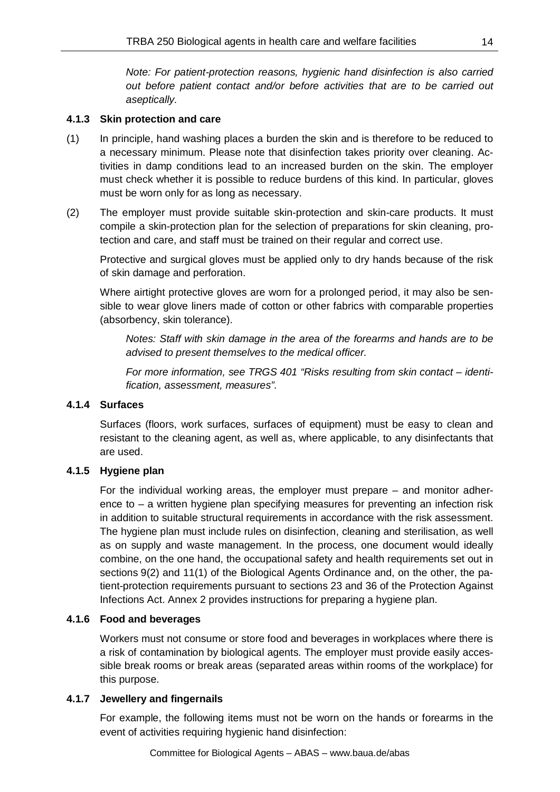*Note: For patient-protection reasons, hygienic hand disinfection is also carried out before patient contact and/or before activities that are to be carried out aseptically.*

## **4.1.3 Skin protection and care**

- (1) In principle, hand washing places a burden the skin and is therefore to be reduced to a necessary minimum. Please note that disinfection takes priority over cleaning. Activities in damp conditions lead to an increased burden on the skin. The employer must check whether it is possible to reduce burdens of this kind. In particular, gloves must be worn only for as long as necessary.
- (2) The employer must provide suitable skin-protection and skin-care products. It must compile a skin-protection plan for the selection of preparations for skin cleaning, protection and care, and staff must be trained on their regular and correct use.

Protective and surgical gloves must be applied only to dry hands because of the risk of skin damage and perforation.

Where airtight protective gloves are worn for a prolonged period, it may also be sensible to wear glove liners made of cotton or other fabrics with comparable properties (absorbency, skin tolerance).

*Notes: Staff with skin damage in the area of the forearms and hands are to be advised to present themselves to the medical officer.*

*For more information, see TRGS 401 "Risks resulting from skin contact – identification, assessment, measures".*

# **4.1.4 Surfaces**

Surfaces (floors, work surfaces, surfaces of equipment) must be easy to clean and resistant to the cleaning agent, as well as, where applicable, to any disinfectants that are used.

# **4.1.5 Hygiene plan**

For the individual working areas, the employer must prepare – and monitor adherence to  $-$  a written hygiene plan specifying measures for preventing an infection risk in addition to suitable structural requirements in accordance with the risk assessment. The hygiene plan must include rules on disinfection, cleaning and sterilisation, as well as on supply and waste management. In the process, one document would ideally combine, on the one hand, the occupational safety and health requirements set out in sections 9(2) and 11(1) of the Biological Agents Ordinance and, on the other, the patient-protection requirements pursuant to sections 23 and 36 of the Protection Against Infections Act. Annex 2 provides instructions for preparing a hygiene plan.

# **4.1.6 Food and beverages**

Workers must not consume or store food and beverages in workplaces where there is a risk of contamination by biological agents. The employer must provide easily accessible break rooms or break areas (separated areas within rooms of the workplace) for this purpose.

## **4.1.7 Jewellery and fingernails**

For example, the following items must not be worn on the hands or forearms in the event of activities requiring hygienic hand disinfection: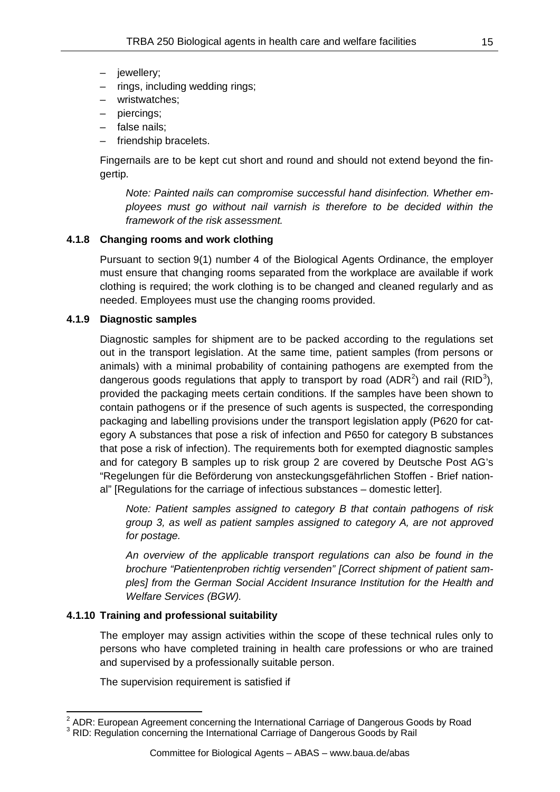- jewellery;
- rings, including wedding rings;
- wristwatches;
- piercings;
- false nails;
- friendship bracelets.

Fingernails are to be kept cut short and round and should not extend beyond the fingertip.

*Note: Painted nails can compromise successful hand disinfection. Whether employees must go without nail varnish is therefore to be decided within the framework of the risk assessment.*

## **4.1.8 Changing rooms and work clothing**

Pursuant to section 9(1) number 4 of the Biological Agents Ordinance, the employer must ensure that changing rooms separated from the workplace are available if work clothing is required; the work clothing is to be changed and cleaned regularly and as needed. Employees must use the changing rooms provided.

## **4.1.9 Diagnostic samples**

Diagnostic samples for shipment are to be packed according to the regulations set out in the transport legislation. At the same time, patient samples (from persons or animals) with a minimal probability of containing pathogens are exempted from the dangerous goods regulations that apply to transport by road (ADR<sup>[2](#page-14-0)</sup>) and rail (RID<sup>[3](#page-14-1)</sup>), provided the packaging meets certain conditions. If the samples have been shown to contain pathogens or if the presence of such agents is suspected, the corresponding packaging and labelling provisions under the transport legislation apply (P620 for category A substances that pose a risk of infection and P650 for category B substances that pose a risk of infection). The requirements both for exempted diagnostic samples and for category B samples up to risk group 2 are covered by Deutsche Post AG's "Regelungen für die Beförderung von ansteckungsgefährlichen Stoffen - Brief national" [Regulations for the carriage of infectious substances – domestic letter].

*Note: Patient samples assigned to category B that contain pathogens of risk group 3, as well as patient samples assigned to category A, are not approved for postage.* 

*An overview of the applicable transport regulations can also be found in the brochure "Patientenproben richtig versenden" [Correct shipment of patient samples] from the German Social Accident Insurance Institution for the Health and Welfare Services (BGW).* 

## **4.1.10 Training and professional suitability**

The employer may assign activities within the scope of these technical rules only to persons who have completed training in health care professions or who are trained and supervised by a professionally suitable person.

The supervision requirement is satisfied if

<span id="page-14-0"></span><sup>&</sup>lt;sup>2</sup> ADR: European Agreement concerning the International Carriage of Dangerous Goods by Road  $^3$  RID: Regulation concerning the International Carriage of Dangerous Goods by Rail

<span id="page-14-1"></span>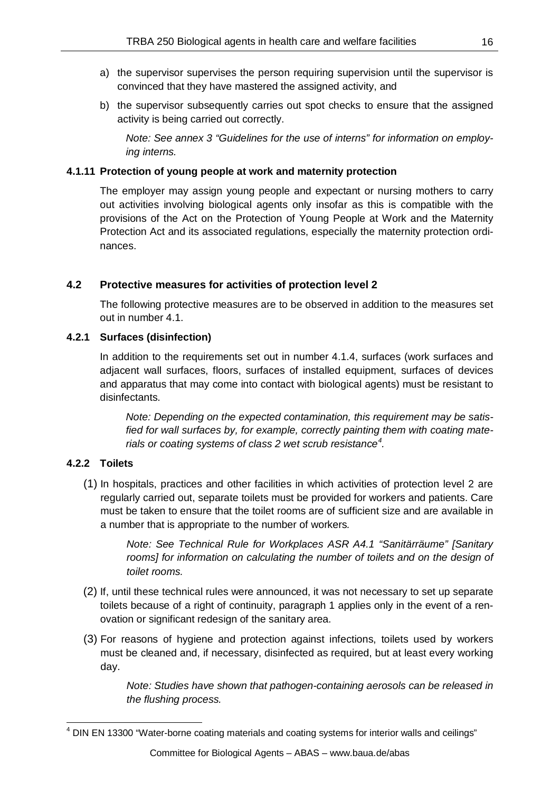- a) the supervisor supervises the person requiring supervision until the supervisor is convinced that they have mastered the assigned activity, and
- b) the supervisor subsequently carries out spot checks to ensure that the assigned activity is being carried out correctly.

*Note: See annex 3 "Guidelines for the use of interns" for information on employing interns.*

## **4.1.11 Protection of young people at work and maternity protection**

The employer may assign young people and expectant or nursing mothers to carry out activities involving biological agents only insofar as this is compatible with the provisions of the Act on the Protection of Young People at Work and the Maternity Protection Act and its associated regulations, especially the maternity protection ordinances.

## **4.2 Protective measures for activities of protection level 2**

The following protective measures are to be observed in addition to the measures set out in number 4.1.

## **4.2.1 Surfaces (disinfection)**

In addition to the requirements set out in number 4.1.4, surfaces (work surfaces and adjacent wall surfaces, floors, surfaces of installed equipment, surfaces of devices and apparatus that may come into contact with biological agents) must be resistant to disinfectants.

*Note: Depending on the expected contamination, this requirement may be satisfied for wall surfaces by, for example, correctly painting them with coating materials or coating systems of class 2 wet scrub resistance[4](#page-15-0) .*

# **4.2.2 Toilets**

(1) In hospitals, practices and other facilities in which activities of protection level 2 are regularly carried out, separate toilets must be provided for workers and patients. Care must be taken to ensure that the toilet rooms are of sufficient size and are available in a number that is appropriate to the number of workers*.* 

> *Note: See Technical Rule for Workplaces ASR A4.1 "Sanitärräume" [Sanitary*  rooms] for information on calculating the number of toilets and on the design of *toilet rooms.*

- (2) If, until these technical rules were announced, it was not necessary to set up separate toilets because of a right of continuity, paragraph 1 applies only in the event of a renovation or significant redesign of the sanitary area.
- (3) For reasons of hygiene and protection against infections, toilets used by workers must be cleaned and, if necessary, disinfected as required, but at least every working day.

*Note: Studies have shown that pathogen-containing aerosols can be released in the flushing process.*

<span id="page-15-0"></span><sup>&</sup>lt;sup>4</sup> DIN EN 13300 "Water-borne coating materials and coating systems for interior walls and ceilings"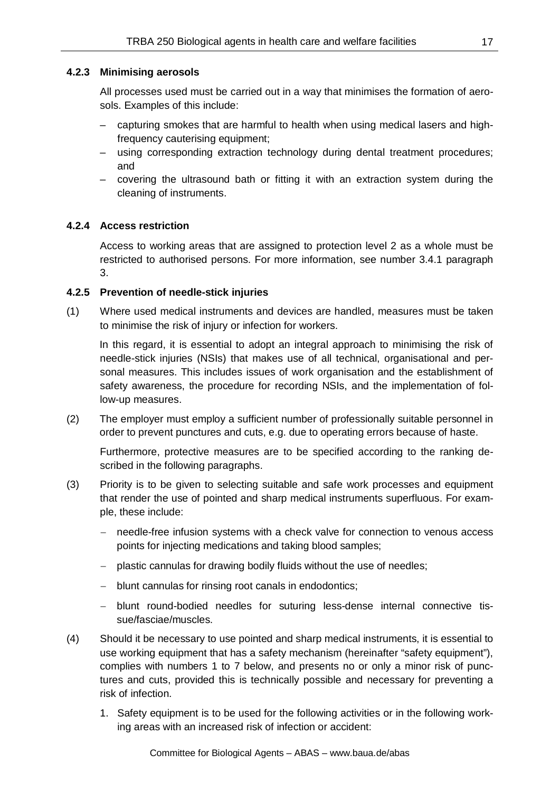## **4.2.3 Minimising aerosols**

All processes used must be carried out in a way that minimises the formation of aerosols. Examples of this include:

- capturing smokes that are harmful to health when using medical lasers and highfrequency cauterising equipment;
- using corresponding extraction technology during dental treatment procedures; and
- covering the ultrasound bath or fitting it with an extraction system during the cleaning of instruments.

## **4.2.4 Access restriction**

Access to working areas that are assigned to protection level 2 as a whole must be restricted to authorised persons. For more information, see number 3.4.1 paragraph 3.

## **4.2.5 Prevention of needle-stick injuries**

(1) Where used medical instruments and devices are handled, measures must be taken to minimise the risk of injury or infection for workers.

In this regard, it is essential to adopt an integral approach to minimising the risk of needle-stick injuries (NSIs) that makes use of all technical, organisational and personal measures. This includes issues of work organisation and the establishment of safety awareness, the procedure for recording NSIs, and the implementation of follow-up measures.

(2) The employer must employ a sufficient number of professionally suitable personnel in order to prevent punctures and cuts, e.g. due to operating errors because of haste.

Furthermore, protective measures are to be specified according to the ranking described in the following paragraphs.

- (3) Priority is to be given to selecting suitable and safe work processes and equipment that render the use of pointed and sharp medical instruments superfluous. For example, these include:
	- − needle-free infusion systems with a check valve for connection to venous access points for injecting medications and taking blood samples;
	- − plastic cannulas for drawing bodily fluids without the use of needles;
	- − blunt cannulas for rinsing root canals in endodontics;
	- − blunt round-bodied needles for suturing less-dense internal connective tissue/fasciae/muscles.
- (4) Should it be necessary to use pointed and sharp medical instruments, it is essential to use working equipment that has a safety mechanism (hereinafter "safety equipment"), complies with numbers 1 to 7 below, and presents no or only a minor risk of punctures and cuts, provided this is technically possible and necessary for preventing a risk of infection.
	- 1. Safety equipment is to be used for the following activities or in the following working areas with an increased risk of infection or accident: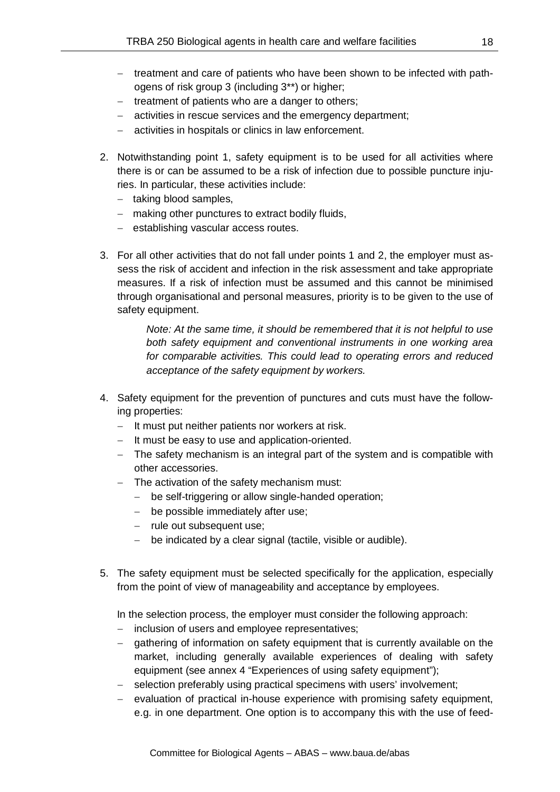- − treatment and care of patients who have been shown to be infected with pathogens of risk group 3 (including 3\*\*) or higher;
- − treatment of patients who are a danger to others;
- − activities in rescue services and the emergency department;
- − activities in hospitals or clinics in law enforcement.
- 2. Notwithstanding point 1, safety equipment is to be used for all activities where there is or can be assumed to be a risk of infection due to possible puncture injuries. In particular, these activities include:
	- − taking blood samples,
	- − making other punctures to extract bodily fluids,
	- − establishing vascular access routes.
- 3. For all other activities that do not fall under points 1 and 2, the employer must assess the risk of accident and infection in the risk assessment and take appropriate measures. If a risk of infection must be assumed and this cannot be minimised through organisational and personal measures, priority is to be given to the use of safety equipment.

*Note: At the same time, it should be remembered that it is not helpful to use both safety equipment and conventional instruments in one working area for comparable activities. This could lead to operating errors and reduced acceptance of the safety equipment by workers.*

- 4. Safety equipment for the prevention of punctures and cuts must have the following properties:
	- − It must put neither patients nor workers at risk.
	- − It must be easy to use and application-oriented.
	- − The safety mechanism is an integral part of the system and is compatible with other accessories.
	- − The activation of the safety mechanism must:
		- − be self-triggering or allow single-handed operation;
		- − be possible immediately after use;
		- − rule out subsequent use;
		- − be indicated by a clear signal (tactile, visible or audible).
- 5. The safety equipment must be selected specifically for the application, especially from the point of view of manageability and acceptance by employees.

In the selection process, the employer must consider the following approach:

- inclusion of users and employee representatives;
- qathering of information on safety equipment that is currently available on the market, including generally available experiences of dealing with safety equipment (see annex 4 "Experiences of using safety equipment");
- − selection preferably using practical specimens with users' involvement;
- − evaluation of practical in-house experience with promising safety equipment, e.g. in one department. One option is to accompany this with the use of feed-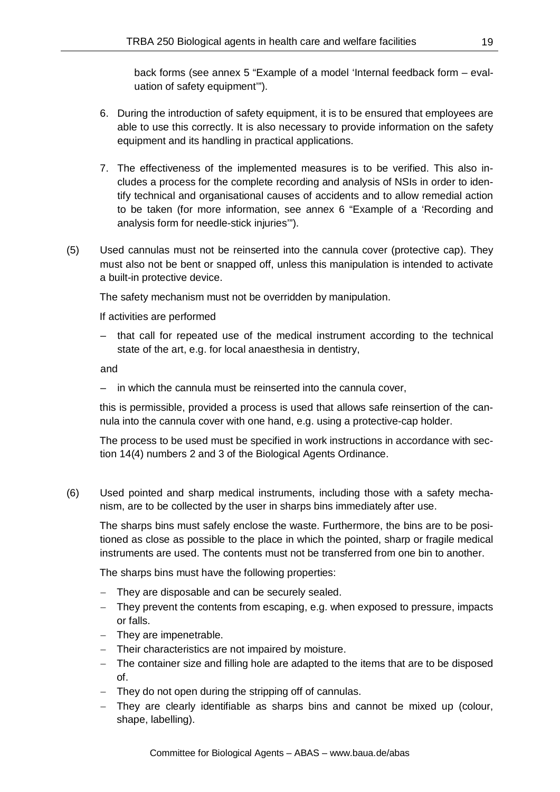back forms (see annex 5 "Example of a model 'Internal feedback form – evaluation of safety equipment'").

- 6. During the introduction of safety equipment, it is to be ensured that employees are able to use this correctly. It is also necessary to provide information on the safety equipment and its handling in practical applications.
- 7. The effectiveness of the implemented measures is to be verified. This also includes a process for the complete recording and analysis of NSIs in order to identify technical and organisational causes of accidents and to allow remedial action to be taken (for more information, see annex 6 "Example of a 'Recording and analysis form for needle-stick injuries'").
- (5) Used cannulas must not be reinserted into the cannula cover (protective cap). They must also not be bent or snapped off, unless this manipulation is intended to activate a built-in protective device.

The safety mechanism must not be overridden by manipulation.

If activities are performed

that call for repeated use of the medical instrument according to the technical state of the art, e.g. for local anaesthesia in dentistry,

and

– in which the cannula must be reinserted into the cannula cover,

this is permissible, provided a process is used that allows safe reinsertion of the cannula into the cannula cover with one hand, e.g. using a protective-cap holder.

The process to be used must be specified in work instructions in accordance with section 14(4) numbers 2 and 3 of the Biological Agents Ordinance.

(6) Used pointed and sharp medical instruments, including those with a safety mechanism, are to be collected by the user in sharps bins immediately after use.

The sharps bins must safely enclose the waste. Furthermore, the bins are to be positioned as close as possible to the place in which the pointed, sharp or fragile medical instruments are used. The contents must not be transferred from one bin to another.

The sharps bins must have the following properties:

- − They are disposable and can be securely sealed.
- − They prevent the contents from escaping, e.g. when exposed to pressure, impacts or falls.
- − They are impenetrable.
- − Their characteristics are not impaired by moisture.
- − The container size and filling hole are adapted to the items that are to be disposed of.
- − They do not open during the stripping off of cannulas.
- − They are clearly identifiable as sharps bins and cannot be mixed up (colour, shape, labelling).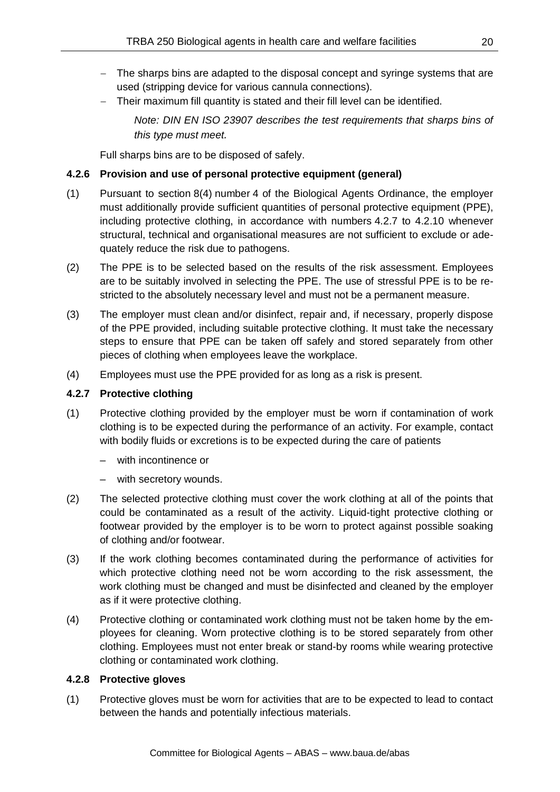- − The sharps bins are adapted to the disposal concept and syringe systems that are used (stripping device for various cannula connections).
- − Their maximum fill quantity is stated and their fill level can be identified.

*Note: DIN EN ISO 23907 describes the test requirements that sharps bins of this type must meet.*

Full sharps bins are to be disposed of safely.

# **4.2.6 Provision and use of personal protective equipment (general)**

- (1) Pursuant to section 8(4) number 4 of the Biological Agents Ordinance, the employer must additionally provide sufficient quantities of personal protective equipment (PPE), including protective clothing, in accordance with numbers 4.2.7 to 4.2.10 whenever structural, technical and organisational measures are not sufficient to exclude or adequately reduce the risk due to pathogens.
- (2) The PPE is to be selected based on the results of the risk assessment. Employees are to be suitably involved in selecting the PPE. The use of stressful PPE is to be restricted to the absolutely necessary level and must not be a permanent measure.
- (3) The employer must clean and/or disinfect, repair and, if necessary, properly dispose of the PPE provided, including suitable protective clothing. It must take the necessary steps to ensure that PPE can be taken off safely and stored separately from other pieces of clothing when employees leave the workplace.
- (4) Employees must use the PPE provided for as long as a risk is present.

## **4.2.7 Protective clothing**

- (1) Protective clothing provided by the employer must be worn if contamination of work clothing is to be expected during the performance of an activity. For example, contact with bodily fluids or excretions is to be expected during the care of patients
	- with incontinence or
	- with secretory wounds.
- (2) The selected protective clothing must cover the work clothing at all of the points that could be contaminated as a result of the activity. Liquid-tight protective clothing or footwear provided by the employer is to be worn to protect against possible soaking of clothing and/or footwear.
- (3) If the work clothing becomes contaminated during the performance of activities for which protective clothing need not be worn according to the risk assessment, the work clothing must be changed and must be disinfected and cleaned by the employer as if it were protective clothing.
- (4) Protective clothing or contaminated work clothing must not be taken home by the employees for cleaning. Worn protective clothing is to be stored separately from other clothing. Employees must not enter break or stand-by rooms while wearing protective clothing or contaminated work clothing.

## **4.2.8 Protective gloves**

(1) Protective gloves must be worn for activities that are to be expected to lead to contact between the hands and potentially infectious materials.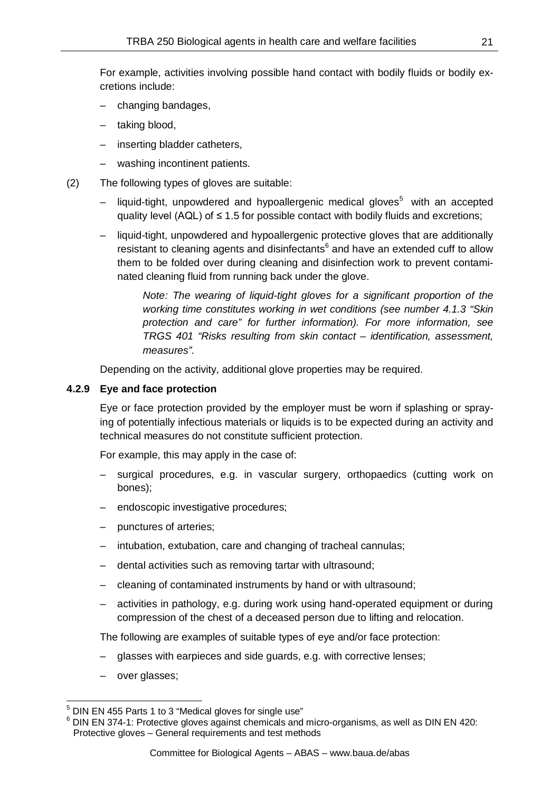For example, activities involving possible hand contact with bodily fluids or bodily excretions include:

- changing bandages,
- taking blood,
- inserting bladder catheters,
- washing incontinent patients.
- (2) The following types of gloves are suitable:
	- $-$  liquid-tight, unpowdered and hypoallergenic medical gloves<sup>5</sup> with an accepted quality level (AQL) of  $\leq$  1.5 for possible contact with bodily fluids and excretions;
	- liquid-tight, unpowdered and hypoallergenic protective gloves that are additionally resistant to cleaning agents and disinfectants $6$  and have an extended cuff to allow them to be folded over during cleaning and disinfection work to prevent contaminated cleaning fluid from running back under the glove.

*Note: The wearing of liquid-tight gloves for a significant proportion of the working time constitutes working in wet conditions (see number 4.1.3 "Skin protection and care" for further information). For more information, see TRGS 401 "Risks resulting from skin contact – identification, assessment, measures".*

Depending on the activity, additional glove properties may be required.

## **4.2.9 Eye and face protection**

Eye or face protection provided by the employer must be worn if splashing or spraying of potentially infectious materials or liquids is to be expected during an activity and technical measures do not constitute sufficient protection.

For example, this may apply in the case of:

- surgical procedures, e.g. in vascular surgery, orthopaedics (cutting work on bones);
- endoscopic investigative procedures;
- punctures of arteries;
- intubation, extubation, care and changing of tracheal cannulas;
- dental activities such as removing tartar with ultrasound;
- cleaning of contaminated instruments by hand or with ultrasound;
- activities in pathology, e.g. during work using hand-operated equipment or during compression of the chest of a deceased person due to lifting and relocation.

The following are examples of suitable types of eye and/or face protection:

- glasses with earpieces and side guards, e.g. with corrective lenses;
- over glasses;

<span id="page-20-1"></span><span id="page-20-0"></span>

 $^5$  DIN EN 455 Parts 1 to 3 "Medical gloves for single use"<br> $^6$  DIN EN 374-1: Protective gloves against chemicals and micro-organisms, as well as DIN EN 420: Protective gloves – General requirements and test methods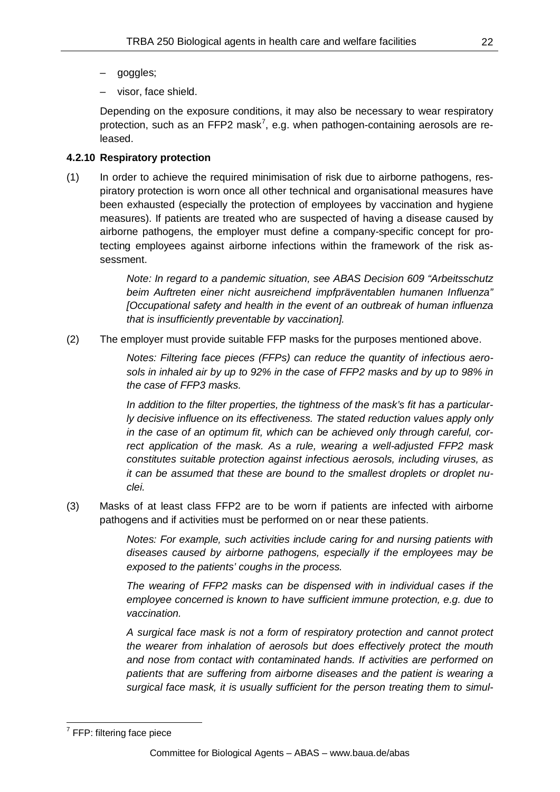- goggles;
- visor, face shield.

Depending on the exposure conditions, it may also be necessary to wear respiratory protection, such as an FFP2 mask<sup>[7](#page-21-0)</sup>, e.g. when pathogen-containing aerosols are released.

## **4.2.10 Respiratory protection**

(1) In order to achieve the required minimisation of risk due to airborne pathogens, respiratory protection is worn once all other technical and organisational measures have been exhausted (especially the protection of employees by vaccination and hygiene measures). If patients are treated who are suspected of having a disease caused by airborne pathogens, the employer must define a company-specific concept for protecting employees against airborne infections within the framework of the risk assessment.

> *Note: In regard to a pandemic situation, see ABAS Decision 609 "Arbeitsschutz beim Auftreten einer nicht ausreichend impfpräventablen humanen Influenza" [Occupational safety and health in the event of an outbreak of human influenza that is insufficiently preventable by vaccination].*

(2) The employer must provide suitable FFP masks for the purposes mentioned above.

*Notes: Filtering face pieces (FFPs) can reduce the quantity of infectious aerosols in inhaled air by up to 92% in the case of FFP2 masks and by up to 98% in the case of FFP3 masks.*

*In addition to the filter properties, the tightness of the mask's fit has a particularly decisive influence on its effectiveness. The stated reduction values apply only in the case of an optimum fit, which can be achieved only through careful, correct application of the mask. As a rule, wearing a well-adjusted FFP2 mask constitutes suitable protection against infectious aerosols, including viruses, as it can be assumed that these are bound to the smallest droplets or droplet nuclei.*

(3) Masks of at least class FFP2 are to be worn if patients are infected with airborne pathogens and if activities must be performed on or near these patients.

> *Notes: For example, such activities include caring for and nursing patients with diseases caused by airborne pathogens, especially if the employees may be exposed to the patients' coughs in the process.*

> *The wearing of FFP2 masks can be dispensed with in individual cases if the employee concerned is known to have sufficient immune protection, e.g. due to vaccination.*

> *A surgical face mask is not a form of respiratory protection and cannot protect the wearer from inhalation of aerosols but does effectively protect the mouth and nose from contact with contaminated hands. If activities are performed on patients that are suffering from airborne diseases and the patient is wearing a surgical face mask, it is usually sufficient for the person treating them to simul-*

<span id="page-21-0"></span> $<sup>7</sup>$  FFP: filtering face piece</sup>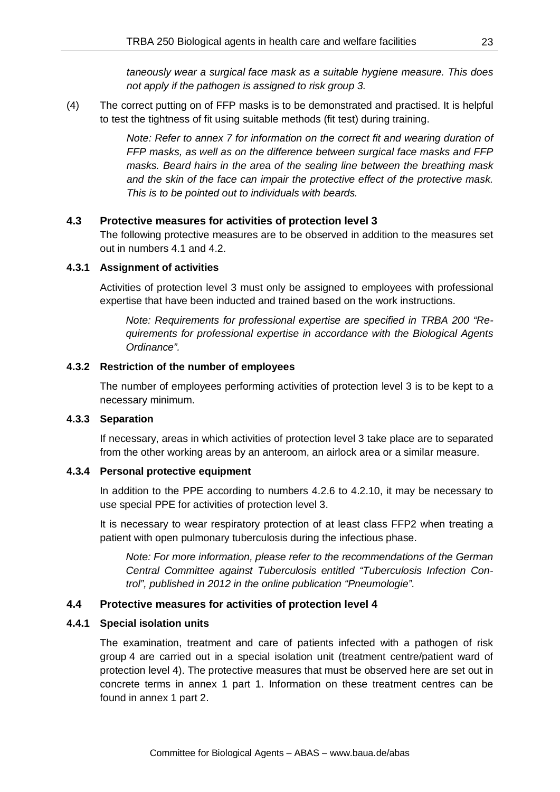*taneously wear a surgical face mask as a suitable hygiene measure. This does not apply if the pathogen is assigned to risk group 3.*

(4) The correct putting on of FFP masks is to be demonstrated and practised. It is helpful to test the tightness of fit using suitable methods (fit test) during training.

> *Note: Refer to annex 7 for information on the correct fit and wearing duration of FFP masks, as well as on the difference between surgical face masks and FFP masks. Beard hairs in the area of the sealing line between the breathing mask and the skin of the face can impair the protective effect of the protective mask. This is to be pointed out to individuals with beards.*

## **4.3 Protective measures for activities of protection level 3**

The following protective measures are to be observed in addition to the measures set out in numbers 4.1 and 4.2.

#### **4.3.1 Assignment of activities**

Activities of protection level 3 must only be assigned to employees with professional expertise that have been inducted and trained based on the work instructions.

*Note: Requirements for professional expertise are specified in TRBA 200 "Requirements for professional expertise in accordance with the Biological Agents Ordinance".*

## **4.3.2 Restriction of the number of employees**

The number of employees performing activities of protection level 3 is to be kept to a necessary minimum.

#### **4.3.3 Separation**

If necessary, areas in which activities of protection level 3 take place are to separated from the other working areas by an anteroom, an airlock area or a similar measure.

#### **4.3.4 Personal protective equipment**

In addition to the PPE according to numbers 4.2.6 to 4.2.10, it may be necessary to use special PPE for activities of protection level 3.

It is necessary to wear respiratory protection of at least class FFP2 when treating a patient with open pulmonary tuberculosis during the infectious phase.

*Note: For more information, please refer to the recommendations of the German Central Committee against Tuberculosis entitled "Tuberculosis Infection Control", published in 2012 in the online publication "Pneumologie".* 

## **4.4 Protective measures for activities of protection level 4**

#### **4.4.1 Special isolation units**

The examination, treatment and care of patients infected with a pathogen of risk group 4 are carried out in a special isolation unit (treatment centre/patient ward of protection level 4). The protective measures that must be observed here are set out in concrete terms in annex 1 part 1. Information on these treatment centres can be found in annex 1 part 2.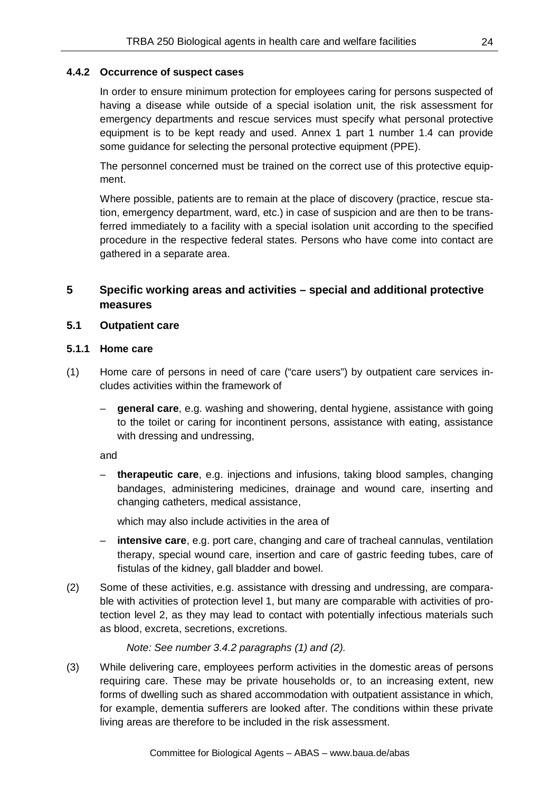## **4.4.2 Occurrence of suspect cases**

In order to ensure minimum protection for employees caring for persons suspected of having a disease while outside of a special isolation unit, the risk assessment for emergency departments and rescue services must specify what personal protective equipment is to be kept ready and used. Annex 1 part 1 number 1.4 can provide some guidance for selecting the personal protective equipment (PPE).

The personnel concerned must be trained on the correct use of this protective equipment.

Where possible, patients are to remain at the place of discovery (practice, rescue station, emergency department, ward, etc.) in case of suspicion and are then to be transferred immediately to a facility with a special isolation unit according to the specified procedure in the respective federal states. Persons who have come into contact are gathered in a separate area.

# **5 Specific working areas and activities – special and additional protective measures**

## **5.1 Outpatient care**

## **5.1.1 Home care**

- (1) Home care of persons in need of care ("care users") by outpatient care services includes activities within the framework of
	- **general care**, e.g. washing and showering, dental hygiene, assistance with going to the toilet or caring for incontinent persons, assistance with eating, assistance with dressing and undressing,

and

– **therapeutic care**, e.g. injections and infusions, taking blood samples, changing bandages, administering medicines, drainage and wound care, inserting and changing catheters, medical assistance,

which may also include activities in the area of

- **intensive care**, e.g. port care, changing and care of tracheal cannulas, ventilation therapy, special wound care, insertion and care of gastric feeding tubes, care of fistulas of the kidney, gall bladder and bowel.
- (2) Some of these activities, e.g. assistance with dressing and undressing, are comparable with activities of protection level 1, but many are comparable with activities of protection level 2, as they may lead to contact with potentially infectious materials such as blood, excreta, secretions, excretions.

# *Note: See number 3.4.2 paragraphs (1) and (2).*

(3) While delivering care, employees perform activities in the domestic areas of persons requiring care. These may be private households or, to an increasing extent, new forms of dwelling such as shared accommodation with outpatient assistance in which, for example, dementia sufferers are looked after. The conditions within these private living areas are therefore to be included in the risk assessment.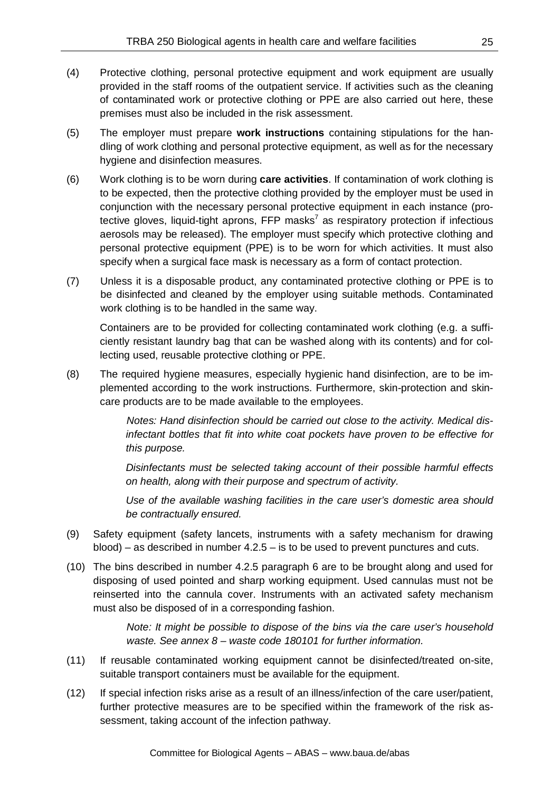- (4) Protective clothing, personal protective equipment and work equipment are usually provided in the staff rooms of the outpatient service. If activities such as the cleaning of contaminated work or protective clothing or PPE are also carried out here, these premises must also be included in the risk assessment.
- (5) The employer must prepare **work instructions** containing stipulations for the handling of work clothing and personal protective equipment, as well as for the necessary hygiene and disinfection measures.
- (6) Work clothing is to be worn during **care activities**. If contamination of work clothing is to be expected, then the protective clothing provided by the employer must be used in conjunction with the necessary personal protective equipment in each instance (protective gloves, liquid-tight aprons,  $\mathsf{FFP}\mathsf{masss}^7$  as respiratory protection if infectious aerosols may be released). The employer must specify which protective clothing and personal protective equipment (PPE) is to be worn for which activities. It must also specify when a surgical face mask is necessary as a form of contact protection.
- (7) Unless it is a disposable product, any contaminated protective clothing or PPE is to be disinfected and cleaned by the employer using suitable methods. Contaminated work clothing is to be handled in the same way.

Containers are to be provided for collecting contaminated work clothing (e.g. a sufficiently resistant laundry bag that can be washed along with its contents) and for collecting used, reusable protective clothing or PPE.

(8) The required hygiene measures, especially hygienic hand disinfection, are to be implemented according to the work instructions. Furthermore, skin-protection and skincare products are to be made available to the employees.

> *Notes: Hand disinfection should be carried out close to the activity. Medical disinfectant bottles that fit into white coat pockets have proven to be effective for this purpose.*

> *Disinfectants must be selected taking account of their possible harmful effects on health, along with their purpose and spectrum of activity.*

> *Use of the available washing facilities in the care user's domestic area should be contractually ensured.*

- (9) Safety equipment (safety lancets, instruments with a safety mechanism for drawing  $b$ lood) – as described in number  $4.2.5 -$  is to be used to prevent punctures and cuts.
- (10) The bins described in number 4.2.5 paragraph 6 are to be brought along and used for disposing of used pointed and sharp working equipment. Used cannulas must not be reinserted into the cannula cover. Instruments with an activated safety mechanism must also be disposed of in a corresponding fashion.

*Note: It might be possible to dispose of the bins via the care user's household waste. See annex 8 – waste code 180101 for further information.*

- (11) If reusable contaminated working equipment cannot be disinfected/treated on-site, suitable transport containers must be available for the equipment.
- (12) If special infection risks arise as a result of an illness/infection of the care user/patient, further protective measures are to be specified within the framework of the risk assessment, taking account of the infection pathway.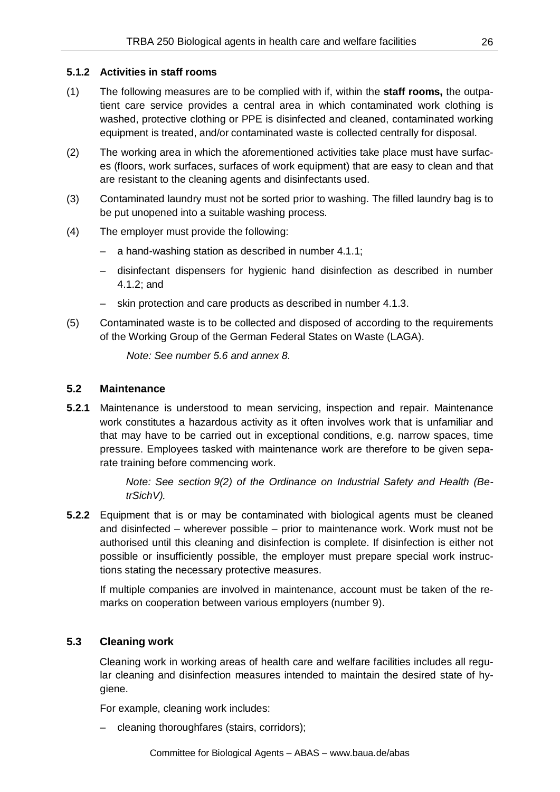## **5.1.2 Activities in staff rooms**

- (1) The following measures are to be complied with if, within the **staff rooms,** the outpatient care service provides a central area in which contaminated work clothing is washed, protective clothing or PPE is disinfected and cleaned, contaminated working equipment is treated, and/or contaminated waste is collected centrally for disposal.
- (2) The working area in which the aforementioned activities take place must have surfaces (floors, work surfaces, surfaces of work equipment) that are easy to clean and that are resistant to the cleaning agents and disinfectants used.
- (3) Contaminated laundry must not be sorted prior to washing. The filled laundry bag is to be put unopened into a suitable washing process.
- (4) The employer must provide the following:
	- a hand-washing station as described in number 4.1.1;
	- disinfectant dispensers for hygienic hand disinfection as described in number 4.1.2; and
	- skin protection and care products as described in number 4.1.3.
- (5) Contaminated waste is to be collected and disposed of according to the requirements of the Working Group of the German Federal States on Waste (LAGA).

*Note: See number 5.6 and annex 8.*

## **5.2 Maintenance**

**5.2.1** Maintenance is understood to mean servicing, inspection and repair. Maintenance work constitutes a hazardous activity as it often involves work that is unfamiliar and that may have to be carried out in exceptional conditions, e.g. narrow spaces, time pressure. Employees tasked with maintenance work are therefore to be given separate training before commencing work.

> *Note: See section 9(2) of the Ordinance on Industrial Safety and Health (BetrSichV).*

**5.2.2** Equipment that is or may be contaminated with biological agents must be cleaned and disinfected – wherever possible – prior to maintenance work. Work must not be authorised until this cleaning and disinfection is complete. If disinfection is either not possible or insufficiently possible, the employer must prepare special work instructions stating the necessary protective measures.

If multiple companies are involved in maintenance, account must be taken of the remarks on cooperation between various employers (number 9).

# **5.3 Cleaning work**

Cleaning work in working areas of health care and welfare facilities includes all regular cleaning and disinfection measures intended to maintain the desired state of hygiene.

For example, cleaning work includes:

– cleaning thoroughfares (stairs, corridors);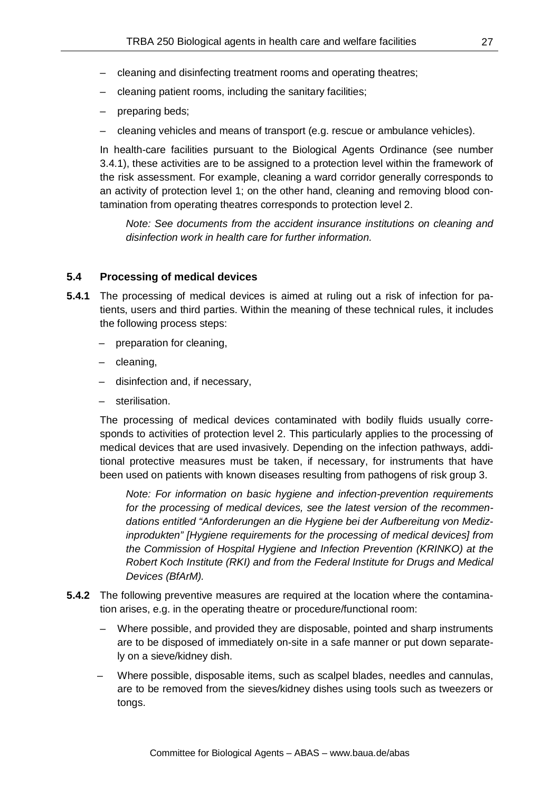- cleaning and disinfecting treatment rooms and operating theatres;
- cleaning patient rooms, including the sanitary facilities;
- preparing beds;
- cleaning vehicles and means of transport (e.g. rescue or ambulance vehicles).

In health-care facilities pursuant to the Biological Agents Ordinance (see number 3.4.1), these activities are to be assigned to a protection level within the framework of the risk assessment. For example, cleaning a ward corridor generally corresponds to an activity of protection level 1; on the other hand, cleaning and removing blood contamination from operating theatres corresponds to protection level 2.

*Note: See documents from the accident insurance institutions on cleaning and disinfection work in health care for further information.*

#### **5.4 Processing of medical devices**

- **5.4.1** The processing of medical devices is aimed at ruling out a risk of infection for patients, users and third parties. Within the meaning of these technical rules, it includes the following process steps:
	- preparation for cleaning,
	- cleaning,
	- disinfection and, if necessary,
	- sterilisation.

The processing of medical devices contaminated with bodily fluids usually corresponds to activities of protection level 2. This particularly applies to the processing of medical devices that are used invasively. Depending on the infection pathways, additional protective measures must be taken, if necessary, for instruments that have been used on patients with known diseases resulting from pathogens of risk group 3.

*Note: For information on basic hygiene and infection-prevention requirements for the processing of medical devices, see the latest version of the recommendations entitled "Anforderungen an die Hygiene bei der Aufbereitung von Medizinprodukten" [Hygiene requirements for the processing of medical devices] from the Commission of Hospital Hygiene and Infection Prevention (KRINKO) at the Robert Koch Institute (RKI) and from the Federal Institute for Drugs and Medical Devices (BfArM).*

- **5.4.2** The following preventive measures are required at the location where the contamination arises, e.g. in the operating theatre or procedure/functional room:
	- Where possible, and provided they are disposable, pointed and sharp instruments are to be disposed of immediately on-site in a safe manner or put down separately on a sieve/kidney dish.
	- Where possible, disposable items, such as scalpel blades, needles and cannulas, are to be removed from the sieves/kidney dishes using tools such as tweezers or tongs.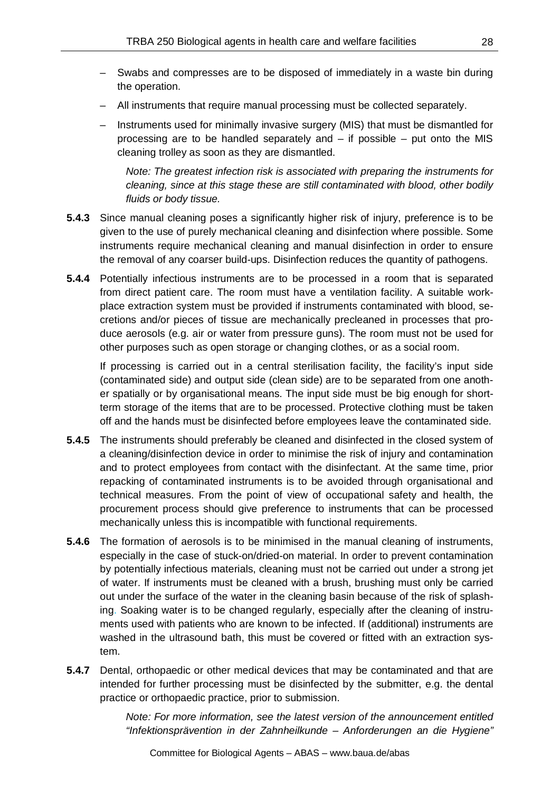- Swabs and compresses are to be disposed of immediately in a waste bin during the operation.
- All instruments that require manual processing must be collected separately.
- Instruments used for minimally invasive surgery (MIS) that must be dismantled for processing are to be handled separately and – if possible – put onto the MIS cleaning trolley as soon as they are dismantled.

*Note: The greatest infection risk is associated with preparing the instruments for cleaning, since at this stage these are still contaminated with blood, other bodily fluids or body tissue.*

- **5.4.3** Since manual cleaning poses a significantly higher risk of injury, preference is to be given to the use of purely mechanical cleaning and disinfection where possible. Some instruments require mechanical cleaning and manual disinfection in order to ensure the removal of any coarser build-ups. Disinfection reduces the quantity of pathogens.
- **5.4.4** Potentially infectious instruments are to be processed in a room that is separated from direct patient care. The room must have a ventilation facility. A suitable workplace extraction system must be provided if instruments contaminated with blood, secretions and/or pieces of tissue are mechanically precleaned in processes that produce aerosols (e.g. air or water from pressure guns). The room must not be used for other purposes such as open storage or changing clothes, or as a social room.

If processing is carried out in a central sterilisation facility, the facility's input side (contaminated side) and output side (clean side) are to be separated from one another spatially or by organisational means. The input side must be big enough for shortterm storage of the items that are to be processed. Protective clothing must be taken off and the hands must be disinfected before employees leave the contaminated side.

- **5.4.5** The instruments should preferably be cleaned and disinfected in the closed system of a cleaning/disinfection device in order to minimise the risk of injury and contamination and to protect employees from contact with the disinfectant. At the same time, prior repacking of contaminated instruments is to be avoided through organisational and technical measures. From the point of view of occupational safety and health, the procurement process should give preference to instruments that can be processed mechanically unless this is incompatible with functional requirements.
- **5.4.6** The formation of aerosols is to be minimised in the manual cleaning of instruments, especially in the case of stuck-on/dried-on material. In order to prevent contamination by potentially infectious materials, cleaning must not be carried out under a strong jet of water. If instruments must be cleaned with a brush, brushing must only be carried out under the surface of the water in the cleaning basin because of the risk of splashing. Soaking water is to be changed regularly, especially after the cleaning of instruments used with patients who are known to be infected. If (additional) instruments are washed in the ultrasound bath, this must be covered or fitted with an extraction system.
- **5.4.7** Dental, orthopaedic or other medical devices that may be contaminated and that are intended for further processing must be disinfected by the submitter, e.g. the dental practice or orthopaedic practice, prior to submission.

*Note: For more information, see the latest version of the announcement entitled "Infektionsprävention in der Zahnheilkunde – Anforderungen an die Hygiene"* 

28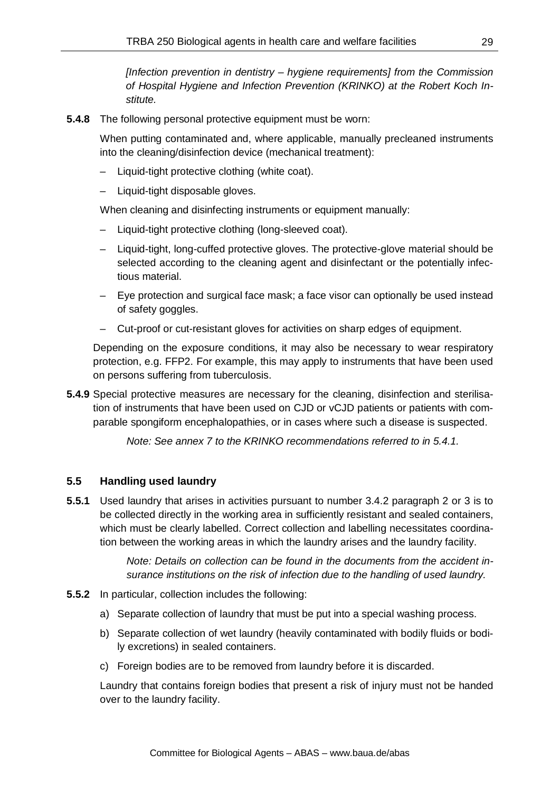*[Infection prevention in dentistry – hygiene requirements] from the Commission of Hospital Hygiene and Infection Prevention (KRINKO) at the Robert Koch Institute.*

**5.4.8** The following personal protective equipment must be worn:

When putting contaminated and, where applicable, manually precleaned instruments into the cleaning/disinfection device (mechanical treatment):

- Liquid-tight protective clothing (white coat).
- Liquid-tight disposable gloves.

When cleaning and disinfecting instruments or equipment manually:

- Liquid-tight protective clothing (long-sleeved coat).
- Liquid-tight, long-cuffed protective gloves. The protective-glove material should be selected according to the cleaning agent and disinfectant or the potentially infectious material.
- Eye protection and surgical face mask; a face visor can optionally be used instead of safety goggles.
- Cut-proof or cut-resistant gloves for activities on sharp edges of equipment.

Depending on the exposure conditions, it may also be necessary to wear respiratory protection, e.g. FFP2. For example, this may apply to instruments that have been used on persons suffering from tuberculosis.

**5.4.9** Special protective measures are necessary for the cleaning, disinfection and sterilisation of instruments that have been used on CJD or vCJD patients or patients with comparable spongiform encephalopathies, or in cases where such a disease is suspected.

*Note: See annex 7 to the KRINKO recommendations referred to in 5.4.1.*

# **5.5 Handling used laundry**

**5.5.1** Used laundry that arises in activities pursuant to number 3.4.2 paragraph 2 or 3 is to be collected directly in the working area in sufficiently resistant and sealed containers, which must be clearly labelled. Correct collection and labelling necessitates coordination between the working areas in which the laundry arises and the laundry facility.

> *Note: Details on collection can be found in the documents from the accident insurance institutions on the risk of infection due to the handling of used laundry.*

- **5.5.2** In particular, collection includes the following:
	- a) Separate collection of laundry that must be put into a special washing process.
	- b) Separate collection of wet laundry (heavily contaminated with bodily fluids or bodily excretions) in sealed containers.
	- c) Foreign bodies are to be removed from laundry before it is discarded.

Laundry that contains foreign bodies that present a risk of injury must not be handed over to the laundry facility.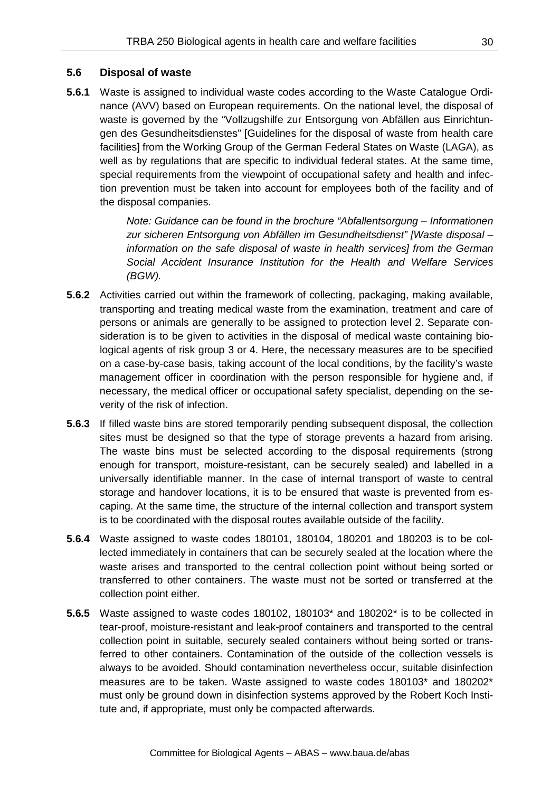#### **5.6 Disposal of waste**

**5.6.1** Waste is assigned to individual waste codes according to the Waste Catalogue Ordinance (AVV) based on European requirements. On the national level, the disposal of waste is governed by the "Vollzugshilfe zur Entsorgung von Abfällen aus Einrichtungen des Gesundheitsdienstes" [Guidelines for the disposal of waste from health care facilities] from the Working Group of the German Federal States on Waste (LAGA), as well as by regulations that are specific to individual federal states. At the same time, special requirements from the viewpoint of occupational safety and health and infection prevention must be taken into account for employees both of the facility and of the disposal companies.

> *Note: Guidance can be found in the brochure "Abfallentsorgung – Informationen zur sicheren Entsorgung von Abfällen im Gesundheitsdienst" [Waste disposal – information on the safe disposal of waste in health services] from the German Social Accident Insurance Institution for the Health and Welfare Services (BGW).*

- **5.6.2** Activities carried out within the framework of collecting, packaging, making available, transporting and treating medical waste from the examination, treatment and care of persons or animals are generally to be assigned to protection level 2. Separate consideration is to be given to activities in the disposal of medical waste containing biological agents of risk group 3 or 4. Here, the necessary measures are to be specified on a case-by-case basis, taking account of the local conditions, by the facility's waste management officer in coordination with the person responsible for hygiene and, if necessary, the medical officer or occupational safety specialist, depending on the severity of the risk of infection.
- **5.6.3** If filled waste bins are stored temporarily pending subsequent disposal, the collection sites must be designed so that the type of storage prevents a hazard from arising. The waste bins must be selected according to the disposal requirements (strong enough for transport, moisture-resistant, can be securely sealed) and labelled in a universally identifiable manner. In the case of internal transport of waste to central storage and handover locations, it is to be ensured that waste is prevented from escaping. At the same time, the structure of the internal collection and transport system is to be coordinated with the disposal routes available outside of the facility.
- **5.6.4** Waste assigned to waste codes 180101, 180104, 180201 and 180203 is to be collected immediately in containers that can be securely sealed at the location where the waste arises and transported to the central collection point without being sorted or transferred to other containers. The waste must not be sorted or transferred at the collection point either.
- **5.6.5** Waste assigned to waste codes 180102, 180103\* and 180202\* is to be collected in tear-proof, moisture-resistant and leak-proof containers and transported to the central collection point in suitable, securely sealed containers without being sorted or transferred to other containers. Contamination of the outside of the collection vessels is always to be avoided. Should contamination nevertheless occur, suitable disinfection measures are to be taken. Waste assigned to waste codes 180103\* and 180202\* must only be ground down in disinfection systems approved by the Robert Koch Institute and, if appropriate, must only be compacted afterwards.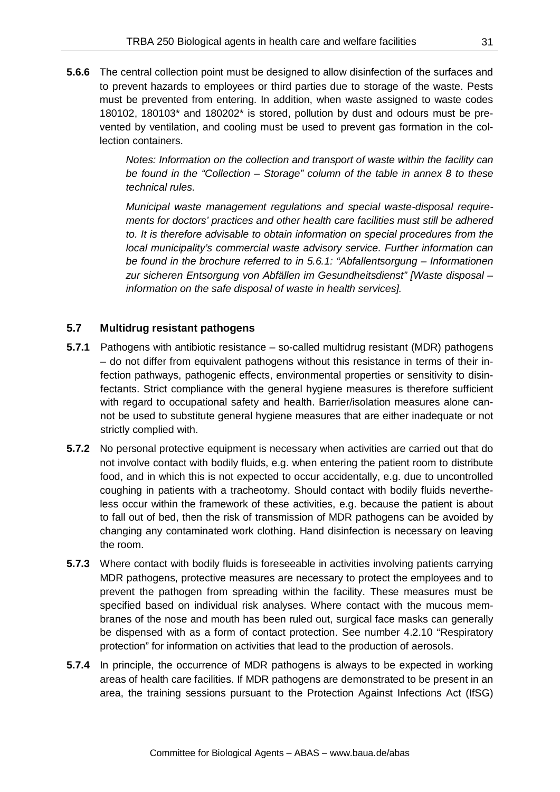**5.6.6** The central collection point must be designed to allow disinfection of the surfaces and to prevent hazards to employees or third parties due to storage of the waste. Pests must be prevented from entering. In addition, when waste assigned to waste codes 180102, 180103\* and 180202\* is stored, pollution by dust and odours must be prevented by ventilation, and cooling must be used to prevent gas formation in the collection containers.

> *Notes: Information on the collection and transport of waste within the facility can be found in the "Collection – Storage" column of the table in annex 8 to these technical rules.*

> *Municipal waste management regulations and special waste-disposal requirements for doctors' practices and other health care facilities must still be adhered to. It is therefore advisable to obtain information on special procedures from the local municipality's commercial waste advisory service. Further information can be found in the brochure referred to in 5.6.1: "Abfallentsorgung – Informationen zur sicheren Entsorgung von Abfällen im Gesundheitsdienst" [Waste disposal – information on the safe disposal of waste in health services].*

## **5.7 Multidrug resistant pathogens**

- **5.7.1** Pathogens with antibiotic resistance so-called multidrug resistant (MDR) pathogens – do not differ from equivalent pathogens without this resistance in terms of their infection pathways, pathogenic effects, environmental properties or sensitivity to disinfectants. Strict compliance with the general hygiene measures is therefore sufficient with regard to occupational safety and health. Barrier/isolation measures alone cannot be used to substitute general hygiene measures that are either inadequate or not strictly complied with.
- **5.7.2** No personal protective equipment is necessary when activities are carried out that do not involve contact with bodily fluids, e.g. when entering the patient room to distribute food, and in which this is not expected to occur accidentally, e.g. due to uncontrolled coughing in patients with a tracheotomy. Should contact with bodily fluids nevertheless occur within the framework of these activities, e.g. because the patient is about to fall out of bed, then the risk of transmission of MDR pathogens can be avoided by changing any contaminated work clothing. Hand disinfection is necessary on leaving the room.
- **5.7.3** Where contact with bodily fluids is foreseeable in activities involving patients carrying MDR pathogens, protective measures are necessary to protect the employees and to prevent the pathogen from spreading within the facility. These measures must be specified based on individual risk analyses. Where contact with the mucous membranes of the nose and mouth has been ruled out, surgical face masks can generally be dispensed with as a form of contact protection. See number 4.2.10 "Respiratory protection" for information on activities that lead to the production of aerosols.
- **5.7.4** In principle, the occurrence of MDR pathogens is always to be expected in working areas of health care facilities. If MDR pathogens are demonstrated to be present in an area, the training sessions pursuant to the Protection Against Infections Act (IfSG)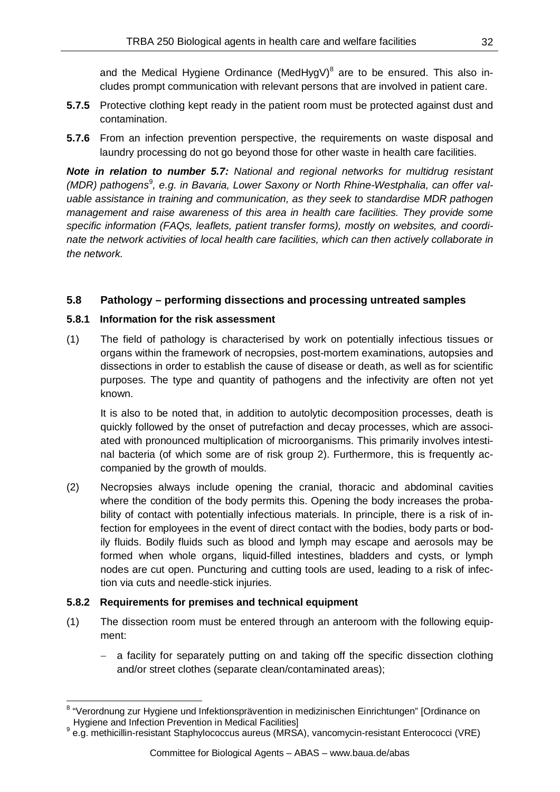and the Medical Hygiene Ordinance (MedHygV) $8$  are to be ensured. This also includes prompt communication with relevant persons that are involved in patient care.

- **5.7.5** Protective clothing kept ready in the patient room must be protected against dust and contamination.
- **5.7.6** From an infection prevention perspective, the requirements on waste disposal and laundry processing do not go beyond those for other waste in health care facilities.

*Note in relation to number 5.7: National and regional networks for multidrug resistant*  (MDR) pathogens<sup>[9](#page-31-1)</sup>, e.g. in Bavaria, Lower Saxony or North Rhine-Westphalia, can offer val*uable assistance in training and communication, as they seek to standardise MDR pathogen management and raise awareness of this area in health care facilities. They provide some specific information (FAQs, leaflets, patient transfer forms), mostly on websites, and coordinate the network activities of local health care facilities, which can then actively collaborate in the network.*

# **5.8 Pathology – performing dissections and processing untreated samples**

## **5.8.1 Information for the risk assessment**

(1) The field of pathology is characterised by work on potentially infectious tissues or organs within the framework of necropsies, post-mortem examinations, autopsies and dissections in order to establish the cause of disease or death, as well as for scientific purposes. The type and quantity of pathogens and the infectivity are often not yet known.

It is also to be noted that, in addition to autolytic decomposition processes, death is quickly followed by the onset of putrefaction and decay processes, which are associated with pronounced multiplication of microorganisms. This primarily involves intestinal bacteria (of which some are of risk group 2). Furthermore, this is frequently accompanied by the growth of moulds.

(2) Necropsies always include opening the cranial, thoracic and abdominal cavities where the condition of the body permits this. Opening the body increases the probability of contact with potentially infectious materials. In principle, there is a risk of infection for employees in the event of direct contact with the bodies, body parts or bodily fluids. Bodily fluids such as blood and lymph may escape and aerosols may be formed when whole organs, liquid-filled intestines, bladders and cysts, or lymph nodes are cut open. Puncturing and cutting tools are used, leading to a risk of infection via cuts and needle-stick injuries.

## **5.8.2 Requirements for premises and technical equipment**

- (1) The dissection room must be entered through an anteroom with the following equipment:
	- a facility for separately putting on and taking off the specific dissection clothing and/or street clothes (separate clean/contaminated areas);

<span id="page-31-0"></span><sup>&</sup>lt;sup>8</sup> "Verordnung zur Hygiene und Infektionsprävention in medizinischen Einrichtungen" [Ordinance on<br>Hygiene and Infection Prevention in Medical Facilities]

<span id="page-31-1"></span><sup>9</sup> e.g. methicillin-resistant Staphylococcus aureus (MRSA), vancomycin-resistant Enterococci (VRE)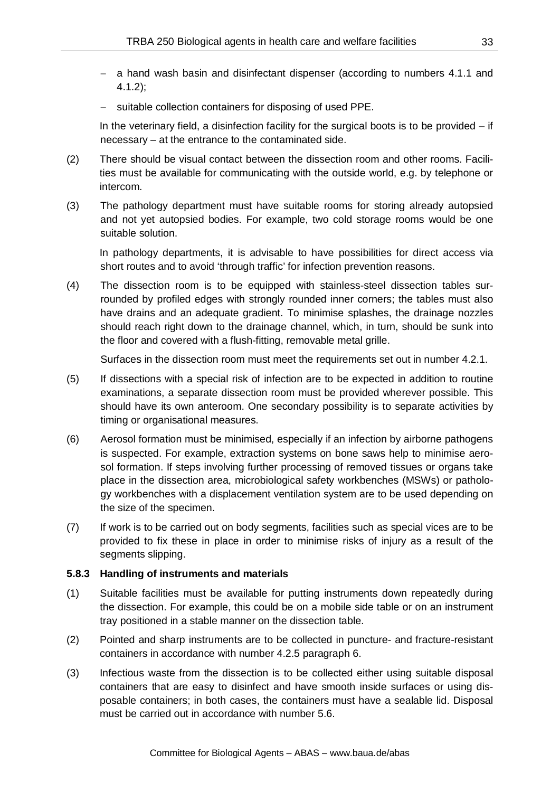- − a hand wash basin and disinfectant dispenser (according to numbers 4.1.1 and 4.1.2);
- − suitable collection containers for disposing of used PPE.

In the veterinary field, a disinfection facility for the surgical boots is to be provided  $-$  if necessary – at the entrance to the contaminated side.

- (2) There should be visual contact between the dissection room and other rooms. Facilities must be available for communicating with the outside world, e.g. by telephone or intercom.
- (3) The pathology department must have suitable rooms for storing already autopsied and not yet autopsied bodies. For example, two cold storage rooms would be one suitable solution.

In pathology departments, it is advisable to have possibilities for direct access via short routes and to avoid 'through traffic' for infection prevention reasons.

(4) The dissection room is to be equipped with stainless-steel dissection tables surrounded by profiled edges with strongly rounded inner corners; the tables must also have drains and an adequate gradient. To minimise splashes, the drainage nozzles should reach right down to the drainage channel, which, in turn, should be sunk into the floor and covered with a flush-fitting, removable metal grille.

Surfaces in the dissection room must meet the requirements set out in number 4.2.1.

- (5) If dissections with a special risk of infection are to be expected in addition to routine examinations, a separate dissection room must be provided wherever possible. This should have its own anteroom. One secondary possibility is to separate activities by timing or organisational measures.
- (6) Aerosol formation must be minimised, especially if an infection by airborne pathogens is suspected. For example, extraction systems on bone saws help to minimise aerosol formation. If steps involving further processing of removed tissues or organs take place in the dissection area, microbiological safety workbenches (MSWs) or pathology workbenches with a displacement ventilation system are to be used depending on the size of the specimen.
- (7) If work is to be carried out on body segments, facilities such as special vices are to be provided to fix these in place in order to minimise risks of injury as a result of the segments slipping.

## **5.8.3 Handling of instruments and materials**

- (1) Suitable facilities must be available for putting instruments down repeatedly during the dissection. For example, this could be on a mobile side table or on an instrument tray positioned in a stable manner on the dissection table.
- (2) Pointed and sharp instruments are to be collected in puncture- and fracture-resistant containers in accordance with number 4.2.5 paragraph 6.
- (3) Infectious waste from the dissection is to be collected either using suitable disposal containers that are easy to disinfect and have smooth inside surfaces or using disposable containers; in both cases, the containers must have a sealable lid. Disposal must be carried out in accordance with number 5.6.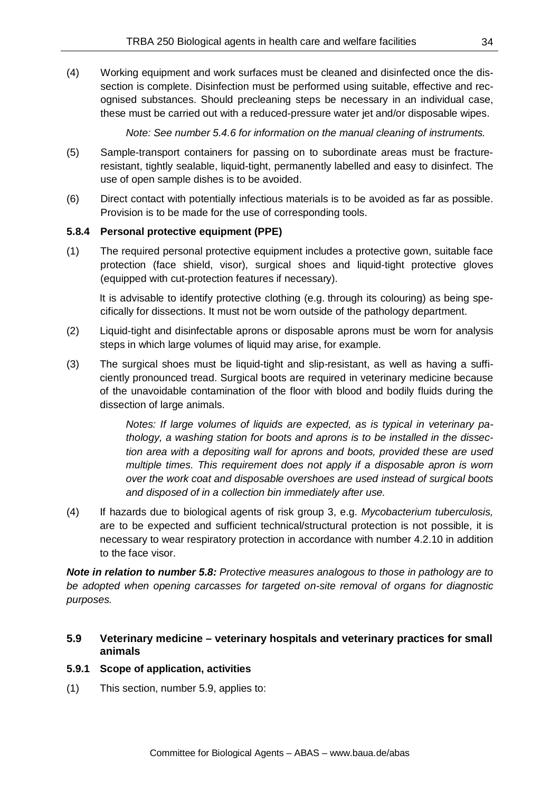(4) Working equipment and work surfaces must be cleaned and disinfected once the dissection is complete. Disinfection must be performed using suitable, effective and recognised substances. Should precleaning steps be necessary in an individual case, these must be carried out with a reduced-pressure water jet and/or disposable wipes.

*Note: See number 5.4.6 for information on the manual cleaning of instruments.*

- (5) Sample-transport containers for passing on to subordinate areas must be fractureresistant, tightly sealable, liquid-tight, permanently labelled and easy to disinfect. The use of open sample dishes is to be avoided.
- (6) Direct contact with potentially infectious materials is to be avoided as far as possible. Provision is to be made for the use of corresponding tools.

## **5.8.4 Personal protective equipment (PPE)**

(1) The required personal protective equipment includes a protective gown, suitable face protection (face shield, visor), surgical shoes and liquid-tight protective gloves (equipped with cut-protection features if necessary).

It is advisable to identify protective clothing (e.g. through its colouring) as being specifically for dissections. It must not be worn outside of the pathology department.

- (2) Liquid-tight and disinfectable aprons or disposable aprons must be worn for analysis steps in which large volumes of liquid may arise, for example.
- (3) The surgical shoes must be liquid-tight and slip-resistant, as well as having a sufficiently pronounced tread. Surgical boots are required in veterinary medicine because of the unavoidable contamination of the floor with blood and bodily fluids during the dissection of large animals.

*Notes: If large volumes of liquids are expected, as is typical in veterinary pathology, a washing station for boots and aprons is to be installed in the dissection area with a depositing wall for aprons and boots, provided these are used*  multiple times. This requirement does not apply if a disposable apron is worn *over the work coat and disposable overshoes are used instead of surgical boots and disposed of in a collection bin immediately after use.*

(4) If hazards due to biological agents of risk group 3, e.g. *Mycobacterium tuberculosis,* are to be expected and sufficient technical/structural protection is not possible, it is necessary to wear respiratory protection in accordance with number 4.2.10 in addition to the face visor.

*Note in relation to number 5.8: Protective measures analogous to those in pathology are to be adopted when opening carcasses for targeted on-site removal of organs for diagnostic purposes.*

## **5.9 Veterinary medicine – veterinary hospitals and veterinary practices for small animals**

#### **5.9.1 Scope of application, activities**

(1) This section, number 5.9, applies to: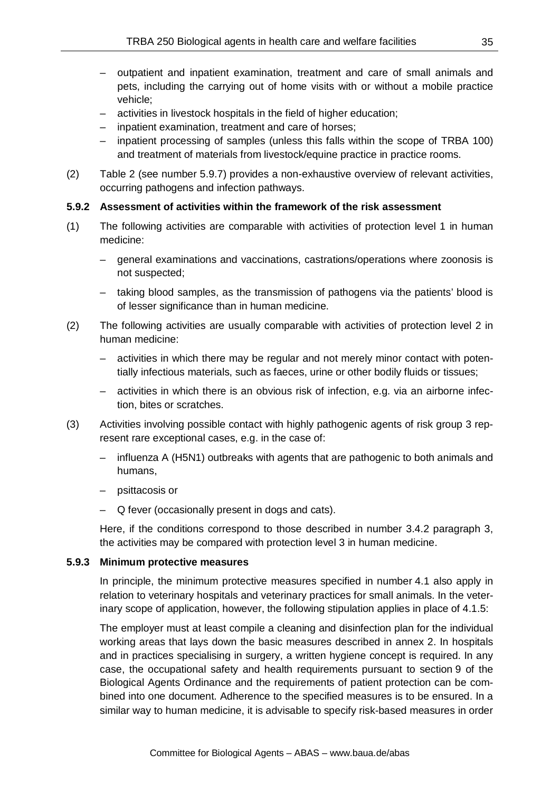- outpatient and inpatient examination, treatment and care of small animals and pets, including the carrying out of home visits with or without a mobile practice vehicle;
- activities in livestock hospitals in the field of higher education;
- inpatient examination, treatment and care of horses;
- inpatient processing of samples (unless this falls within the scope of TRBA 100) and treatment of materials from livestock/equine practice in practice rooms.
- (2) Table 2 (see number 5.9.7) provides a non-exhaustive overview of relevant activities, occurring pathogens and infection pathways.

## **5.9.2 Assessment of activities within the framework of the risk assessment**

- (1) The following activities are comparable with activities of protection level 1 in human medicine:
	- general examinations and vaccinations, castrations/operations where zoonosis is not suspected;
	- taking blood samples, as the transmission of pathogens via the patients' blood is of lesser significance than in human medicine.
- (2) The following activities are usually comparable with activities of protection level 2 in human medicine:
	- activities in which there may be regular and not merely minor contact with potentially infectious materials, such as faeces, urine or other bodily fluids or tissues;
	- activities in which there is an obvious risk of infection, e.g. via an airborne infection, bites or scratches.
- (3) Activities involving possible contact with highly pathogenic agents of risk group 3 represent rare exceptional cases, e.g. in the case of:
	- influenza A (H5N1) outbreaks with agents that are pathogenic to both animals and humans,
	- psittacosis or
	- Q fever (occasionally present in dogs and cats).

Here, if the conditions correspond to those described in number 3.4.2 paragraph 3, the activities may be compared with protection level 3 in human medicine.

## **5.9.3 Minimum protective measures**

In principle, the minimum protective measures specified in number 4.1 also apply in relation to veterinary hospitals and veterinary practices for small animals. In the veterinary scope of application, however, the following stipulation applies in place of 4.1.5:

The employer must at least compile a cleaning and disinfection plan for the individual working areas that lays down the basic measures described in annex 2. In hospitals and in practices specialising in surgery, a written hygiene concept is required. In any case, the occupational safety and health requirements pursuant to section 9 of the Biological Agents Ordinance and the requirements of patient protection can be combined into one document. Adherence to the specified measures is to be ensured. In a similar way to human medicine, it is advisable to specify risk-based measures in order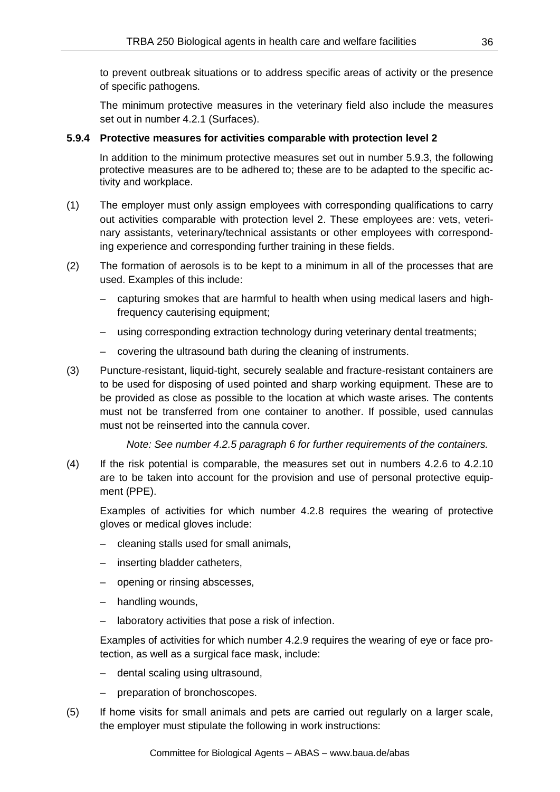to prevent outbreak situations or to address specific areas of activity or the presence of specific pathogens.

The minimum protective measures in the veterinary field also include the measures set out in number 4.2.1 (Surfaces).

## **5.9.4 Protective measures for activities comparable with protection level 2**

In addition to the minimum protective measures set out in number 5.9.3, the following protective measures are to be adhered to; these are to be adapted to the specific activity and workplace.

- (1) The employer must only assign employees with corresponding qualifications to carry out activities comparable with protection level 2. These employees are: vets, veterinary assistants, veterinary/technical assistants or other employees with corresponding experience and corresponding further training in these fields.
- (2) The formation of aerosols is to be kept to a minimum in all of the processes that are used. Examples of this include:
	- capturing smokes that are harmful to health when using medical lasers and highfrequency cauterising equipment;
	- using corresponding extraction technology during veterinary dental treatments;
	- covering the ultrasound bath during the cleaning of instruments.
- (3) Puncture-resistant, liquid-tight, securely sealable and fracture-resistant containers are to be used for disposing of used pointed and sharp working equipment. These are to be provided as close as possible to the location at which waste arises. The contents must not be transferred from one container to another. If possible, used cannulas must not be reinserted into the cannula cover.

*Note: See number 4.2.5 paragraph 6 for further requirements of the containers.*

(4) If the risk potential is comparable, the measures set out in numbers 4.2.6 to 4.2.10 are to be taken into account for the provision and use of personal protective equipment (PPE).

Examples of activities for which number 4.2.8 requires the wearing of protective gloves or medical gloves include:

- cleaning stalls used for small animals,
- inserting bladder catheters,
- opening or rinsing abscesses,
- handling wounds,
- laboratory activities that pose a risk of infection.

Examples of activities for which number 4.2.9 requires the wearing of eye or face protection, as well as a surgical face mask, include:

- dental scaling using ultrasound,
- preparation of bronchoscopes.
- (5) If home visits for small animals and pets are carried out regularly on a larger scale, the employer must stipulate the following in work instructions: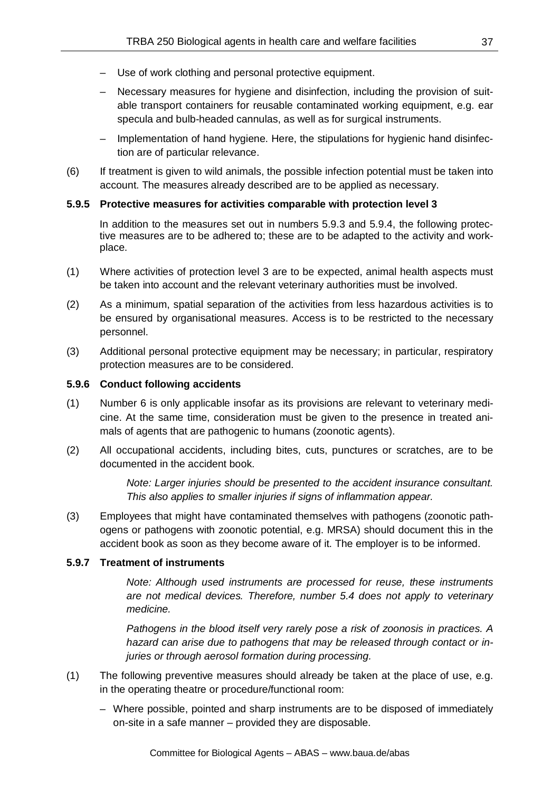- Use of work clothing and personal protective equipment.
- Necessary measures for hygiene and disinfection, including the provision of suitable transport containers for reusable contaminated working equipment, e.g. ear specula and bulb-headed cannulas, as well as for surgical instruments.
- Implementation of hand hygiene. Here, the stipulations for hygienic hand disinfection are of particular relevance.
- (6) If treatment is given to wild animals, the possible infection potential must be taken into account. The measures already described are to be applied as necessary.

#### **5.9.5 Protective measures for activities comparable with protection level 3**

In addition to the measures set out in numbers 5.9.3 and 5.9.4, the following protective measures are to be adhered to; these are to be adapted to the activity and workplace.

- (1) Where activities of protection level 3 are to be expected, animal health aspects must be taken into account and the relevant veterinary authorities must be involved.
- (2) As a minimum, spatial separation of the activities from less hazardous activities is to be ensured by organisational measures. Access is to be restricted to the necessary personnel.
- (3) Additional personal protective equipment may be necessary; in particular, respiratory protection measures are to be considered.

### **5.9.6 Conduct following accidents**

- (1) Number 6 is only applicable insofar as its provisions are relevant to veterinary medicine. At the same time, consideration must be given to the presence in treated animals of agents that are pathogenic to humans (zoonotic agents).
- (2) All occupational accidents, including bites, cuts, punctures or scratches, are to be documented in the accident book.

*Note: Larger injuries should be presented to the accident insurance consultant. This also applies to smaller injuries if signs of inflammation appear.*

(3) Employees that might have contaminated themselves with pathogens (zoonotic pathogens or pathogens with zoonotic potential, e.g. MRSA) should document this in the accident book as soon as they become aware of it. The employer is to be informed.

#### **5.9.7 Treatment of instruments**

*Note: Although used instruments are processed for reuse, these instruments are not medical devices. Therefore, number 5.4 does not apply to veterinary medicine.*

*Pathogens in the blood itself very rarely pose a risk of zoonosis in practices. A hazard can arise due to pathogens that may be released through contact or injuries or through aerosol formation during processing.*

- (1) The following preventive measures should already be taken at the place of use, e.g. in the operating theatre or procedure/functional room:
	- Where possible, pointed and sharp instruments are to be disposed of immediately on-site in a safe manner – provided they are disposable.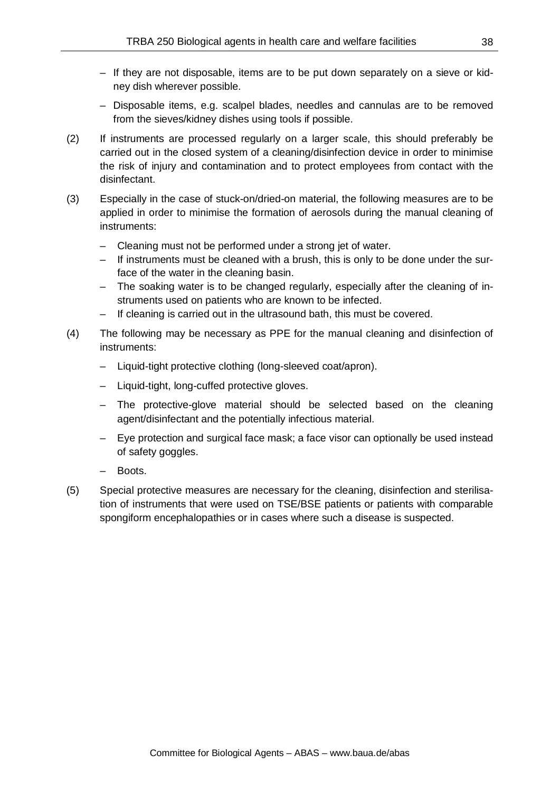- If they are not disposable, items are to be put down separately on a sieve or kidney dish wherever possible.
- Disposable items, e.g. scalpel blades, needles and cannulas are to be removed from the sieves/kidney dishes using tools if possible.
- (2) If instruments are processed regularly on a larger scale, this should preferably be carried out in the closed system of a cleaning/disinfection device in order to minimise the risk of injury and contamination and to protect employees from contact with the disinfectant.
- (3) Especially in the case of stuck-on/dried-on material, the following measures are to be applied in order to minimise the formation of aerosols during the manual cleaning of instruments:
	- Cleaning must not be performed under a strong jet of water.
	- If instruments must be cleaned with a brush, this is only to be done under the surface of the water in the cleaning basin.
	- The soaking water is to be changed regularly, especially after the cleaning of instruments used on patients who are known to be infected.
	- If cleaning is carried out in the ultrasound bath, this must be covered.
- (4) The following may be necessary as PPE for the manual cleaning and disinfection of instruments:
	- Liquid-tight protective clothing (long-sleeved coat/apron).
	- Liquid-tight, long-cuffed protective gloves.
	- The protective-glove material should be selected based on the cleaning agent/disinfectant and the potentially infectious material.
	- Eye protection and surgical face mask; a face visor can optionally be used instead of safety goggles.
	- Boots.
- (5) Special protective measures are necessary for the cleaning, disinfection and sterilisation of instruments that were used on TSE/BSE patients or patients with comparable spongiform encephalopathies or in cases where such a disease is suspected.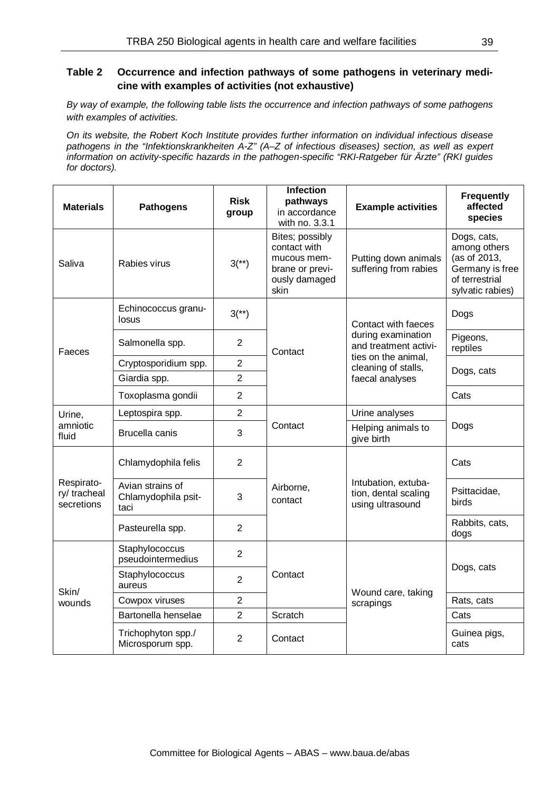### **Table 2 Occurrence and infection pathways of some pathogens in veterinary medicine with examples of activities (not exhaustive)**

*By way of example, the following table lists the occurrence and infection pathways of some pathogens with examples of activities.*

*On its website, the Robert Koch Institute provides further information on individual infectious disease pathogens in the "Infektionskrankheiten A-Z" (A–Z of infectious diseases) section, as well as expert information on activity-specific hazards in the pathogen-specific "RKI-Ratgeber für Ärzte" (RKI guides for doctors).*

| <b>Materials</b>                        | <b>Pathogens</b>                                | <b>Risk</b><br>group | <b>Infection</b><br>pathways<br>in accordance<br>with no. 3.3.1                            | <b>Example activities</b>                                       | <b>Frequently</b><br>affected<br>species                                                             |
|-----------------------------------------|-------------------------------------------------|----------------------|--------------------------------------------------------------------------------------------|-----------------------------------------------------------------|------------------------------------------------------------------------------------------------------|
| Saliva                                  | Rabies virus                                    | $3(*)$               | Bites; possibly<br>contact with<br>mucous mem-<br>brane or previ-<br>ously damaged<br>skin | Putting down animals<br>suffering from rabies                   | Dogs, cats,<br>among others<br>(as of 2013,<br>Germany is free<br>of terrestrial<br>sylvatic rabies) |
|                                         | Echinococcus granu-<br>losus                    | $3(*)$               |                                                                                            | Contact with faeces                                             | Dogs                                                                                                 |
| Faeces                                  | Salmonella spp.                                 | $\overline{2}$       | Contact                                                                                    | during examination<br>and treatment activi-                     | Pigeons,<br>reptiles                                                                                 |
|                                         | Cryptosporidium spp.                            | $\overline{2}$       |                                                                                            | ties on the animal,<br>cleaning of stalls,                      | Dogs, cats                                                                                           |
|                                         | Giardia spp.                                    | $\overline{2}$       |                                                                                            | faecal analyses                                                 |                                                                                                      |
|                                         | Toxoplasma gondii                               | $\overline{2}$       |                                                                                            |                                                                 | Cats                                                                                                 |
| Urine,                                  | Leptospira spp.                                 | $\overline{2}$       |                                                                                            | Urine analyses                                                  | Dogs                                                                                                 |
| amniotic<br>fluid                       | Brucella canis                                  | 3                    | Contact                                                                                    | Helping animals to<br>give birth                                |                                                                                                      |
|                                         | Chlamydophila felis                             | $\overline{2}$       |                                                                                            |                                                                 | Cats                                                                                                 |
| Respirato-<br>ry/tracheal<br>secretions | Avian strains of<br>Chlamydophila psit-<br>taci | 3                    | Airborne,<br>contact                                                                       | Intubation, extuba-<br>tion, dental scaling<br>using ultrasound | Psittacidae,<br>birds                                                                                |
|                                         | Pasteurella spp.                                | $\overline{2}$       |                                                                                            |                                                                 | Rabbits, cats,<br>dogs                                                                               |
|                                         | Staphylococcus<br>pseudointermedius             | $\overline{2}$       |                                                                                            |                                                                 |                                                                                                      |
| Skin/                                   | Staphylococcus<br>aureus                        | $\overline{2}$       | Contact                                                                                    | Wound care, taking                                              | Dogs, cats                                                                                           |
| wounds                                  | Cowpox viruses                                  | $\overline{2}$       |                                                                                            | scrapings                                                       | Rats, cats                                                                                           |
|                                         | Bartonella henselae                             | $\overline{2}$       | Scratch                                                                                    |                                                                 | Cats                                                                                                 |
|                                         | Trichophyton spp./<br>Microsporum spp.          | 2                    | Contact                                                                                    |                                                                 | Guinea pigs,<br>cats                                                                                 |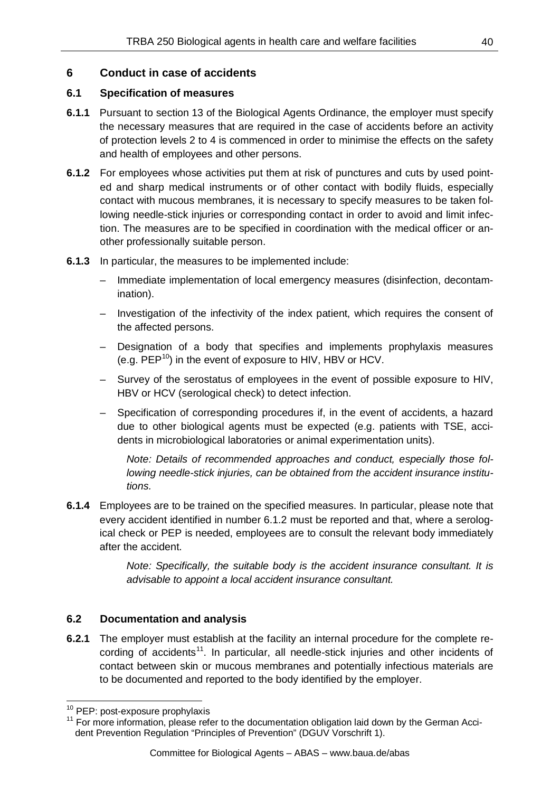### **6 Conduct in case of accidents**

### **6.1 Specification of measures**

- **6.1.1** Pursuant to section 13 of the Biological Agents Ordinance, the employer must specify the necessary measures that are required in the case of accidents before an activity of protection levels 2 to 4 is commenced in order to minimise the effects on the safety and health of employees and other persons.
- **6.1.2** For employees whose activities put them at risk of punctures and cuts by used pointed and sharp medical instruments or of other contact with bodily fluids, especially contact with mucous membranes, it is necessary to specify measures to be taken following needle-stick injuries or corresponding contact in order to avoid and limit infection. The measures are to be specified in coordination with the medical officer or another professionally suitable person.
- **6.1.3** In particular, the measures to be implemented include:
	- Immediate implementation of local emergency measures (disinfection, decontamination).
	- Investigation of the infectivity of the index patient, which requires the consent of the affected persons.
	- Designation of a body that specifies and implements prophylaxis measures (e.g.  $PEP^{10}$  $PEP^{10}$  $PEP^{10}$ ) in the event of exposure to HIV, HBV or HCV.
	- Survey of the serostatus of employees in the event of possible exposure to HIV, HBV or HCV (serological check) to detect infection.
	- Specification of corresponding procedures if, in the event of accidents, a hazard due to other biological agents must be expected (e.g. patients with TSE, accidents in microbiological laboratories or animal experimentation units).

*Note: Details of recommended approaches and conduct, especially those following needle-stick injuries, can be obtained from the accident insurance institutions.* 

**6.1.4** Employees are to be trained on the specified measures. In particular, please note that every accident identified in number 6.1.2 must be reported and that, where a serological check or PEP is needed, employees are to consult the relevant body immediately after the accident.

> *Note: Specifically, the suitable body is the accident insurance consultant. It is advisable to appoint a local accident insurance consultant.*

### **6.2 Documentation and analysis**

**6.2.1** The employer must establish at the facility an internal procedure for the complete re-cording of accidents<sup>[11](#page-39-1)</sup>. In particular, all needle-stick injuries and other incidents of contact between skin or mucous membranes and potentially infectious materials are to be documented and reported to the body identified by the employer.

<span id="page-39-1"></span><span id="page-39-0"></span> $10$  PEP: post-exposure prophylaxis<br> $11$  For more information, please refer to the documentation obligation laid down by the German Accident Prevention Regulation "Principles of Prevention" (DGUV Vorschrift 1).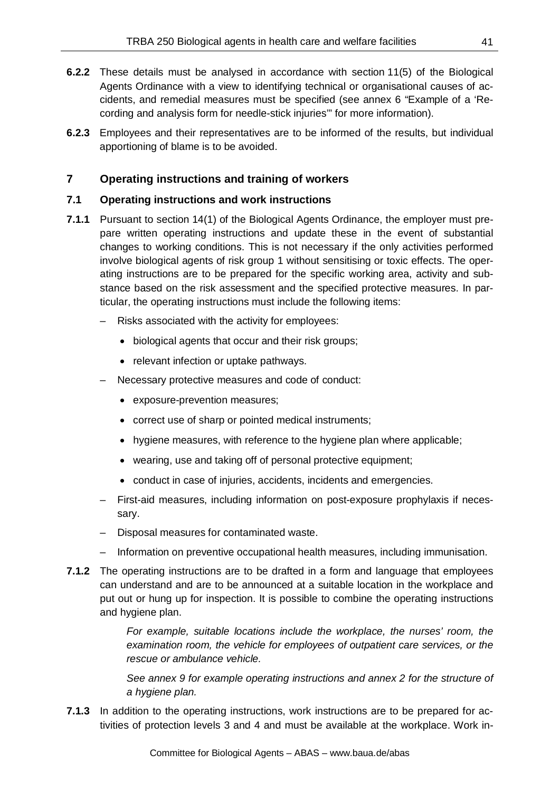- **6.2.2** These details must be analysed in accordance with section 11(5) of the Biological Agents Ordinance with a view to identifying technical or organisational causes of accidents, and remedial measures must be specified (see annex 6 "Example of a 'Recording and analysis form for needle-stick injuries'" for more information).
- **6.2.3** Employees and their representatives are to be informed of the results, but individual apportioning of blame is to be avoided.

## **7 Operating instructions and training of workers**

### **7.1 Operating instructions and work instructions**

- **7.1.1** Pursuant to section 14(1) of the Biological Agents Ordinance, the employer must prepare written operating instructions and update these in the event of substantial changes to working conditions. This is not necessary if the only activities performed involve biological agents of risk group 1 without sensitising or toxic effects. The operating instructions are to be prepared for the specific working area, activity and substance based on the risk assessment and the specified protective measures. In particular, the operating instructions must include the following items:
	- Risks associated with the activity for employees:
		- biological agents that occur and their risk groups;
		- relevant infection or uptake pathways.
	- Necessary protective measures and code of conduct:
		- exposure-prevention measures;
		- correct use of sharp or pointed medical instruments;
		- hygiene measures, with reference to the hygiene plan where applicable;
		- wearing, use and taking off of personal protective equipment;
		- conduct in case of injuries, accidents, incidents and emergencies.
	- First-aid measures, including information on post-exposure prophylaxis if necessary.
	- Disposal measures for contaminated waste.
	- Information on preventive occupational health measures, including immunisation.
- **7.1.2** The operating instructions are to be drafted in a form and language that employees can understand and are to be announced at a suitable location in the workplace and put out or hung up for inspection. It is possible to combine the operating instructions and hygiene plan.

*For example, suitable locations include the workplace, the nurses' room, the examination room, the vehicle for employees of outpatient care services, or the rescue or ambulance vehicle.*

*See annex 9 for example operating instructions and annex 2 for the structure of a hygiene plan.*

**7.1.3** In addition to the operating instructions, work instructions are to be prepared for activities of protection levels 3 and 4 and must be available at the workplace. Work in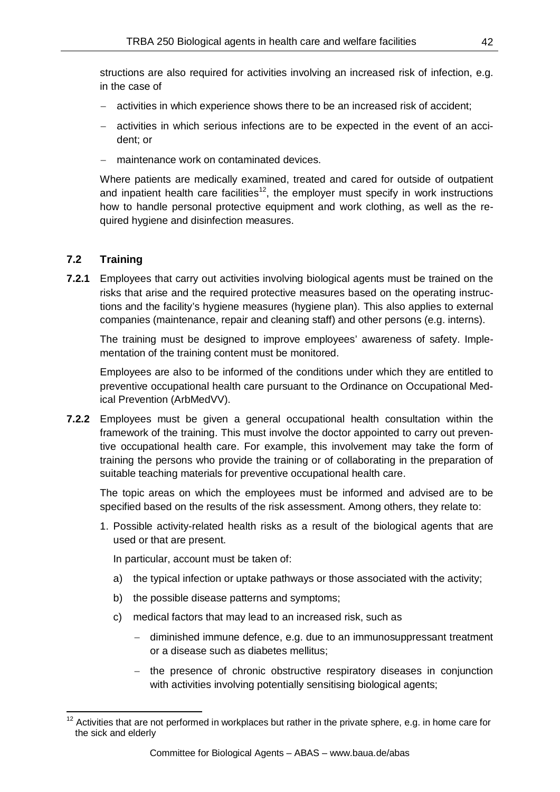structions are also required for activities involving an increased risk of infection, e.g. in the case of

- − activities in which experience shows there to be an increased risk of accident;
- − activities in which serious infections are to be expected in the event of an accident; or
- − maintenance work on contaminated devices.

Where patients are medically examined, treated and cared for outside of outpatient and inpatient health care facilities<sup>[12](#page-41-0)</sup>, the employer must specify in work instructions how to handle personal protective equipment and work clothing, as well as the required hygiene and disinfection measures.

## **7.2 Training**

**7.2.1** Employees that carry out activities involving biological agents must be trained on the risks that arise and the required protective measures based on the operating instructions and the facility's hygiene measures (hygiene plan). This also applies to external companies (maintenance, repair and cleaning staff) and other persons (e.g. interns).

The training must be designed to improve employees' awareness of safety. Implementation of the training content must be monitored.

Employees are also to be informed of the conditions under which they are entitled to preventive occupational health care pursuant to the Ordinance on Occupational Medical Prevention (ArbMedVV).

**7.2.2** Employees must be given a general occupational health consultation within the framework of the training. This must involve the doctor appointed to carry out preventive occupational health care. For example, this involvement may take the form of training the persons who provide the training or of collaborating in the preparation of suitable teaching materials for preventive occupational health care.

The topic areas on which the employees must be informed and advised are to be specified based on the results of the risk assessment. Among others, they relate to:

1. Possible activity-related health risks as a result of the biological agents that are used or that are present.

In particular, account must be taken of:

- a) the typical infection or uptake pathways or those associated with the activity;
- b) the possible disease patterns and symptoms;
- c) medical factors that may lead to an increased risk, such as
	- − diminished immune defence, e.g. due to an immunosuppressant treatment or a disease such as diabetes mellitus;
	- − the presence of chronic obstructive respiratory diseases in conjunction with activities involving potentially sensitising biological agents;

<span id="page-41-0"></span> $12$  Activities that are not performed in workplaces but rather in the private sphere, e.g. in home care for the sick and elderly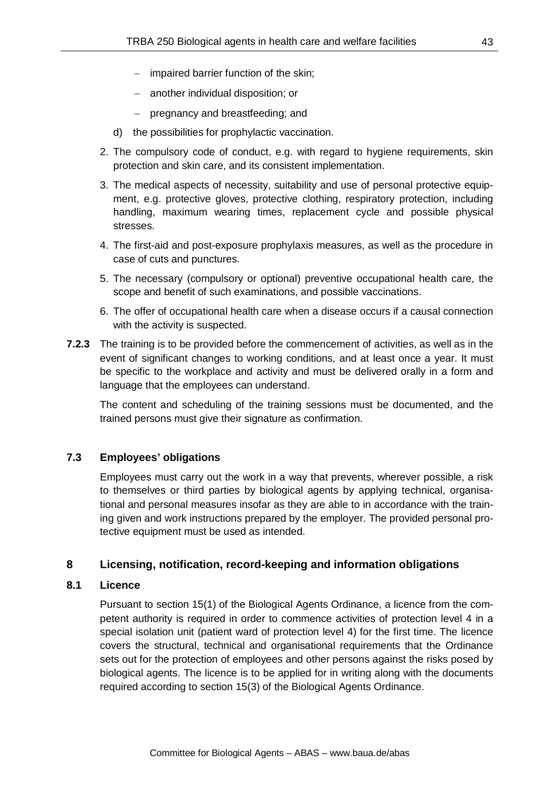- − impaired barrier function of the skin;
- − another individual disposition; or
- − pregnancy and breastfeeding; and
- d) the possibilities for prophylactic vaccination.
- 2. The compulsory code of conduct, e.g. with regard to hygiene requirements, skin protection and skin care, and its consistent implementation.
- 3. The medical aspects of necessity, suitability and use of personal protective equipment, e.g. protective gloves, protective clothing, respiratory protection, including handling, maximum wearing times, replacement cycle and possible physical stresses.
- 4. The first-aid and post-exposure prophylaxis measures, as well as the procedure in case of cuts and punctures.
- 5. The necessary (compulsory or optional) preventive occupational health care, the scope and benefit of such examinations, and possible vaccinations.
- 6. The offer of occupational health care when a disease occurs if a causal connection with the activity is suspected.
- **7.2.3** The training is to be provided before the commencement of activities, as well as in the event of significant changes to working conditions, and at least once a year. It must be specific to the workplace and activity and must be delivered orally in a form and language that the employees can understand.

The content and scheduling of the training sessions must be documented, and the trained persons must give their signature as confirmation.

### **7.3 Employees' obligations**

Employees must carry out the work in a way that prevents, wherever possible, a risk to themselves or third parties by biological agents by applying technical, organisational and personal measures insofar as they are able to in accordance with the training given and work instructions prepared by the employer. The provided personal protective equipment must be used as intended.

### **8 Licensing, notification, record-keeping and information obligations**

### **8.1 Licence**

Pursuant to section 15(1) of the Biological Agents Ordinance, a licence from the competent authority is required in order to commence activities of protection level 4 in a special isolation unit (patient ward of protection level 4) for the first time. The licence covers the structural, technical and organisational requirements that the Ordinance sets out for the protection of employees and other persons against the risks posed by biological agents. The licence is to be applied for in writing along with the documents required according to section 15(3) of the Biological Agents Ordinance.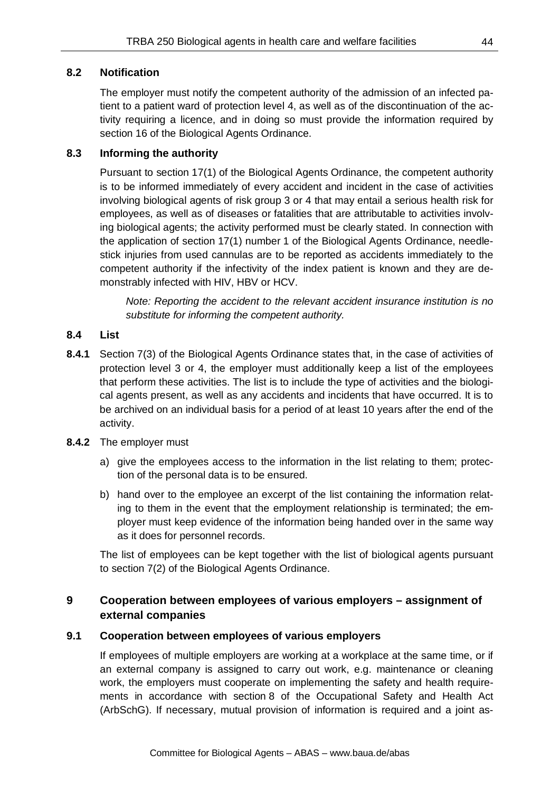### **8.2 Notification**

The employer must notify the competent authority of the admission of an infected patient to a patient ward of protection level 4, as well as of the discontinuation of the activity requiring a licence, and in doing so must provide the information required by section 16 of the Biological Agents Ordinance.

### **8.3 Informing the authority**

Pursuant to section 17(1) of the Biological Agents Ordinance, the competent authority is to be informed immediately of every accident and incident in the case of activities involving biological agents of risk group 3 or 4 that may entail a serious health risk for employees, as well as of diseases or fatalities that are attributable to activities involving biological agents; the activity performed must be clearly stated. In connection with the application of section 17(1) number 1 of the Biological Agents Ordinance, needlestick injuries from used cannulas are to be reported as accidents immediately to the competent authority if the infectivity of the index patient is known and they are demonstrably infected with HIV, HBV or HCV.

*Note: Reporting the accident to the relevant accident insurance institution is no substitute for informing the competent authority.*

### **8.4 List**

- **8.4.1** Section 7(3) of the Biological Agents Ordinance states that, in the case of activities of protection level 3 or 4, the employer must additionally keep a list of the employees that perform these activities. The list is to include the type of activities and the biological agents present, as well as any accidents and incidents that have occurred. It is to be archived on an individual basis for a period of at least 10 years after the end of the activity.
- **8.4.2** The employer must
	- a) give the employees access to the information in the list relating to them; protection of the personal data is to be ensured.
	- b) hand over to the employee an excerpt of the list containing the information relating to them in the event that the employment relationship is terminated; the employer must keep evidence of the information being handed over in the same way as it does for personnel records.

The list of employees can be kept together with the list of biological agents pursuant to section 7(2) of the Biological Agents Ordinance.

## **9 Cooperation between employees of various employers – assignment of external companies**

### **9.1 Cooperation between employees of various employers**

If employees of multiple employers are working at a workplace at the same time, or if an external company is assigned to carry out work, e.g. maintenance or cleaning work, the employers must cooperate on implementing the safety and health requirements in accordance with section 8 of the Occupational Safety and Health Act (ArbSchG). If necessary, mutual provision of information is required and a joint as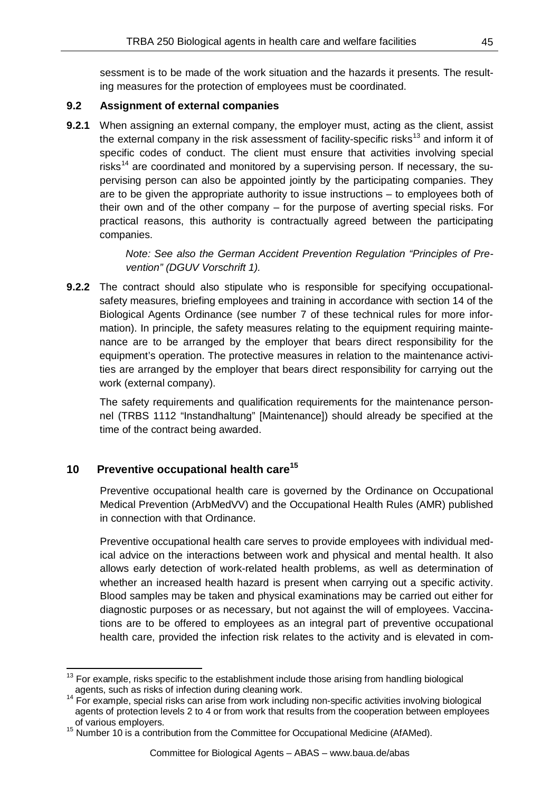sessment is to be made of the work situation and the hazards it presents. The resulting measures for the protection of employees must be coordinated.

### **9.2 Assignment of external companies**

**9.2.1** When assigning an external company, the employer must, acting as the client, assist the external company in the risk assessment of facility-specific risks<sup>[13](#page-44-0)</sup> and inform it of specific codes of conduct. The client must ensure that activities involving special risks<sup>[14](#page-44-1)</sup> are coordinated and monitored by a supervising person. If necessary, the supervising person can also be appointed jointly by the participating companies. They are to be given the appropriate authority to issue instructions – to employees both of their own and of the other company – for the purpose of averting special risks. For practical reasons, this authority is contractually agreed between the participating companies.

> *Note: See also the German Accident Prevention Regulation "Principles of Prevention" (DGUV Vorschrift 1).*

**9.2.2** The contract should also stipulate who is responsible for specifying occupationalsafety measures, briefing employees and training in accordance with section 14 of the Biological Agents Ordinance (see number 7 of these technical rules for more information). In principle, the safety measures relating to the equipment requiring maintenance are to be arranged by the employer that bears direct responsibility for the equipment's operation. The protective measures in relation to the maintenance activities are arranged by the employer that bears direct responsibility for carrying out the work (external company).

The safety requirements and qualification requirements for the maintenance personnel (TRBS 1112 "Instandhaltung" [Maintenance]) should already be specified at the time of the contract being awarded.

## **10 Preventive occupational health care[15](#page-44-2)**

Preventive occupational health care is governed by the Ordinance on Occupational Medical Prevention (ArbMedVV) and the Occupational Health Rules (AMR) published in connection with that Ordinance.

Preventive occupational health care serves to provide employees with individual medical advice on the interactions between work and physical and mental health. It also allows early detection of work-related health problems, as well as determination of whether an increased health hazard is present when carrying out a specific activity. Blood samples may be taken and physical examinations may be carried out either for diagnostic purposes or as necessary, but not against the will of employees. Vaccinations are to be offered to employees as an integral part of preventive occupational health care, provided the infection risk relates to the activity and is elevated in com-

<span id="page-44-0"></span> $13$  For example, risks specific to the establishment include those arising from handling biological

<span id="page-44-1"></span>agents, such as risks of infection during cleaning work.<br><sup>14</sup> For example, special risks can arise from work including non-specific activities involving biological agents of protection levels 2 to 4 or from work that results from the cooperation between employees of various employers.<br><sup>15</sup> Number 10 is a contribution from the Committee for Occupational Medicine (AfAMed).

<span id="page-44-2"></span>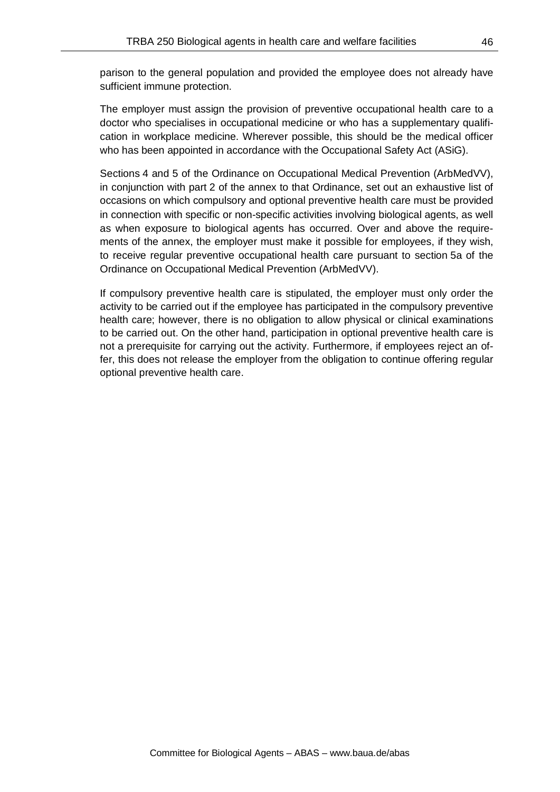parison to the general population and provided the employee does not already have sufficient immune protection.

The employer must assign the provision of preventive occupational health care to a doctor who specialises in occupational medicine or who has a supplementary qualification in workplace medicine. Wherever possible, this should be the medical officer who has been appointed in accordance with the Occupational Safety Act (ASiG).

Sections 4 and 5 of the Ordinance on Occupational Medical Prevention (ArbMedVV), in conjunction with part 2 of the annex to that Ordinance, set out an exhaustive list of occasions on which compulsory and optional preventive health care must be provided in connection with specific or non-specific activities involving biological agents, as well as when exposure to biological agents has occurred. Over and above the requirements of the annex, the employer must make it possible for employees, if they wish, to receive regular preventive occupational health care pursuant to section 5a of the Ordinance on Occupational Medical Prevention (ArbMedVV).

If compulsory preventive health care is stipulated, the employer must only order the activity to be carried out if the employee has participated in the compulsory preventive health care; however, there is no obligation to allow physical or clinical examinations to be carried out. On the other hand, participation in optional preventive health care is not a prerequisite for carrying out the activity. Furthermore, if employees reject an offer, this does not release the employer from the obligation to continue offering regular optional preventive health care.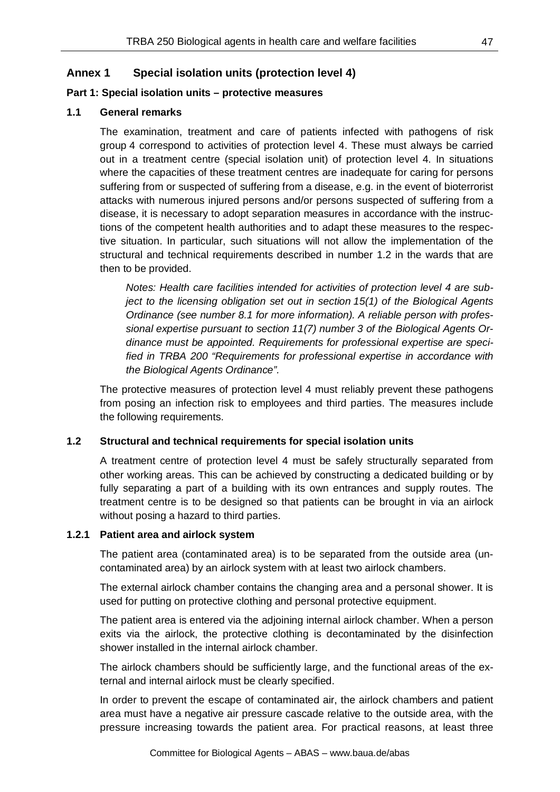### **Annex 1 Special isolation units (protection level 4)**

#### **Part 1: Special isolation units – protective measures**

#### **1.1 General remarks**

The examination, treatment and care of patients infected with pathogens of risk group 4 correspond to activities of protection level 4. These must always be carried out in a treatment centre (special isolation unit) of protection level 4. In situations where the capacities of these treatment centres are inadequate for caring for persons suffering from or suspected of suffering from a disease, e.g. in the event of bioterrorist attacks with numerous injured persons and/or persons suspected of suffering from a disease, it is necessary to adopt separation measures in accordance with the instructions of the competent health authorities and to adapt these measures to the respective situation. In particular, such situations will not allow the implementation of the structural and technical requirements described in number 1.2 in the wards that are then to be provided.

*Notes: Health care facilities intended for activities of protection level 4 are subject to the licensing obligation set out in section 15(1) of the Biological Agents Ordinance (see number 8.1 for more information). A reliable person with professional expertise pursuant to section 11(7) number 3 of the Biological Agents Ordinance must be appointed. Requirements for professional expertise are specified in TRBA 200 "Requirements for professional expertise in accordance with the Biological Agents Ordinance".*

The protective measures of protection level 4 must reliably prevent these pathogens from posing an infection risk to employees and third parties. The measures include the following requirements.

#### **1.2 Structural and technical requirements for special isolation units**

A treatment centre of protection level 4 must be safely structurally separated from other working areas. This can be achieved by constructing a dedicated building or by fully separating a part of a building with its own entrances and supply routes. The treatment centre is to be designed so that patients can be brought in via an airlock without posing a hazard to third parties.

#### **1.2.1 Patient area and airlock system**

The patient area (contaminated area) is to be separated from the outside area (uncontaminated area) by an airlock system with at least two airlock chambers.

The external airlock chamber contains the changing area and a personal shower. It is used for putting on protective clothing and personal protective equipment.

The patient area is entered via the adjoining internal airlock chamber. When a person exits via the airlock, the protective clothing is decontaminated by the disinfection shower installed in the internal airlock chamber.

The airlock chambers should be sufficiently large, and the functional areas of the external and internal airlock must be clearly specified.

In order to prevent the escape of contaminated air, the airlock chambers and patient area must have a negative air pressure cascade relative to the outside area, with the pressure increasing towards the patient area. For practical reasons, at least three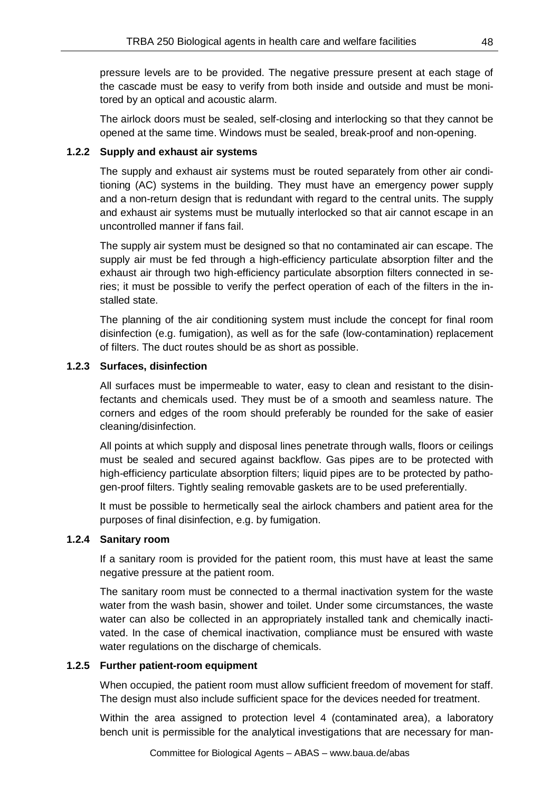pressure levels are to be provided. The negative pressure present at each stage of the cascade must be easy to verify from both inside and outside and must be monitored by an optical and acoustic alarm.

The airlock doors must be sealed, self-closing and interlocking so that they cannot be opened at the same time. Windows must be sealed, break-proof and non-opening.

### **1.2.2 Supply and exhaust air systems**

The supply and exhaust air systems must be routed separately from other air conditioning (AC) systems in the building. They must have an emergency power supply and a non-return design that is redundant with regard to the central units. The supply and exhaust air systems must be mutually interlocked so that air cannot escape in an uncontrolled manner if fans fail.

The supply air system must be designed so that no contaminated air can escape. The supply air must be fed through a high-efficiency particulate absorption filter and the exhaust air through two high-efficiency particulate absorption filters connected in series; it must be possible to verify the perfect operation of each of the filters in the installed state.

The planning of the air conditioning system must include the concept for final room disinfection (e.g. fumigation), as well as for the safe (low-contamination) replacement of filters. The duct routes should be as short as possible.

### **1.2.3 Surfaces, disinfection**

All surfaces must be impermeable to water, easy to clean and resistant to the disinfectants and chemicals used. They must be of a smooth and seamless nature. The corners and edges of the room should preferably be rounded for the sake of easier cleaning/disinfection.

All points at which supply and disposal lines penetrate through walls, floors or ceilings must be sealed and secured against backflow. Gas pipes are to be protected with high-efficiency particulate absorption filters; liquid pipes are to be protected by pathogen-proof filters. Tightly sealing removable gaskets are to be used preferentially.

It must be possible to hermetically seal the airlock chambers and patient area for the purposes of final disinfection, e.g. by fumigation.

#### **1.2.4 Sanitary room**

If a sanitary room is provided for the patient room, this must have at least the same negative pressure at the patient room.

The sanitary room must be connected to a thermal inactivation system for the waste water from the wash basin, shower and toilet. Under some circumstances, the waste water can also be collected in an appropriately installed tank and chemically inactivated. In the case of chemical inactivation, compliance must be ensured with waste water regulations on the discharge of chemicals.

#### **1.2.5 Further patient-room equipment**

When occupied, the patient room must allow sufficient freedom of movement for staff. The design must also include sufficient space for the devices needed for treatment.

Within the area assigned to protection level 4 (contaminated area), a laboratory bench unit is permissible for the analytical investigations that are necessary for man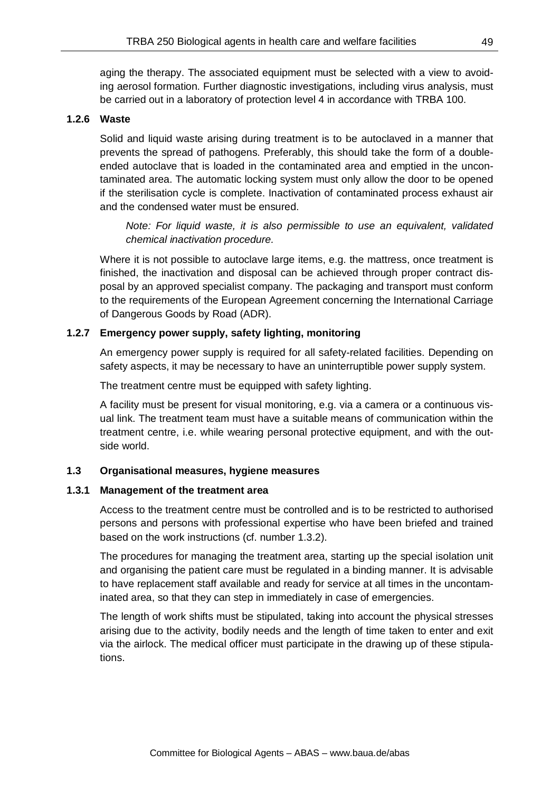aging the therapy. The associated equipment must be selected with a view to avoiding aerosol formation. Further diagnostic investigations, including virus analysis, must be carried out in a laboratory of protection level 4 in accordance with TRBA 100.

#### **1.2.6 Waste**

Solid and liquid waste arising during treatment is to be autoclaved in a manner that prevents the spread of pathogens. Preferably, this should take the form of a doubleended autoclave that is loaded in the contaminated area and emptied in the uncontaminated area. The automatic locking system must only allow the door to be opened if the sterilisation cycle is complete. Inactivation of contaminated process exhaust air and the condensed water must be ensured.

*Note: For liquid waste, it is also permissible to use an equivalent, validated chemical inactivation procedure.*

Where it is not possible to autoclave large items, e.g. the mattress, once treatment is finished, the inactivation and disposal can be achieved through proper contract disposal by an approved specialist company. The packaging and transport must conform to the requirements of the European Agreement concerning the International Carriage of Dangerous Goods by Road (ADR).

### **1.2.7 Emergency power supply, safety lighting, monitoring**

An emergency power supply is required for all safety-related facilities. Depending on safety aspects, it may be necessary to have an uninterruptible power supply system.

The treatment centre must be equipped with safety lighting.

A facility must be present for visual monitoring, e.g. via a camera or a continuous visual link. The treatment team must have a suitable means of communication within the treatment centre, i.e. while wearing personal protective equipment, and with the outside world.

#### **1.3 Organisational measures, hygiene measures**

#### **1.3.1 Management of the treatment area**

Access to the treatment centre must be controlled and is to be restricted to authorised persons and persons with professional expertise who have been briefed and trained based on the work instructions (cf. number 1.3.2).

The procedures for managing the treatment area, starting up the special isolation unit and organising the patient care must be regulated in a binding manner. It is advisable to have replacement staff available and ready for service at all times in the uncontaminated area, so that they can step in immediately in case of emergencies.

The length of work shifts must be stipulated, taking into account the physical stresses arising due to the activity, bodily needs and the length of time taken to enter and exit via the airlock. The medical officer must participate in the drawing up of these stipulations.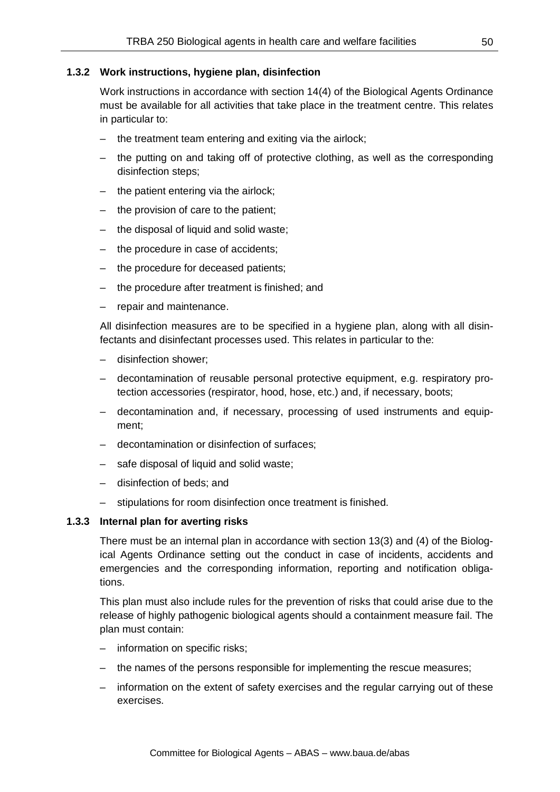#### **1.3.2 Work instructions, hygiene plan, disinfection**

Work instructions in accordance with section 14(4) of the Biological Agents Ordinance must be available for all activities that take place in the treatment centre. This relates in particular to:

- the treatment team entering and exiting via the airlock;
- the putting on and taking off of protective clothing, as well as the corresponding disinfection steps;
- the patient entering via the airlock;
- the provision of care to the patient;
- the disposal of liquid and solid waste;
- the procedure in case of accidents;
- the procedure for deceased patients;
- the procedure after treatment is finished; and
- repair and maintenance.

All disinfection measures are to be specified in a hygiene plan, along with all disinfectants and disinfectant processes used. This relates in particular to the:

- disinfection shower;
- decontamination of reusable personal protective equipment, e.g. respiratory protection accessories (respirator, hood, hose, etc.) and, if necessary, boots;
- decontamination and, if necessary, processing of used instruments and equipment;
- decontamination or disinfection of surfaces;
- safe disposal of liquid and solid waste;
- disinfection of beds; and
- stipulations for room disinfection once treatment is finished.

#### **1.3.3 Internal plan for averting risks**

There must be an internal plan in accordance with section 13(3) and (4) of the Biological Agents Ordinance setting out the conduct in case of incidents, accidents and emergencies and the corresponding information, reporting and notification obligations.

This plan must also include rules for the prevention of risks that could arise due to the release of highly pathogenic biological agents should a containment measure fail. The plan must contain:

- information on specific risks;
- the names of the persons responsible for implementing the rescue measures;
- information on the extent of safety exercises and the regular carrying out of these exercises.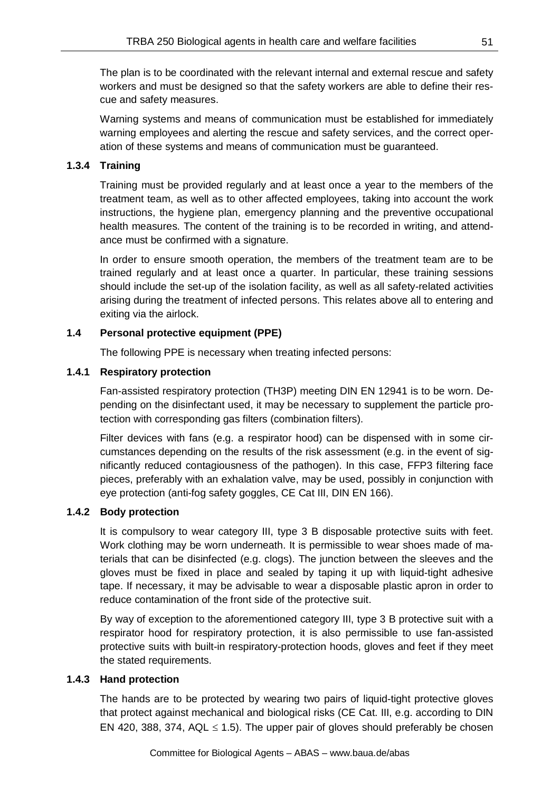The plan is to be coordinated with the relevant internal and external rescue and safety workers and must be designed so that the safety workers are able to define their rescue and safety measures.

Warning systems and means of communication must be established for immediately warning employees and alerting the rescue and safety services, and the correct operation of these systems and means of communication must be guaranteed.

### **1.3.4 Training**

Training must be provided regularly and at least once a year to the members of the treatment team, as well as to other affected employees, taking into account the work instructions, the hygiene plan, emergency planning and the preventive occupational health measures. The content of the training is to be recorded in writing, and attendance must be confirmed with a signature.

In order to ensure smooth operation, the members of the treatment team are to be trained regularly and at least once a quarter. In particular, these training sessions should include the set-up of the isolation facility, as well as all safety-related activities arising during the treatment of infected persons. This relates above all to entering and exiting via the airlock.

## **1.4 Personal protective equipment (PPE)**

The following PPE is necessary when treating infected persons:

## **1.4.1 Respiratory protection**

Fan-assisted respiratory protection (TH3P) meeting DIN EN 12941 is to be worn. Depending on the disinfectant used, it may be necessary to supplement the particle protection with corresponding gas filters (combination filters).

Filter devices with fans (e.g. a respirator hood) can be dispensed with in some circumstances depending on the results of the risk assessment (e.g. in the event of significantly reduced contagiousness of the pathogen). In this case, FFP3 filtering face pieces, preferably with an exhalation valve, may be used, possibly in conjunction with eye protection (anti-fog safety goggles, CE Cat III, DIN EN 166).

### **1.4.2 Body protection**

It is compulsory to wear category III, type 3 B disposable protective suits with feet. Work clothing may be worn underneath. It is permissible to wear shoes made of materials that can be disinfected (e.g. clogs). The junction between the sleeves and the gloves must be fixed in place and sealed by taping it up with liquid-tight adhesive tape. If necessary, it may be advisable to wear a disposable plastic apron in order to reduce contamination of the front side of the protective suit.

By way of exception to the aforementioned category III, type 3 B protective suit with a respirator hood for respiratory protection, it is also permissible to use fan-assisted protective suits with built-in respiratory-protection hoods, gloves and feet if they meet the stated requirements.

### **1.4.3 Hand protection**

The hands are to be protected by wearing two pairs of liquid-tight protective gloves that protect against mechanical and biological risks (CE Cat. III, e.g. according to DIN EN 420, 388, 374, AQL  $\leq$  1.5). The upper pair of gloves should preferably be chosen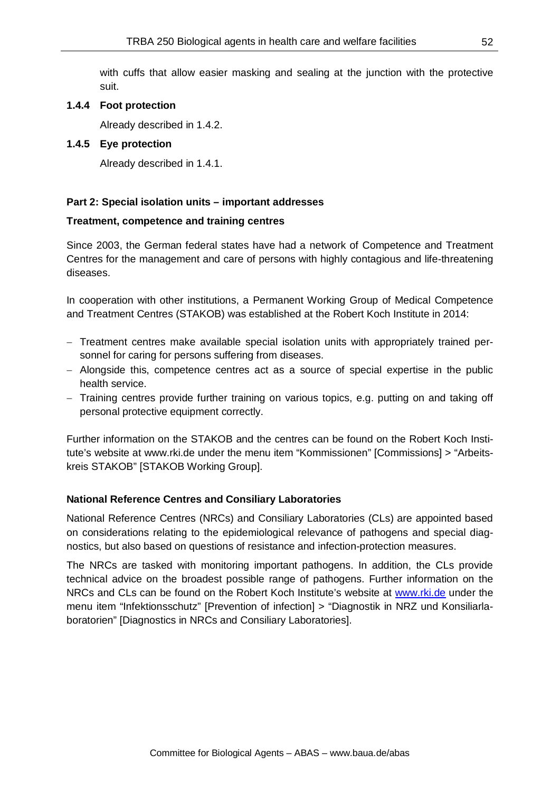with cuffs that allow easier masking and sealing at the junction with the protective suit.

#### **1.4.4 Foot protection**

Already described in 1.4.2.

#### **1.4.5 Eye protection**

Already described in 1.4.1.

#### **Part 2: Special isolation units – important addresses**

#### **Treatment, competence and training centres**

Since 2003, the German federal states have had a network of Competence and Treatment Centres for the management and care of persons with highly contagious and life-threatening diseases.

In cooperation with other institutions, a Permanent Working Group of Medical Competence and Treatment Centres (STAKOB) was established at the Robert Koch Institute in 2014:

- − Treatment centres make available special isolation units with appropriately trained personnel for caring for persons suffering from diseases.
- − Alongside this, competence centres act as a source of special expertise in the public health service.
- − Training centres provide further training on various topics, e.g. putting on and taking off personal protective equipment correctly.

Further information on the STAKOB and the centres can be found on the Robert Koch Institute's website at www.rki.de under the menu item "Kommissionen" [Commissions] > "Arbeitskreis STAKOB" [STAKOB Working Group].

#### **National Reference Centres and Consiliary Laboratories**

National Reference Centres (NRCs) and Consiliary Laboratories (CLs) are appointed based on considerations relating to the epidemiological relevance of pathogens and special diagnostics, but also based on questions of resistance and infection-protection measures.

The NRCs are tasked with monitoring important pathogens. In addition, the CLs provide technical advice on the broadest possible range of pathogens. Further information on the NRCs and CLs can be found on the Robert Koch Institute's website at [www.rki.de](http://www.rki.de/) under the menu item "Infektionsschutz" [Prevention of infection] > "Diagnostik in NRZ und Konsiliarlaboratorien" [Diagnostics in NRCs and Consiliary Laboratories].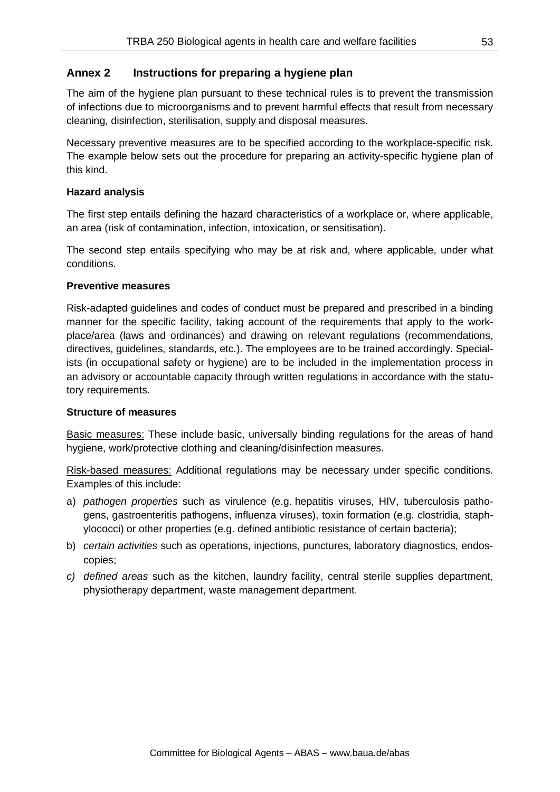## **Annex 2 Instructions for preparing a hygiene plan**

The aim of the hygiene plan pursuant to these technical rules is to prevent the transmission of infections due to microorganisms and to prevent harmful effects that result from necessary cleaning, disinfection, sterilisation, supply and disposal measures.

Necessary preventive measures are to be specified according to the workplace-specific risk. The example below sets out the procedure for preparing an activity-specific hygiene plan of this kind.

#### **Hazard analysis**

The first step entails defining the hazard characteristics of a workplace or, where applicable, an area (risk of contamination, infection, intoxication, or sensitisation).

The second step entails specifying who may be at risk and, where applicable, under what conditions.

#### **Preventive measures**

Risk-adapted guidelines and codes of conduct must be prepared and prescribed in a binding manner for the specific facility, taking account of the requirements that apply to the workplace/area (laws and ordinances) and drawing on relevant regulations (recommendations, directives, guidelines, standards, etc.). The employees are to be trained accordingly. Specialists (in occupational safety or hygiene) are to be included in the implementation process in an advisory or accountable capacity through written regulations in accordance with the statutory requirements.

#### **Structure of measures**

Basic measures: These include basic, universally binding regulations for the areas of hand hygiene, work/protective clothing and cleaning/disinfection measures.

Risk-based measures: Additional regulations may be necessary under specific conditions. Examples of this include:

- a) *pathogen properties* such as virulence (e.g. hepatitis viruses, HIV, tuberculosis pathogens, gastroenteritis pathogens, influenza viruses), toxin formation (e.g. clostridia, staphylococci) or other properties (e.g. defined antibiotic resistance of certain bacteria);
- b) *certain activities* such as operations, injections, punctures, laboratory diagnostics, endoscopies;
- *c) defined areas* such as the kitchen, laundry facility, central sterile supplies department, physiotherapy department, waste management department.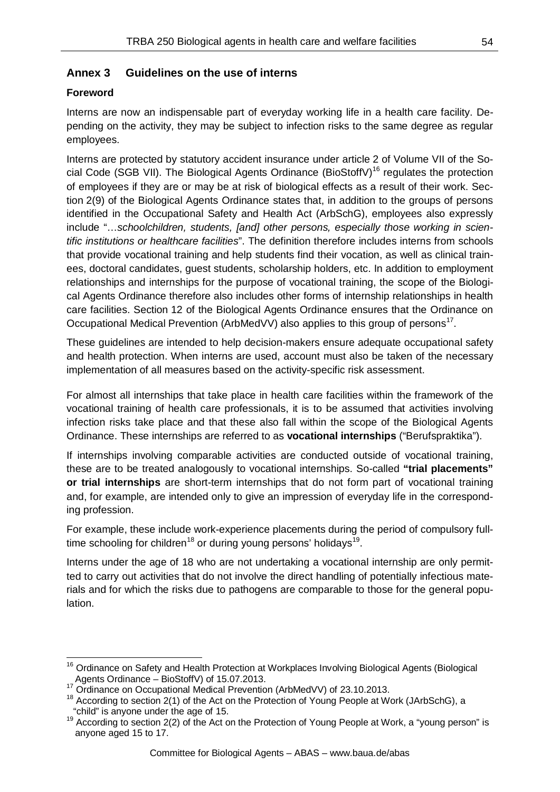# **Annex 3 Guidelines on the use of interns**

## **Foreword**

Interns are now an indispensable part of everyday working life in a health care facility. Depending on the activity, they may be subject to infection risks to the same degree as regular employees.

Interns are protected by statutory accident insurance under article 2 of Volume VII of the So-cial Code (SGB VII). The Biological Agents Ordinance (BioStoffV)<sup>[16](#page-53-0)</sup> regulates the protection of employees if they are or may be at risk of biological effects as a result of their work. Section 2(9) of the Biological Agents Ordinance states that, in addition to the groups of persons identified in the Occupational Safety and Health Act (ArbSchG), employees also expressly include "…*schoolchildren, students, [and] other persons, especially those working in scientific institutions or healthcare facilities*". The definition therefore includes interns from schools that provide vocational training and help students find their vocation, as well as clinical trainees, doctoral candidates, guest students, scholarship holders, etc. In addition to employment relationships and internships for the purpose of vocational training, the scope of the Biological Agents Ordinance therefore also includes other forms of internship relationships in health care facilities. Section 12 of the Biological Agents Ordinance ensures that the Ordinance on Occupational Medical Prevention (ArbMedVV) also applies to this group of persons<sup>[17](#page-53-1)</sup>.

These guidelines are intended to help decision-makers ensure adequate occupational safety and health protection. When interns are used, account must also be taken of the necessary implementation of all measures based on the activity-specific risk assessment.

For almost all internships that take place in health care facilities within the framework of the vocational training of health care professionals, it is to be assumed that activities involving infection risks take place and that these also fall within the scope of the Biological Agents Ordinance. These internships are referred to as **vocational internships** ("Berufspraktika").

If internships involving comparable activities are conducted outside of vocational training, these are to be treated analogously to vocational internships. So-called **"trial placements" or trial internships** are short-term internships that do not form part of vocational training and, for example, are intended only to give an impression of everyday life in the corresponding profession.

For example, these include work-experience placements during the period of compulsory full-time schooling for children<sup>[18](#page-53-2)</sup> or during young persons' holidays<sup>19</sup>.

Interns under the age of 18 who are not undertaking a vocational internship are only permitted to carry out activities that do not involve the direct handling of potentially infectious materials and for which the risks due to pathogens are comparable to those for the general population.

<span id="page-53-0"></span><sup>&</sup>lt;sup>16</sup> Ordinance on Safety and Health Protection at Workplaces Involving Biological Agents (Biological Agents Ordinance – BioStoffV) of 15.07.2013.<br><sup>17</sup> Ordinance on Occupational Medical Prevention (ArbMedVV) of 23.10.2013.

<span id="page-53-1"></span>

<span id="page-53-2"></span><sup>&</sup>lt;sup>18</sup> According to section 2(1) of the Act on the Protection of Young People at Work (JArbSchG), a

<span id="page-53-3"></span><sup>&</sup>quot;child" is anyone under the age of 15.<br><sup>19</sup> According to section 2(2) of the Act on the Protection of Young People at Work, a "young person" is anyone aged 15 to 17.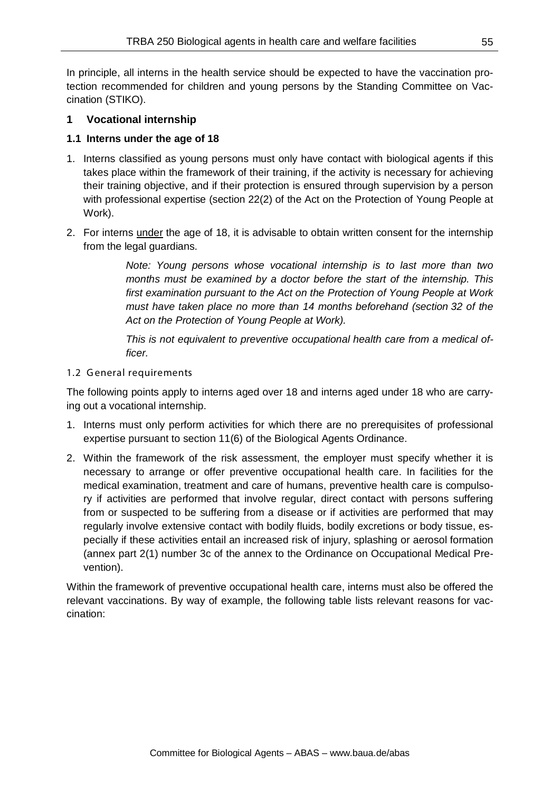In principle, all interns in the health service should be expected to have the vaccination protection recommended for children and young persons by the Standing Committee on Vaccination (STIKO).

### **1 Vocational internship**

### **1.1 Interns under the age of 18**

- 1. Interns classified as young persons must only have contact with biological agents if this takes place within the framework of their training, if the activity is necessary for achieving their training objective, and if their protection is ensured through supervision by a person with professional expertise (section 22(2) of the Act on the Protection of Young People at Work).
- 2. For interns under the age of 18, it is advisable to obtain written consent for the internship from the legal guardians.

*Note: Young persons whose vocational internship is to last more than two months must be examined by a doctor before the start of the internship. This first examination pursuant to the Act on the Protection of Young People at Work must have taken place no more than 14 months beforehand (section 32 of the Act on the Protection of Young People at Work).*

*This is not equivalent to preventive occupational health care from a medical officer.*

### 1.2 General requirements

The following points apply to interns aged over 18 and interns aged under 18 who are carrying out a vocational internship.

- 1. Interns must only perform activities for which there are no prerequisites of professional expertise pursuant to section 11(6) of the Biological Agents Ordinance.
- 2. Within the framework of the risk assessment, the employer must specify whether it is necessary to arrange or offer preventive occupational health care. In facilities for the medical examination, treatment and care of humans, preventive health care is compulsory if activities are performed that involve regular, direct contact with persons suffering from or suspected to be suffering from a disease or if activities are performed that may regularly involve extensive contact with bodily fluids, bodily excretions or body tissue, especially if these activities entail an increased risk of injury, splashing or aerosol formation (annex part 2(1) number 3c of the annex to the Ordinance on Occupational Medical Prevention).

Within the framework of preventive occupational health care, interns must also be offered the relevant vaccinations. By way of example, the following table lists relevant reasons for vaccination: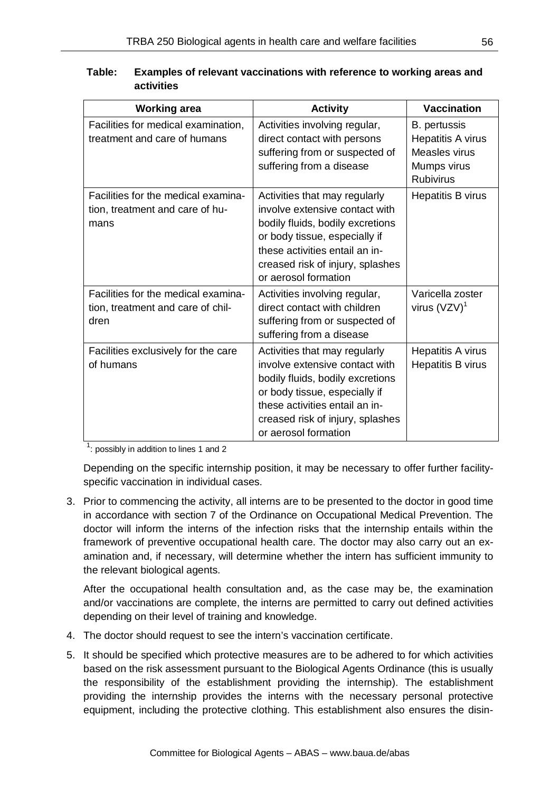| <b>Working area</b>                                                              | <b>Activity</b>                                                                                                                                                                                                                    | <b>Vaccination</b>                                                                           |
|----------------------------------------------------------------------------------|------------------------------------------------------------------------------------------------------------------------------------------------------------------------------------------------------------------------------------|----------------------------------------------------------------------------------------------|
| Facilities for medical examination,<br>treatment and care of humans              | Activities involving regular,<br>direct contact with persons<br>suffering from or suspected of<br>suffering from a disease                                                                                                         | <b>B.</b> pertussis<br>Hepatitis A virus<br>Measles virus<br>Mumps virus<br><b>Rubivirus</b> |
| Facilities for the medical examina-<br>tion, treatment and care of hu-<br>mans   | Activities that may regularly<br>involve extensive contact with<br>bodily fluids, bodily excretions<br>or body tissue, especially if<br>these activities entail an in-<br>creased risk of injury, splashes<br>or aerosol formation | Hepatitis B virus                                                                            |
| Facilities for the medical examina-<br>tion, treatment and care of chil-<br>dren | Activities involving regular,<br>direct contact with children<br>suffering from or suspected of<br>suffering from a disease                                                                                                        | Varicella zoster<br>virus $(VZV)^1$                                                          |
| Facilities exclusively for the care<br>of humans                                 | Activities that may regularly<br>involve extensive contact with<br>bodily fluids, bodily excretions<br>or body tissue, especially if<br>these activities entail an in-<br>creased risk of injury, splashes<br>or aerosol formation | Hepatitis A virus<br>Hepatitis B virus                                                       |

| Table: | Examples of relevant vaccinations with reference to working areas and |
|--------|-----------------------------------------------------------------------|
|        | activities                                                            |

 $1$ : possibly in addition to lines 1 and 2

Depending on the specific internship position, it may be necessary to offer further facilityspecific vaccination in individual cases.

3. Prior to commencing the activity, all interns are to be presented to the doctor in good time in accordance with section 7 of the Ordinance on Occupational Medical Prevention. The doctor will inform the interns of the infection risks that the internship entails within the framework of preventive occupational health care. The doctor may also carry out an examination and, if necessary, will determine whether the intern has sufficient immunity to the relevant biological agents.

After the occupational health consultation and, as the case may be, the examination and/or vaccinations are complete, the interns are permitted to carry out defined activities depending on their level of training and knowledge.

- 4. The doctor should request to see the intern's vaccination certificate.
- 5. It should be specified which protective measures are to be adhered to for which activities based on the risk assessment pursuant to the Biological Agents Ordinance (this is usually the responsibility of the establishment providing the internship). The establishment providing the internship provides the interns with the necessary personal protective equipment, including the protective clothing. This establishment also ensures the disin-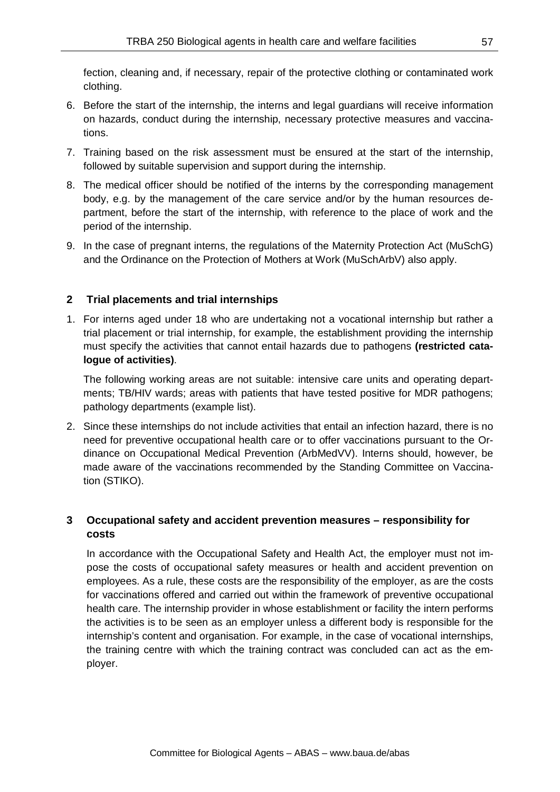fection, cleaning and, if necessary, repair of the protective clothing or contaminated work clothing.

- 6. Before the start of the internship, the interns and legal guardians will receive information on hazards, conduct during the internship, necessary protective measures and vaccinations.
- 7. Training based on the risk assessment must be ensured at the start of the internship, followed by suitable supervision and support during the internship.
- 8. The medical officer should be notified of the interns by the corresponding management body, e.g. by the management of the care service and/or by the human resources department, before the start of the internship, with reference to the place of work and the period of the internship.
- 9. In the case of pregnant interns, the regulations of the Maternity Protection Act (MuSchG) and the Ordinance on the Protection of Mothers at Work (MuSchArbV) also apply.

### **2 Trial placements and trial internships**

1. For interns aged under 18 who are undertaking not a vocational internship but rather a trial placement or trial internship, for example, the establishment providing the internship must specify the activities that cannot entail hazards due to pathogens **(restricted catalogue of activities)**.

The following working areas are not suitable: intensive care units and operating departments; TB/HIV wards; areas with patients that have tested positive for MDR pathogens; pathology departments (example list).

2. Since these internships do not include activities that entail an infection hazard, there is no need for preventive occupational health care or to offer vaccinations pursuant to the Ordinance on Occupational Medical Prevention (ArbMedVV). Interns should, however, be made aware of the vaccinations recommended by the Standing Committee on Vaccination (STIKO).

## **3 Occupational safety and accident prevention measures – responsibility for costs**

In accordance with the Occupational Safety and Health Act, the employer must not impose the costs of occupational safety measures or health and accident prevention on employees. As a rule, these costs are the responsibility of the employer, as are the costs for vaccinations offered and carried out within the framework of preventive occupational health care. The internship provider in whose establishment or facility the intern performs the activities is to be seen as an employer unless a different body is responsible for the internship's content and organisation. For example, in the case of vocational internships, the training centre with which the training contract was concluded can act as the employer.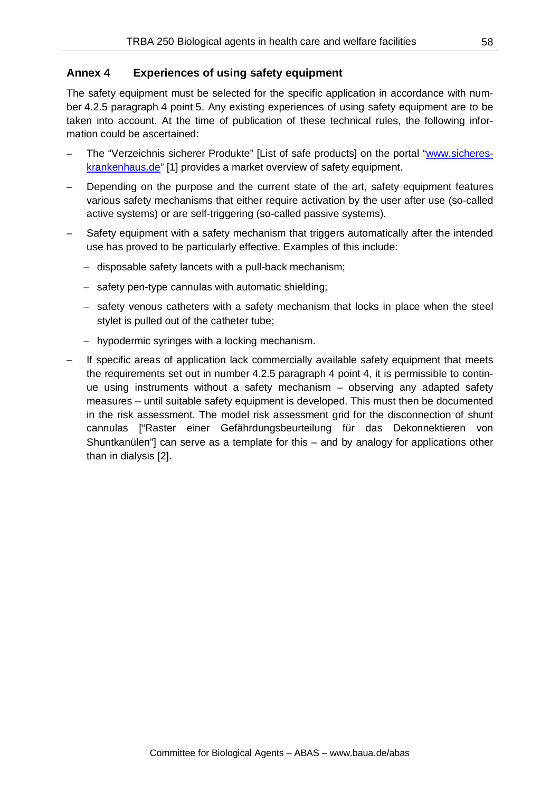## **Annex 4 Experiences of using safety equipment**

The safety equipment must be selected for the specific application in accordance with number 4.2.5 paragraph 4 point 5. Any existing experiences of using safety equipment are to be taken into account. At the time of publication of these technical rules, the following information could be ascertained:

- The "Verzeichnis sicherer Produkte" [List of safe products] on the portal ["www.sicheres](http://www.sicheres-krankenhaus.de/)[krankenhaus.de"](http://www.sicheres-krankenhaus.de/) [1] provides a market overview of safety equipment.
- Depending on the purpose and the current state of the art, safety equipment features various safety mechanisms that either require activation by the user after use (so-called active systems) or are self-triggering (so-called passive systems).
- Safety equipment with a safety mechanism that triggers automatically after the intended use has proved to be particularly effective. Examples of this include:
	- − disposable safety lancets with a pull-back mechanism;
	- − safety pen-type cannulas with automatic shielding;
	- − safety venous catheters with a safety mechanism that locks in place when the steel stylet is pulled out of the catheter tube;
	- − hypodermic syringes with a locking mechanism.
- If specific areas of application lack commercially available safety equipment that meets the requirements set out in number 4.2.5 paragraph 4 point 4, it is permissible to continue using instruments without a safety mechanism – observing any adapted safety measures – until suitable safety equipment is developed. This must then be documented in the risk assessment. The model risk assessment grid for the disconnection of shunt cannulas ["Raster einer Gefährdungsbeurteilung für das Dekonnektieren von Shuntkanülen"] can serve as a template for this – and by analogy for applications other than in dialysis [2].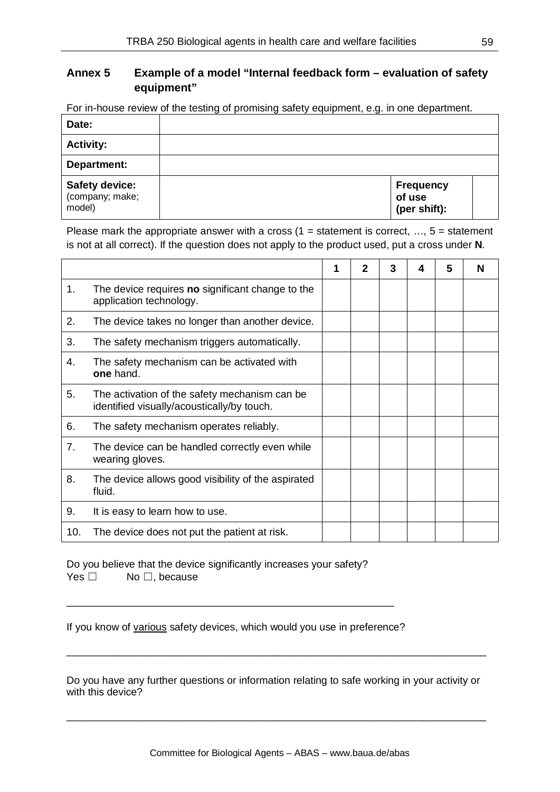# **Annex 5 Example of a model "Internal feedback form – evaluation of safety equipment"**

For in-house review of the testing of promising safety equipment, e.g. in one department.

| Date:                                              |                                            |  |
|----------------------------------------------------|--------------------------------------------|--|
| <b>Activity:</b>                                   |                                            |  |
| Department:                                        |                                            |  |
| <b>Safety device:</b><br>(company; make;<br>model) | <b>Frequency</b><br>of use<br>(per shift): |  |

Please mark the appropriate answer with a cross  $(1 = statement$  is correct, ...,  $5 = statement$ is not at all correct). If the question does not apply to the product used, put a cross under **N**.

|     |                                                                                             | 2 | 3 | 4 | 5 | N |
|-----|---------------------------------------------------------------------------------------------|---|---|---|---|---|
| 1.  | The device requires no significant change to the<br>application technology.                 |   |   |   |   |   |
| 2.  | The device takes no longer than another device.                                             |   |   |   |   |   |
| 3.  | The safety mechanism triggers automatically.                                                |   |   |   |   |   |
| 4.  | The safety mechanism can be activated with<br>one hand.                                     |   |   |   |   |   |
| 5.  | The activation of the safety mechanism can be<br>identified visually/acoustically/by touch. |   |   |   |   |   |
| 6.  | The safety mechanism operates reliably.                                                     |   |   |   |   |   |
| 7.  | The device can be handled correctly even while<br>wearing gloves.                           |   |   |   |   |   |
| 8.  | The device allows good visibility of the aspirated<br>fluid.                                |   |   |   |   |   |
| 9.  | It is easy to learn how to use.                                                             |   |   |   |   |   |
| 10. | The device does not put the patient at risk.                                                |   |   |   |   |   |

Do you believe that the device significantly increases your safety? Yes □ No □, because

If you know of various safety devices, which would you use in preference?

\_\_\_\_\_\_\_\_\_\_\_\_\_\_\_\_\_\_\_\_\_\_\_\_\_\_\_\_\_\_\_\_\_\_\_\_\_\_\_\_\_\_\_\_\_\_\_\_\_\_\_\_\_\_\_\_\_

Do you have any further questions or information relating to safe working in your activity or with this device?

\_\_\_\_\_\_\_\_\_\_\_\_\_\_\_\_\_\_\_\_\_\_\_\_\_\_\_\_\_\_\_\_\_\_\_\_\_\_\_\_\_\_\_\_\_\_\_\_\_\_\_\_\_\_\_\_\_\_\_\_\_\_\_\_\_\_\_\_\_\_\_\_\_

\_\_\_\_\_\_\_\_\_\_\_\_\_\_\_\_\_\_\_\_\_\_\_\_\_\_\_\_\_\_\_\_\_\_\_\_\_\_\_\_\_\_\_\_\_\_\_\_\_\_\_\_\_\_\_\_\_\_\_\_\_\_\_\_\_\_\_\_\_\_\_\_\_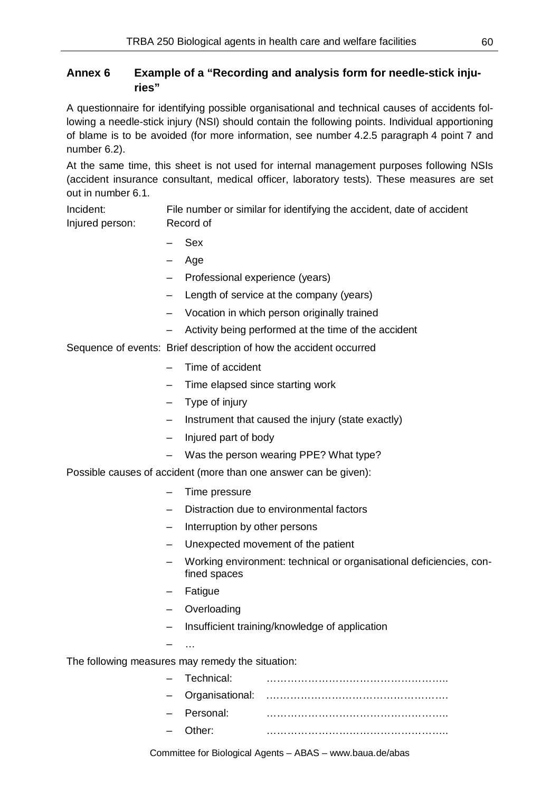# **Annex 6 Example of a "Recording and analysis form for needle-stick injuries"**

A questionnaire for identifying possible organisational and technical causes of accidents following a needle-stick injury (NSI) should contain the following points. Individual apportioning of blame is to be avoided (for more information, see number 4.2.5 paragraph 4 point 7 and number 6.2).

At the same time, this sheet is not used for internal management purposes following NSIs (accident insurance consultant, medical officer, laboratory tests). These measures are set out in number 6.1.

Incident: File number or similar for identifying the accident, date of accident Injured person: Record of

- Sex
- Age
- Professional experience (years)
- Length of service at the company (years)
- Vocation in which person originally trained
- Activity being performed at the time of the accident

Sequence of events: Brief description of how the accident occurred

- Time of accident
- Time elapsed since starting work
- Type of injury
- Instrument that caused the injury (state exactly)
- Injured part of body
- Was the person wearing PPE? What type?

Possible causes of accident (more than one answer can be given):

- Time pressure
- Distraction due to environmental factors
- Interruption by other persons
- Unexpected movement of the patient
- Working environment: technical or organisational deficiencies, confined spaces
- Fatigue
- **Overloading**
- Insufficient training/knowledge of application
- $\sim$

#### The following measures may remedy the situation:

| - Technical: |  |
|--------------|--|
|              |  |
| - Personal:  |  |
| $-$ Other    |  |
|              |  |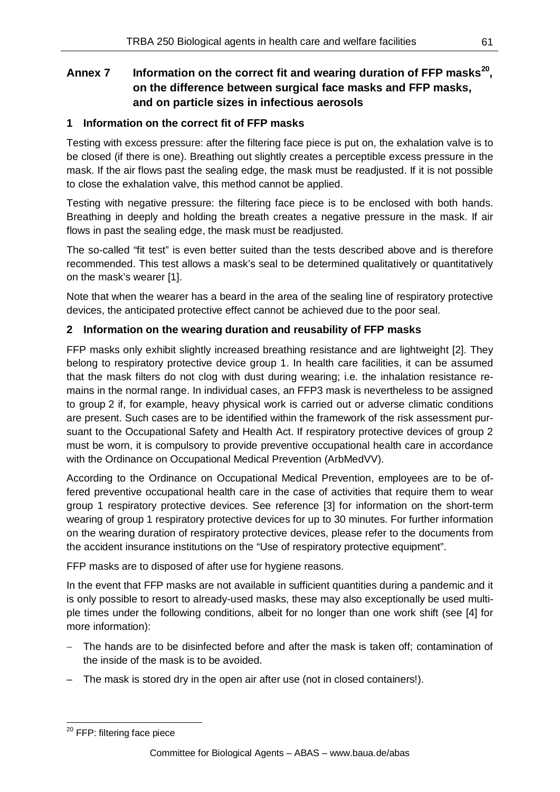# **Annex 7 Information on the correct fit and wearing duration of FFP masks[20,](#page-60-0) on the difference between surgical face masks and FFP masks, and on particle sizes in infectious aerosols**

## **1 Information on the correct fit of FFP masks**

Testing with excess pressure: after the filtering face piece is put on, the exhalation valve is to be closed (if there is one). Breathing out slightly creates a perceptible excess pressure in the mask. If the air flows past the sealing edge, the mask must be readjusted. If it is not possible to close the exhalation valve, this method cannot be applied.

Testing with negative pressure: the filtering face piece is to be enclosed with both hands. Breathing in deeply and holding the breath creates a negative pressure in the mask. If air flows in past the sealing edge, the mask must be readjusted.

The so-called "fit test" is even better suited than the tests described above and is therefore recommended. This test allows a mask's seal to be determined qualitatively or quantitatively on the mask's wearer [1].

Note that when the wearer has a beard in the area of the sealing line of respiratory protective devices, the anticipated protective effect cannot be achieved due to the poor seal.

### **2 Information on the wearing duration and reusability of FFP masks**

FFP masks only exhibit slightly increased breathing resistance and are lightweight [2]. They belong to respiratory protective device group 1. In health care facilities, it can be assumed that the mask filters do not clog with dust during wearing; i.e. the inhalation resistance remains in the normal range. In individual cases, an FFP3 mask is nevertheless to be assigned to group 2 if, for example, heavy physical work is carried out or adverse climatic conditions are present. Such cases are to be identified within the framework of the risk assessment pursuant to the Occupational Safety and Health Act. If respiratory protective devices of group 2 must be worn, it is compulsory to provide preventive occupational health care in accordance with the Ordinance on Occupational Medical Prevention (ArbMedVV).

According to the Ordinance on Occupational Medical Prevention, employees are to be offered preventive occupational health care in the case of activities that require them to wear group 1 respiratory protective devices. See reference [3] for information on the short-term wearing of group 1 respiratory protective devices for up to 30 minutes. For further information on the wearing duration of respiratory protective devices, please refer to the documents from the accident insurance institutions on the "Use of respiratory protective equipment".

FFP masks are to disposed of after use for hygiene reasons.

In the event that FFP masks are not available in sufficient quantities during a pandemic and it is only possible to resort to already-used masks, these may also exceptionally be used multiple times under the following conditions, albeit for no longer than one work shift (see [4] for more information):

- The hands are to be disinfected before and after the mask is taken off; contamination of the inside of the mask is to be avoided.
- The mask is stored dry in the open air after use (not in closed containers!).

<span id="page-60-0"></span><sup>&</sup>lt;sup>20</sup> FFP: filtering face piece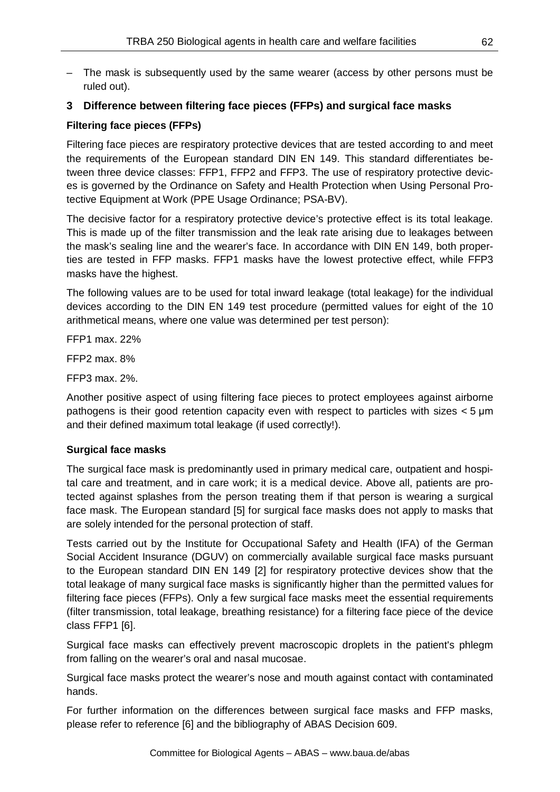– The mask is subsequently used by the same wearer (access by other persons must be ruled out).

## **3 Difference between filtering face pieces (FFPs) and surgical face masks**

### **Filtering face pieces (FFPs)**

Filtering face pieces are respiratory protective devices that are tested according to and meet the requirements of the European standard DIN EN 149. This standard differentiates between three device classes: FFP1, FFP2 and FFP3. The use of respiratory protective devices is governed by the Ordinance on Safety and Health Protection when Using Personal Protective Equipment at Work (PPE Usage Ordinance; PSA-BV).

The decisive factor for a respiratory protective device's protective effect is its total leakage. This is made up of the filter transmission and the leak rate arising due to leakages between the mask's sealing line and the wearer's face. In accordance with DIN EN 149, both properties are tested in FFP masks. FFP1 masks have the lowest protective effect, while FFP3 masks have the highest.

The following values are to be used for total inward leakage (total leakage) for the individual devices according to the DIN EN 149 test procedure (permitted values for eight of the 10 arithmetical means, where one value was determined per test person):

FFP1 max. 22%

FFP2 max. 8%

FFP3 max. 2%.

Another positive aspect of using filtering face pieces to protect employees against airborne pathogens is their good retention capacity even with respect to particles with sizes < 5 μm and their defined maximum total leakage (if used correctly!).

### **Surgical face masks**

The surgical face mask is predominantly used in primary medical care, outpatient and hospital care and treatment, and in care work; it is a medical device. Above all, patients are protected against splashes from the person treating them if that person is wearing a surgical face mask. The European standard [5] for surgical face masks does not apply to masks that are solely intended for the personal protection of staff.

Tests carried out by the Institute for Occupational Safety and Health (IFA) of the German Social Accident Insurance (DGUV) on commercially available surgical face masks pursuant to the European standard DIN EN 149 [2] for respiratory protective devices show that the total leakage of many surgical face masks is significantly higher than the permitted values for filtering face pieces (FFPs). Only a few surgical face masks meet the essential requirements (filter transmission, total leakage, breathing resistance) for a filtering face piece of the device class FFP1 [6].

Surgical face masks can effectively prevent macroscopic droplets in the patient's phlegm from falling on the wearer's oral and nasal mucosae.

Surgical face masks protect the wearer's nose and mouth against contact with contaminated hands.

For further information on the differences between surgical face masks and FFP masks, please refer to reference [6] and the bibliography of ABAS Decision 609.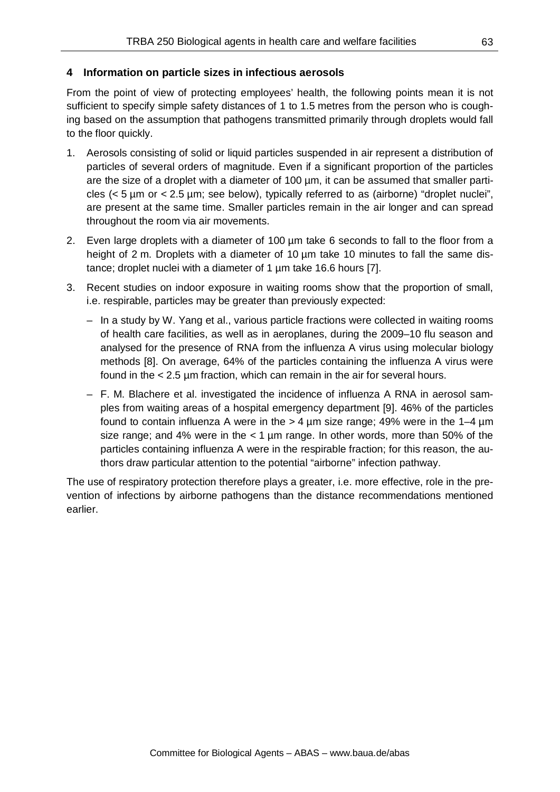### **4 Information on particle sizes in infectious aerosols**

From the point of view of protecting employees' health, the following points mean it is not sufficient to specify simple safety distances of 1 to 1.5 metres from the person who is coughing based on the assumption that pathogens transmitted primarily through droplets would fall to the floor quickly.

- 1. Aerosols consisting of solid or liquid particles suspended in air represent a distribution of particles of several orders of magnitude. Even if a significant proportion of the particles are the size of a droplet with a diameter of 100 um, it can be assumed that smaller particles  $(< 5 \mu m$  or  $< 2.5 \mu m$ ; see below), typically referred to as (airborne) "droplet nuclei", are present at the same time. Smaller particles remain in the air longer and can spread throughout the room via air movements.
- 2. Even large droplets with a diameter of 100 µm take 6 seconds to fall to the floor from a height of 2 m. Droplets with a diameter of 10  $\mu$ m take 10 minutes to fall the same distance; droplet nuclei with a diameter of 1  $\mu$ m take 16.6 hours [7].
- 3. Recent studies on indoor exposure in waiting rooms show that the proportion of small, i.e. respirable, particles may be greater than previously expected:
	- In a study by W. Yang et al., various particle fractions were collected in waiting rooms of health care facilities, as well as in aeroplanes, during the 2009–10 flu season and analysed for the presence of RNA from the influenza A virus using molecular biology methods [8]. On average, 64% of the particles containing the influenza A virus were found in the < 2.5 µm fraction, which can remain in the air for several hours.
	- F. M. Blachere et al. investigated the incidence of influenza A RNA in aerosol samples from waiting areas of a hospital emergency department [9]. 46% of the particles found to contain influenza A were in the  $> 4 \mu m$  size range; 49% were in the 1–4  $\mu$ m size range; and 4% were in the  $<$  1 µm range. In other words, more than 50% of the particles containing influenza A were in the respirable fraction; for this reason, the authors draw particular attention to the potential "airborne" infection pathway.

The use of respiratory protection therefore plays a greater, i.e. more effective, role in the prevention of infections by airborne pathogens than the distance recommendations mentioned earlier.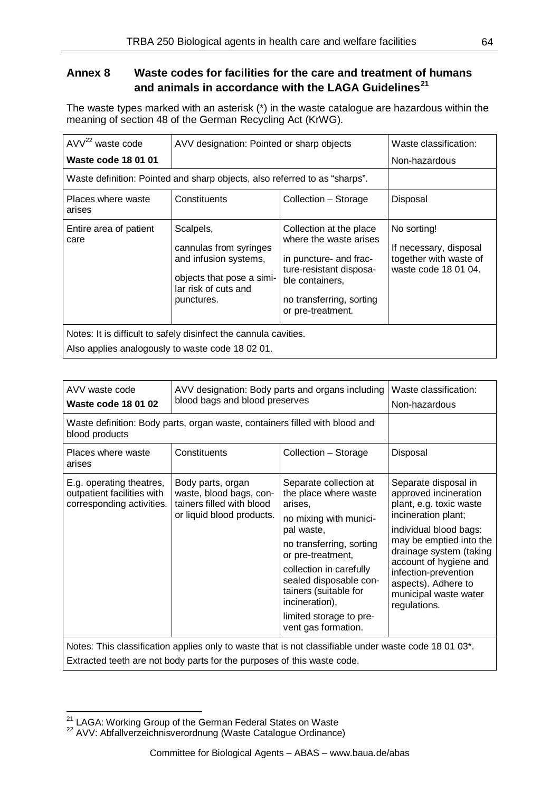# **Annex 8 Waste codes for facilities for the care and treatment of humans and animals in accordance with the LAGA Guidelines[21](#page-63-0)**

The waste types marked with an asterisk (\*) in the waste catalogue are hazardous within the meaning of section 48 of the German Recycling Act (KrWG).

| $AVV22$ waste code                                                         | AVV designation: Pointed or sharp objects                                                                                       | Waste classification:                                                                                                                                                      |                                                                                         |  |  |
|----------------------------------------------------------------------------|---------------------------------------------------------------------------------------------------------------------------------|----------------------------------------------------------------------------------------------------------------------------------------------------------------------------|-----------------------------------------------------------------------------------------|--|--|
| <b>Waste code 18 01 01</b>                                                 |                                                                                                                                 |                                                                                                                                                                            | Non-hazardous                                                                           |  |  |
| Waste definition: Pointed and sharp objects, also referred to as "sharps". |                                                                                                                                 |                                                                                                                                                                            |                                                                                         |  |  |
| Places where waste<br>arises                                               | Constituents                                                                                                                    | Collection - Storage                                                                                                                                                       | Disposal                                                                                |  |  |
| Entire area of patient<br>care                                             | Scalpels,<br>cannulas from syringes<br>and infusion systems,<br>objects that pose a simi-<br>lar risk of cuts and<br>punctures. | Collection at the place<br>where the waste arises<br>in puncture- and frac-<br>ture-resistant disposa-<br>ble containers,<br>no transferring, sorting<br>or pre-treatment. | No sorting!<br>If necessary, disposal<br>together with waste of<br>waste code 18 01 04. |  |  |
| Notes: It is difficult to safely disinfect the cannula cavities.           |                                                                                                                                 |                                                                                                                                                                            |                                                                                         |  |  |
| Also applies analogously to waste code 18 02 01.                           |                                                                                                                                 |                                                                                                                                                                            |                                                                                         |  |  |

| AVV waste code<br>Waste code 18 01 02                                                                              | Waste classification:<br>Non-hazardous                                                                 |                                                                                                                                                                                                                                                                                                       |                                                                                                                                                                                                                                                                                                   |  |  |  |
|--------------------------------------------------------------------------------------------------------------------|--------------------------------------------------------------------------------------------------------|-------------------------------------------------------------------------------------------------------------------------------------------------------------------------------------------------------------------------------------------------------------------------------------------------------|---------------------------------------------------------------------------------------------------------------------------------------------------------------------------------------------------------------------------------------------------------------------------------------------------|--|--|--|
| Waste definition: Body parts, organ waste, containers filled with blood and<br>blood products                      |                                                                                                        |                                                                                                                                                                                                                                                                                                       |                                                                                                                                                                                                                                                                                                   |  |  |  |
| Places where waste<br>arises                                                                                       | Constituents                                                                                           | Collection - Storage                                                                                                                                                                                                                                                                                  | Disposal                                                                                                                                                                                                                                                                                          |  |  |  |
| E.g. operating theatres,<br>outpatient facilities with<br>corresponding activities.                                | Body parts, organ<br>waste, blood bags, con-<br>tainers filled with blood<br>or liquid blood products. | Separate collection at<br>the place where waste<br>arises,<br>no mixing with munici-<br>pal waste,<br>no transferring, sorting<br>or pre-treatment,<br>collection in carefully<br>sealed disposable con-<br>tainers (suitable for<br>incineration),<br>limited storage to pre-<br>vent gas formation. | Separate disposal in<br>approved incineration<br>plant, e.g. toxic waste<br>incineration plant;<br>individual blood bags:<br>may be emptied into the<br>drainage system (taking<br>account of hygiene and<br>infection-prevention<br>aspects). Adhere to<br>municipal waste water<br>regulations. |  |  |  |
| Notes: This classification applies only to waste that is not classifiable under waste code 18 01 03 <sup>*</sup> . |                                                                                                        |                                                                                                                                                                                                                                                                                                       |                                                                                                                                                                                                                                                                                                   |  |  |  |

Extracted teeth are not body parts for the purposes of this waste code.

<span id="page-63-1"></span><span id="page-63-0"></span><sup>&</sup>lt;sup>21</sup> LAGA: Working Group of the German Federal States on Waste  $22$  AVV: Abfallverzeichnisverordnung (Waste Catalogue Ordinance)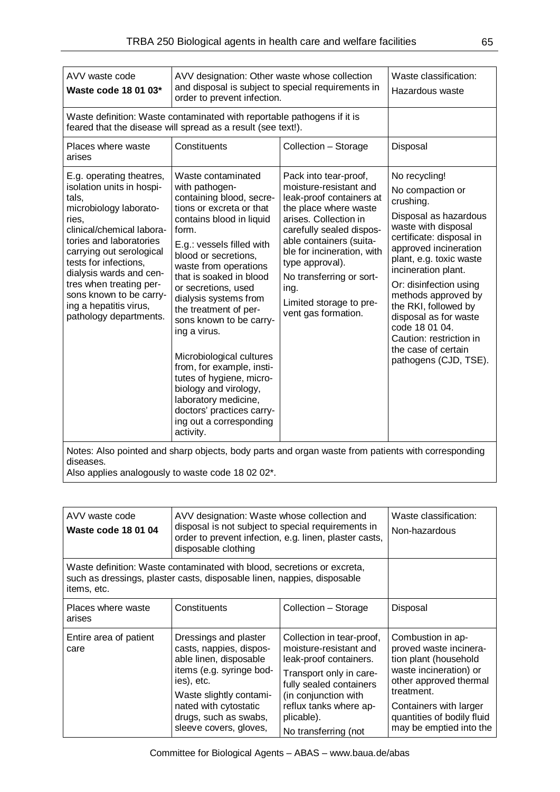| AVV waste code<br>Waste code 18 01 03*                                                                                                                                                                                                                                                                                                              | AVV designation: Other waste whose collection<br>and disposal is subject to special requirements in<br>order to prevent infection.                                                                                                                                                                                                                                                                                                                                                                                                                                        | Waste classification:<br>Hazardous waste                                                                                                                                                                                                                                                                                    |                                                                                                                                                                                                                                                                                                                                                                                                      |  |
|-----------------------------------------------------------------------------------------------------------------------------------------------------------------------------------------------------------------------------------------------------------------------------------------------------------------------------------------------------|---------------------------------------------------------------------------------------------------------------------------------------------------------------------------------------------------------------------------------------------------------------------------------------------------------------------------------------------------------------------------------------------------------------------------------------------------------------------------------------------------------------------------------------------------------------------------|-----------------------------------------------------------------------------------------------------------------------------------------------------------------------------------------------------------------------------------------------------------------------------------------------------------------------------|------------------------------------------------------------------------------------------------------------------------------------------------------------------------------------------------------------------------------------------------------------------------------------------------------------------------------------------------------------------------------------------------------|--|
|                                                                                                                                                                                                                                                                                                                                                     | Waste definition: Waste contaminated with reportable pathogens if it is<br>feared that the disease will spread as a result (see text!).                                                                                                                                                                                                                                                                                                                                                                                                                                   |                                                                                                                                                                                                                                                                                                                             |                                                                                                                                                                                                                                                                                                                                                                                                      |  |
| Places where waste<br>arises                                                                                                                                                                                                                                                                                                                        | Constituents                                                                                                                                                                                                                                                                                                                                                                                                                                                                                                                                                              | Collection - Storage                                                                                                                                                                                                                                                                                                        | Disposal                                                                                                                                                                                                                                                                                                                                                                                             |  |
| E.g. operating theatres,<br>isolation units in hospi-<br>tals,<br>microbiology laborato-<br>ries,<br>clinical/chemical labora-<br>tories and laboratories<br>carrying out serological<br>tests for infections,<br>dialysis wards and cen-<br>tres when treating per-<br>sons known to be carry-<br>ing a hepatitis virus,<br>pathology departments. | Waste contaminated<br>with pathogen-<br>containing blood, secre-<br>tions or excreta or that<br>contains blood in liquid<br>form.<br>E.g.: vessels filled with<br>blood or secretions,<br>waste from operations<br>that is soaked in blood<br>or secretions, used<br>dialysis systems from<br>the treatment of per-<br>sons known to be carry-<br>ing a virus.<br>Microbiological cultures<br>from, for example, insti-<br>tutes of hygiene, micro-<br>biology and virology,<br>laboratory medicine,<br>doctors' practices carry-<br>ing out a corresponding<br>activity. | Pack into tear-proof,<br>moisture-resistant and<br>leak-proof containers at<br>the place where waste<br>arises. Collection in<br>carefully sealed dispos-<br>able containers (suita-<br>ble for incineration, with<br>type approval).<br>No transferring or sort-<br>ing.<br>Limited storage to pre-<br>vent gas formation. | No recycling!<br>No compaction or<br>crushing.<br>Disposal as hazardous<br>waste with disposal<br>certificate: disposal in<br>approved incineration<br>plant, e.g. toxic waste<br>incineration plant.<br>Or: disinfection using<br>methods approved by<br>the RKI, followed by<br>disposal as for waste<br>code 18 01 04.<br>Caution: restriction in<br>the case of certain<br>pathogens (CJD, TSE). |  |
| Notes: Also pointed and sharp objects, body parts and organ waste from patients with corresponding                                                                                                                                                                                                                                                  |                                                                                                                                                                                                                                                                                                                                                                                                                                                                                                                                                                           |                                                                                                                                                                                                                                                                                                                             |                                                                                                                                                                                                                                                                                                                                                                                                      |  |

diseases.

Also applies analogously to waste code 18 02 02\*.

| AVV waste code<br>Waste code 18 01 04                                                                                                                             | AVV designation: Waste whose collection and<br>disposal is not subject to special requirements in<br>order to prevent infection, e.g. linen, plaster casts,<br>disposable clothing                                          | Waste classification:<br>Non-hazardous                                                                                                                                                                                      |                                                                                                                                                                                                                           |
|-------------------------------------------------------------------------------------------------------------------------------------------------------------------|-----------------------------------------------------------------------------------------------------------------------------------------------------------------------------------------------------------------------------|-----------------------------------------------------------------------------------------------------------------------------------------------------------------------------------------------------------------------------|---------------------------------------------------------------------------------------------------------------------------------------------------------------------------------------------------------------------------|
| Waste definition: Waste contaminated with blood, secretions or excreta,<br>such as dressings, plaster casts, disposable linen, nappies, disposable<br>items, etc. |                                                                                                                                                                                                                             |                                                                                                                                                                                                                             |                                                                                                                                                                                                                           |
| Places where waste<br>arises                                                                                                                                      | Constituents                                                                                                                                                                                                                | Collection – Storage                                                                                                                                                                                                        | Disposal                                                                                                                                                                                                                  |
| Entire area of patient<br>care                                                                                                                                    | Dressings and plaster<br>casts, nappies, dispos-<br>able linen, disposable<br>items (e.g. syringe bod-<br>ies), etc.<br>Waste slightly contami-<br>nated with cytostatic<br>drugs, such as swabs,<br>sleeve covers, gloves, | Collection in tear-proof,<br>moisture-resistant and<br>leak-proof containers.<br>Transport only in care-<br>fully sealed containers<br>(in conjunction with<br>reflux tanks where ap-<br>plicable).<br>No transferring (not | Combustion in ap-<br>proved waste incinera-<br>tion plant (household<br>waste incineration) or<br>other approved thermal<br>treatment.<br>Containers with larger<br>quantities of bodily fluid<br>may be emptied into the |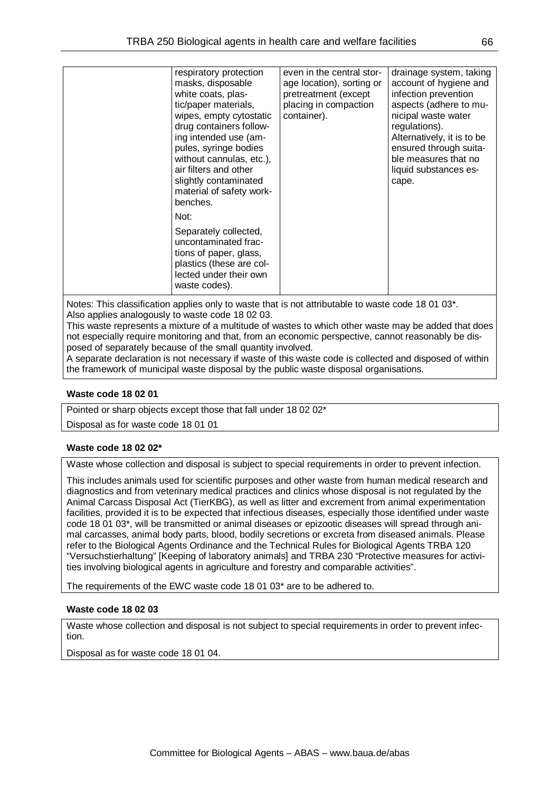| respiratory protection   | even in the central stor- | drainage system, taking    |
|--------------------------|---------------------------|----------------------------|
| masks, disposable        | age location), sorting or | account of hygiene and     |
| white coats, plas-       | pretreatment (except      | infection prevention       |
| tic/paper materials,     | placing in compaction     | aspects (adhere to mu-     |
| wipes, empty cytostatic  | container).               | nicipal waste water        |
| drug containers follow-  |                           | regulations).              |
| ing intended use (am-    |                           | Alternatively, it is to be |
| pules, syringe bodies    |                           | ensured through suita-     |
| without cannulas, etc.), |                           | ble measures that no       |
| air filters and other    |                           | liquid substances es-      |
| slightly contaminated    |                           | cape.                      |
| material of safety work- |                           |                            |
| benches.                 |                           |                            |
|                          |                           |                            |
| Not:                     |                           |                            |
| Separately collected,    |                           |                            |
| uncontaminated frac-     |                           |                            |
| tions of paper, glass,   |                           |                            |
| plastics (these are col- |                           |                            |
| lected under their own   |                           |                            |
| waste codes).            |                           |                            |
|                          |                           |                            |

Notes: This classification applies only to waste that is not attributable to waste code 18 01 03<sup>\*</sup>. Also applies analogously to waste code 18 02 03.

This waste represents a mixture of a multitude of wastes to which other waste may be added that does not especially require monitoring and that, from an economic perspective, cannot reasonably be disposed of separately because of the small quantity involved.

A separate declaration is not necessary if waste of this waste code is collected and disposed of within the framework of municipal waste disposal by the public waste disposal organisations.

#### **Waste code 18 02 01**

Pointed or sharp objects except those that fall under 18 02 02<sup>\*</sup>

Disposal as for waste code 18 01 01

#### **Waste code 18 02 02\***

Waste whose collection and disposal is subject to special requirements in order to prevent infection.

This includes animals used for scientific purposes and other waste from human medical research and diagnostics and from veterinary medical practices and clinics whose disposal is not regulated by the Animal Carcass Disposal Act (TierKBG), as well as litter and excrement from animal experimentation facilities, provided it is to be expected that infectious diseases, especially those identified under waste code 18 01 03\*, will be transmitted or animal diseases or epizootic diseases will spread through animal carcasses, animal body parts, blood, bodily secretions or excreta from diseased animals. Please refer to the Biological Agents Ordinance and the Technical Rules for Biological Agents TRBA 120 "Versuchstierhaltung" [Keeping of laboratory animals] and TRBA 230 "Protective measures for activities involving biological agents in agriculture and forestry and comparable activities".

The requirements of the EWC waste code 18 01 03\* are to be adhered to.

#### **Waste code 18 02 03**

Waste whose collection and disposal is not subject to special requirements in order to prevent infection.

Disposal as for waste code 18 01 04.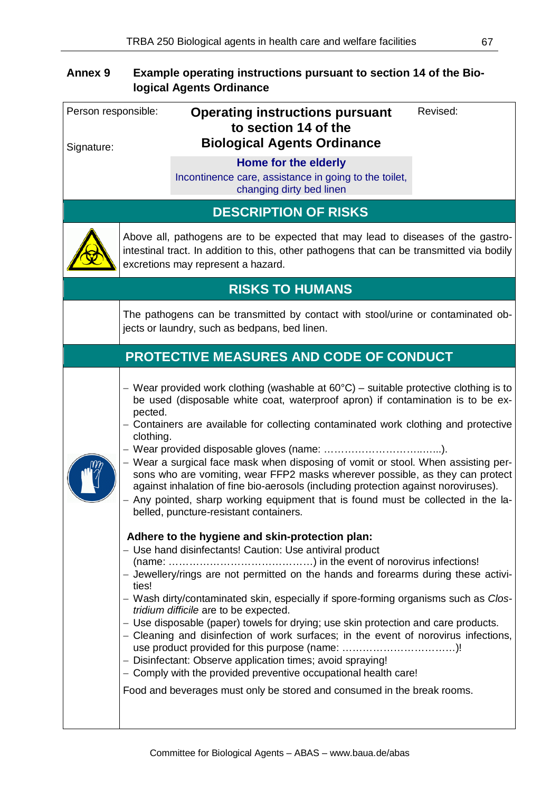# **Annex 9 Example operating instructions pursuant to section 14 of the Biological Agents Ordinance**

| Person responsible: |                               | <b>Operating instructions pursuant</b><br>to section 14 of the                                                                                                                                                                                                                                                                                                                                                                                                                                                                                                                                                                                                                                                                                                                                                                                                                                                                                                                                                                                                                                                                                                                                                                                                                                                                                                                                                                                         | Revised: |
|---------------------|-------------------------------|--------------------------------------------------------------------------------------------------------------------------------------------------------------------------------------------------------------------------------------------------------------------------------------------------------------------------------------------------------------------------------------------------------------------------------------------------------------------------------------------------------------------------------------------------------------------------------------------------------------------------------------------------------------------------------------------------------------------------------------------------------------------------------------------------------------------------------------------------------------------------------------------------------------------------------------------------------------------------------------------------------------------------------------------------------------------------------------------------------------------------------------------------------------------------------------------------------------------------------------------------------------------------------------------------------------------------------------------------------------------------------------------------------------------------------------------------------|----------|
| Signature:          |                               | <b>Biological Agents Ordinance</b>                                                                                                                                                                                                                                                                                                                                                                                                                                                                                                                                                                                                                                                                                                                                                                                                                                                                                                                                                                                                                                                                                                                                                                                                                                                                                                                                                                                                                     |          |
|                     |                               | Home for the elderly<br>Incontinence care, assistance in going to the toilet,<br>changing dirty bed linen                                                                                                                                                                                                                                                                                                                                                                                                                                                                                                                                                                                                                                                                                                                                                                                                                                                                                                                                                                                                                                                                                                                                                                                                                                                                                                                                              |          |
|                     |                               | <b>DESCRIPTION OF RISKS</b>                                                                                                                                                                                                                                                                                                                                                                                                                                                                                                                                                                                                                                                                                                                                                                                                                                                                                                                                                                                                                                                                                                                                                                                                                                                                                                                                                                                                                            |          |
|                     |                               | Above all, pathogens are to be expected that may lead to diseases of the gastro-<br>intestinal tract. In addition to this, other pathogens that can be transmitted via bodily<br>excretions may represent a hazard.                                                                                                                                                                                                                                                                                                                                                                                                                                                                                                                                                                                                                                                                                                                                                                                                                                                                                                                                                                                                                                                                                                                                                                                                                                    |          |
|                     |                               | <b>RISKS TO HUMANS</b>                                                                                                                                                                                                                                                                                                                                                                                                                                                                                                                                                                                                                                                                                                                                                                                                                                                                                                                                                                                                                                                                                                                                                                                                                                                                                                                                                                                                                                 |          |
|                     |                               | The pathogens can be transmitted by contact with stool/urine or contaminated ob-<br>jects or laundry, such as bedpans, bed linen.                                                                                                                                                                                                                                                                                                                                                                                                                                                                                                                                                                                                                                                                                                                                                                                                                                                                                                                                                                                                                                                                                                                                                                                                                                                                                                                      |          |
|                     |                               | <b>PROTECTIVE MEASURES AND CODE OF CONDUCT</b>                                                                                                                                                                                                                                                                                                                                                                                                                                                                                                                                                                                                                                                                                                                                                                                                                                                                                                                                                                                                                                                                                                                                                                                                                                                                                                                                                                                                         |          |
|                     | pected.<br>clothing.<br>ties! | - Wear provided work clothing (washable at 60 $\degree$ C) - suitable protective clothing is to<br>be used (disposable white coat, waterproof apron) if contamination is to be ex-<br>- Containers are available for collecting contaminated work clothing and protective<br>- Wear a surgical face mask when disposing of vomit or stool. When assisting per-<br>sons who are vomiting, wear FFP2 masks wherever possible, as they can protect<br>against inhalation of fine bio-aerosols (including protection against noroviruses).<br>- Any pointed, sharp working equipment that is found must be collected in the la-<br>belled, puncture-resistant containers.<br>Adhere to the hygiene and skin-protection plan:<br>- Use hand disinfectants! Caution: Use antiviral product<br>- Jewellery/rings are not permitted on the hands and forearms during these activi-<br>- Wash dirty/contaminated skin, especially if spore-forming organisms such as Clos-<br>tridium difficile are to be expected.<br>- Use disposable (paper) towels for drying; use skin protection and care products.<br>- Cleaning and disinfection of work surfaces; in the event of norovirus infections,<br>use product provided for this purpose (name: )!<br>- Disinfectant: Observe application times; avoid spraying!<br>- Comply with the provided preventive occupational health care!<br>Food and beverages must only be stored and consumed in the break rooms. |          |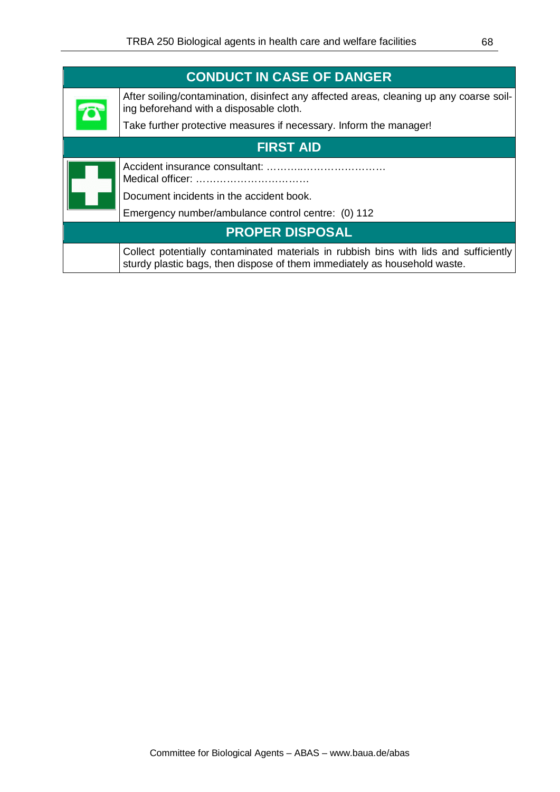| <b>CONDUCT IN CASE OF DANGER</b> |                                                                                                                                                                    |
|----------------------------------|--------------------------------------------------------------------------------------------------------------------------------------------------------------------|
|                                  | After soiling/contamination, disinfect any affected areas, cleaning up any coarse soil-<br>ing beforehand with a disposable cloth.                                 |
|                                  | Take further protective measures if necessary. Inform the manager!                                                                                                 |
| <b>FIRST AID</b>                 |                                                                                                                                                                    |
|                                  |                                                                                                                                                                    |
|                                  | Document incidents in the accident book.                                                                                                                           |
|                                  | Emergency number/ambulance control centre: (0) 112                                                                                                                 |
| <b>PROPER DISPOSAL</b>           |                                                                                                                                                                    |
|                                  | Collect potentially contaminated materials in rubbish bins with lids and sufficiently<br>sturdy plastic bags, then dispose of them immediately as household waste. |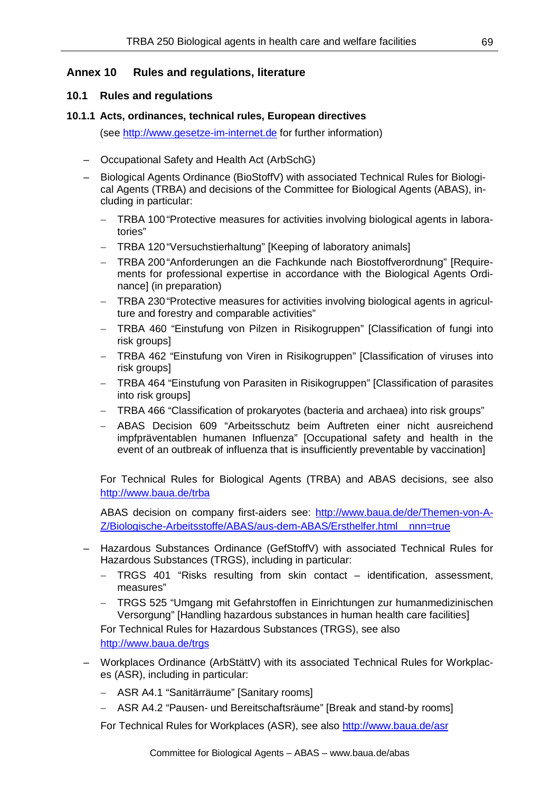### **Annex 10 Rules and regulations, literature**

#### **10.1 Rules and regulations**

#### **10.1.1 Acts, ordinances, technical rules, European directives**

(see [http://www.gesetze-im-internet.de](http://www.gesetze-im-internet.de/) for further information)

- Occupational Safety and Health Act (ArbSchG)
- Biological Agents Ordinance (BioStoffV) with associated Technical Rules for Biological Agents (TRBA) and decisions of the Committee for Biological Agents (ABAS), including in particular:
	- − TRBA 100 "Protective measures for activities involving biological agents in laboratories"
	- − TRBA 120 "Versuchstierhaltung" [Keeping of laboratory animals]
	- − TRBA 200 "Anforderungen an die Fachkunde nach Biostoffverordnung" [Requirements for professional expertise in accordance with the Biological Agents Ordinance] (in preparation)
	- − TRBA 230 "Protective measures for activities involving biological agents in agriculture and forestry and comparable activities"
	- − TRBA 460 "Einstufung von Pilzen in Risikogruppen" [Classification of fungi into risk groups]
	- − TRBA 462 "Einstufung von Viren in Risikogruppen" [Classification of viruses into risk groups]
	- − TRBA 464 "Einstufung von Parasiten in Risikogruppen" [Classification of parasites into risk groups]
	- − TRBA 466 "Classification of prokaryotes (bacteria and archaea) into risk groups"
	- − ABAS Decision 609 "Arbeitsschutz beim Auftreten einer nicht ausreichend impfpräventablen humanen Influenza" [Occupational safety and health in the event of an outbreak of influenza that is insufficiently preventable by vaccination]

For Technical Rules for Biological Agents (TRBA) and ABAS decisions, see also <http://www.baua.de/>trba

ABAS decision on company first-aiders see: [http://www.baua.de/de/Themen-von-A-](http://www.baua.de/de/Themen-von-A-Z/Biologische-Arbeitsstoffe/ABAS/aus-dem-ABAS/Ersthelfer.html__nnn=true)[Z/Biologische-Arbeitsstoffe/ABAS/aus-dem-ABAS/Ersthelfer.html\\_\\_nnn=true](http://www.baua.de/de/Themen-von-A-Z/Biologische-Arbeitsstoffe/ABAS/aus-dem-ABAS/Ersthelfer.html__nnn=true)

- Hazardous Substances Ordinance (GefStoffV) with associated Technical Rules for Hazardous Substances (TRGS), including in particular:
	- − TRGS 401 "Risks resulting from skin contact identification, assessment, measures"
	- − TRGS 525 "Umgang mit Gefahrstoffen in Einrichtungen zur humanmedizinischen Versorgung" [Handling hazardous substances in human health care facilities]

For Technical Rules for Hazardous Substances (TRGS), see also <http://www.baua.de/>trgs

- Workplaces Ordinance (ArbStättV) with its associated Technical Rules for Workplaces (ASR), including in particular:
	- − ASR A4.1 "Sanitärräume" [Sanitary rooms]
	- − ASR A4.2 "Pausen- und Bereitschaftsräume" [Break and stand-by rooms]

For Technical Rules for Workplaces (ASR), see also <http://www.baua.de/asr>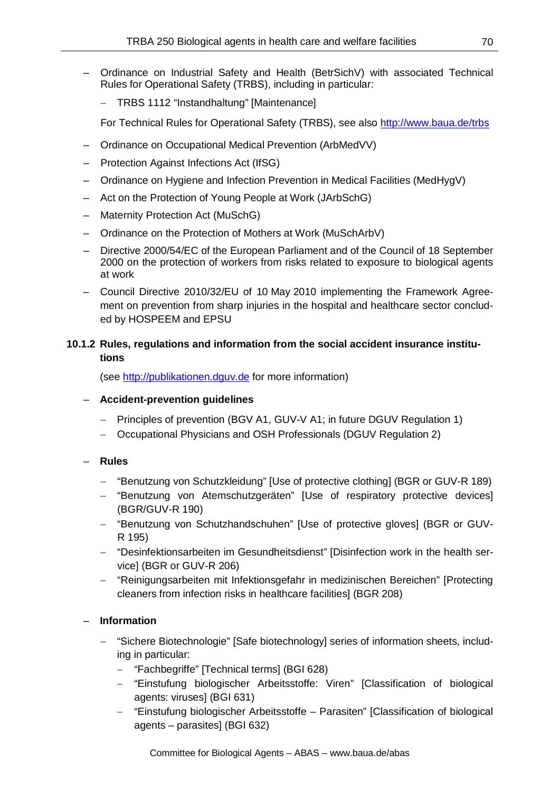- Ordinance on Industrial Safety and Health (BetrSichV) with associated Technical Rules for Operational Safety (TRBS), including in particular:
	- − TRBS 1112 "Instandhaltung" [Maintenance]

For Technical Rules for Operational Safety (TRBS), see also <http://www.baua.de/>trbs

- Ordinance on Occupational Medical Prevention (ArbMedVV)
- Protection Against Infections Act (IfSG)
- Ordinance on Hygiene and Infection Prevention in Medical Facilities (MedHygV)
- Act on the Protection of Young People at Work (JArbSchG)
- Maternity Protection Act (MuSchG)
- Ordinance on the Protection of Mothers at Work (MuSchArbV)
- Directive 2000/54/EC of the European Parliament and of the Council of 18 September 2000 on the protection of workers from risks related to exposure to biological agents at work
- Council Directive 2010/32/EU of 10 May 2010 implementing the Framework Agreement on prevention from sharp injuries in the hospital and healthcare sector concluded by HOSPEEM and EPSU

## **10.1.2 Rules, regulations and information from the social accident insurance institutions**

(see [http://publikationen.dguv.de](http://publikationen.dguv.de/) for more information)

### – **Accident-prevention guidelines**

- − Principles of prevention (BGV A1, GUV-V A1; in future DGUV Regulation 1)
- − Occupational Physicians and OSH Professionals (DGUV Regulation 2)

### – **Rules**

- − "Benutzung von Schutzkleidung" [Use of protective clothing] (BGR or GUV-R 189)
- − "Benutzung von Atemschutzgeräten" [Use of respiratory protective devices] (BGR/GUV-R 190)
- − "Benutzung von Schutzhandschuhen" [Use of protective gloves] (BGR or GUV-R 195)
- − "Desinfektionsarbeiten im Gesundheitsdienst" [Disinfection work in the health service] (BGR or GUV-R 206)
- − "Reinigungsarbeiten mit Infektionsgefahr in medizinischen Bereichen" [Protecting cleaners from infection risks in healthcare facilities] (BGR 208)

### – **Information**

- − "Sichere Biotechnologie" [Safe biotechnology] series of information sheets, including in particular:
	- − "Fachbegriffe" [Technical terms] (BGI 628)
	- − "Einstufung biologischer Arbeitsstoffe: Viren" [Classification of biological agents: viruses] (BGI 631)
	- − "Einstufung biologischer Arbeitsstoffe Parasiten" [Classification of biological agents – parasites] (BGI 632)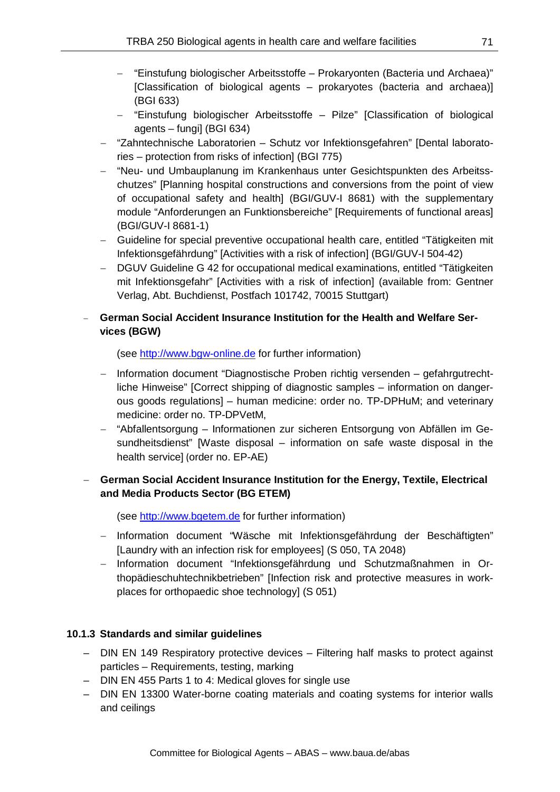- − "Einstufung biologischer Arbeitsstoffe Prokaryonten (Bacteria und Archaea)" [Classification of biological agents – prokaryotes (bacteria and archaea)] (BGI 633)
- − "Einstufung biologischer Arbeitsstoffe Pilze" [Classification of biological agents – fungi] (BGI 634)
- − "Zahntechnische Laboratorien Schutz vor Infektionsgefahren" [Dental laboratories – protection from risks of infection] (BGI 775)
- − "Neu- und Umbauplanung im Krankenhaus unter Gesichtspunkten des Arbeitsschutzes" [Planning hospital constructions and conversions from the point of view of occupational safety and health] (BGI/GUV-I 8681) with the supplementary module "Anforderungen an Funktionsbereiche" [Requirements of functional areas] (BGI/GUV-I 8681-1)
- − Guideline for special preventive occupational health care, entitled "Tätigkeiten mit Infektionsgefährdung" [Activities with a risk of infection] (BGI/GUV-I 504-42)
- − DGUV Guideline G 42 for occupational medical examinations, entitled "Tätigkeiten mit Infektionsgefahr" [Activities with a risk of infection] (available from: Gentner Verlag, Abt. Buchdienst, Postfach 101742, 70015 Stuttgart)

### − **German Social Accident Insurance Institution for the Health and Welfare Services (BGW)**

(see [http://www.bgw-online.de](http://www.bgw-online.de/) for further information)

- − Information document "Diagnostische Proben richtig versenden gefahrgutrechtliche Hinweise" [Correct shipping of diagnostic samples – information on dangerous goods regulations] – human medicine: order no. TP-DPHuM; and veterinary medicine: order no. TP-DPVetM,
- − "Abfallentsorgung Informationen zur sicheren Entsorgung von Abfällen im Gesundheitsdienst" [Waste disposal – information on safe waste disposal in the health service] (order no. EP-AE)

### − **German Social Accident Insurance Institution for the Energy, Textile, Electrical and Media Products Sector (BG ETEM)**

(see [http://www.bgetem.de](http://www.bgetem.de/) for further information)

- − Information document "Wäsche mit Infektionsgefährdung der Beschäftigten" [Laundry with an infection risk for employees] (S 050, TA 2048)
- − Information document "Infektionsgefährdung und Schutzmaßnahmen in Orthopädieschuhtechnikbetrieben" [Infection risk and protective measures in workplaces for orthopaedic shoe technology] (S 051)

### **10.1.3 Standards and similar guidelines**

- DIN EN 149 Respiratory protective devices Filtering half masks to protect against particles – Requirements, testing, marking
- DIN EN 455 Parts 1 to 4: Medical gloves for single use
- DIN EN 13300 Water-borne coating materials and coating systems for interior walls and ceilings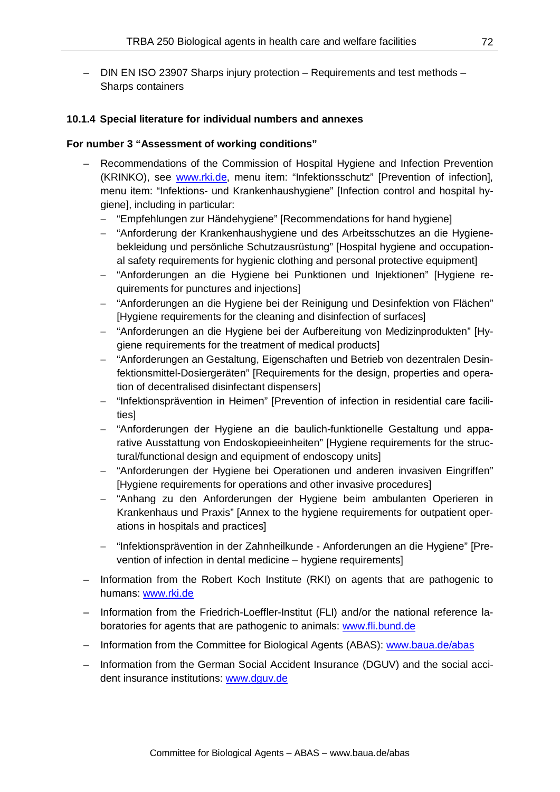– DIN EN ISO 23907 Sharps injury protection – Requirements and test methods – Sharps containers

#### **10.1.4 Special literature for individual numbers and annexes**

#### **For number 3 "Assessment of working conditions"**

- Recommendations of the Commission of Hospital Hygiene and Infection Prevention (KRINKO), see [www.rki.de,](http://www.rki.de/) menu item: "Infektionsschutz" [Prevention of infection], menu item: "Infektions- und Krankenhaushygiene" [Infection control and hospital hygiene], including in particular:
	- − "Empfehlungen zur Händehygiene" [Recommendations for hand hygiene]
	- − "Anforderung der Krankenhaushygiene und des Arbeitsschutzes an die Hygienebekleidung und persönliche Schutzausrüstung" [Hospital hygiene and occupational safety requirements for hygienic clothing and personal protective equipment]
	- − "Anforderungen an die Hygiene bei Punktionen und Injektionen" [Hygiene requirements for punctures and injections]
	- − "Anforderungen an die Hygiene bei der Reinigung und Desinfektion von Flächen" [Hygiene requirements for the cleaning and disinfection of surfaces]
	- − "Anforderungen an die Hygiene bei der Aufbereitung von Medizinprodukten" [Hygiene requirements for the treatment of medical products]
	- − "Anforderungen an Gestaltung, Eigenschaften und Betrieb von dezentralen Desinfektionsmittel-Dosiergeräten" [Requirements for the design, properties and operation of decentralised disinfectant dispensers]
	- − "Infektionsprävention in Heimen" [Prevention of infection in residential care facilities]
	- − "Anforderungen der Hygiene an die baulich-funktionelle Gestaltung und apparative Ausstattung von Endoskopieeinheiten" [Hygiene requirements for the structural/functional design and equipment of endoscopy units]
	- − "Anforderungen der Hygiene bei Operationen und anderen invasiven Eingriffen" [Hygiene requirements for operations and other invasive procedures]
	- − "Anhang zu den Anforderungen der Hygiene beim ambulanten Operieren in Krankenhaus und Praxis" [Annex to the hygiene requirements for outpatient operations in hospitals and practices]
	- − "Infektionsprävention in der Zahnheilkunde Anforderungen an die Hygiene" [Prevention of infection in dental medicine – hygiene requirements]
- Information from the Robert Koch Institute (RKI) on agents that are pathogenic to humans: [www.rki.de](http://www.rki.de/)
- Information from the Friedrich-Loeffler-Institut (FLI) and/or the national reference laboratories for agents that are pathogenic to animals: [www.fli.bund.de](http://www.fli.bund.de/)
- Information from the Committee for Biological Agents (ABAS): [www.baua.de/abas](http://www.baua.de/abas)
- Information from the German Social Accident Insurance (DGUV) and the social accident insurance institutions: [www.dguv.de](http://www.dguv.de/)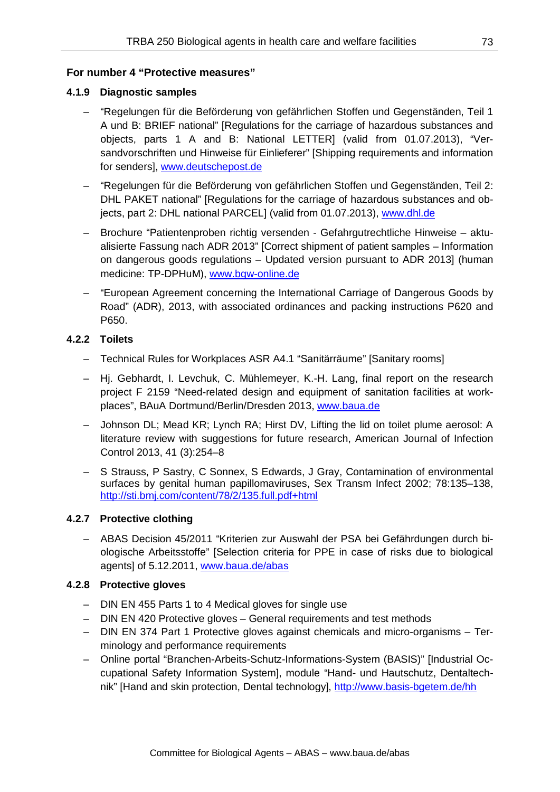## **For number 4 "Protective measures"**

## **4.1.9 Diagnostic samples**

- "Regelungen für die Beförderung von gefährlichen Stoffen und Gegenständen, Teil 1 A und B: BRIEF national" [Regulations for the carriage of hazardous substances and objects, parts 1 A and B: National LETTER] (valid from 01.07.2013), "Versandvorschriften und Hinweise für Einlieferer" [Shipping requirements and information for senders], [www.deutschepost.de](http://www.deutschepost.de/)
- "Regelungen für die Beförderung von gefährlichen Stoffen und Gegenständen, Teil 2: DHL PAKET national" [Regulations for the carriage of hazardous substances and objects, part 2: DHL national PARCEL] (valid from 01.07.2013), [www.dhl.de](http://www.dhl.de/)
- Brochure "Patientenproben richtig versenden Gefahrgutrechtliche Hinweise aktualisierte Fassung nach ADR 2013" [Correct shipment of patient samples – Information on dangerous goods regulations – Updated version pursuant to ADR 2013] (human medicine: TP-DPHuM), [www.bgw-online.de](http://www.bgw-online.de/)
- "European Agreement concerning the International Carriage of Dangerous Goods by Road" (ADR), 2013, with associated ordinances and packing instructions P620 and P650.

## **4.2.2 Toilets**

- Technical Rules for Workplaces ASR A4.1 "Sanitärräume" [Sanitary rooms]
- Hj. Gebhardt, I. Levchuk, C. Mühlemeyer, K.-H. Lang, final report on the research project F 2159 "Need-related design and equipment of sanitation facilities at workplaces", BAuA Dortmund/Berlin/Dresden 2013, [www.baua.de](http://www.baua.de/)
- Johnson DL; Mead KR; Lynch RA; Hirst DV, Lifting the lid on toilet plume aerosol: A literature review with suggestions for future research, American Journal of Infection Control 2013, 41 (3):254–8
- S Strauss, P Sastry, C Sonnex, S Edwards, J Gray, Contamination of environmental surfaces by genital human papillomaviruses, Sex Transm Infect 2002; 78:135–138, <http://sti.bmj.com/content/78/2/135.full.pdf+html>

# **4.2.7 Protective clothing**

– ABAS Decision 45/2011 "Kriterien zur Auswahl der PSA bei Gefährdungen durch biologische Arbeitsstoffe" [Selection criteria for PPE in case of risks due to biological agents] of 5.12.2011, [www.baua.de/abas](http://www.baua.de/abas)

## **4.2.8 Protective gloves**

- DIN EN 455 Parts 1 to 4 Medical gloves for single use
- DIN EN 420 Protective gloves General requirements and test methods
- DIN EN 374 Part 1 Protective gloves against chemicals and micro-organisms Terminology and performance requirements
- Online portal "Branchen-Arbeits-Schutz-Informations-System (BASIS)" [Industrial Occupational Safety Information System], module "Hand- und Hautschutz, Dentaltechnik" [Hand and skin protection, Dental technology],<http://www.basis-bgetem.de/hh>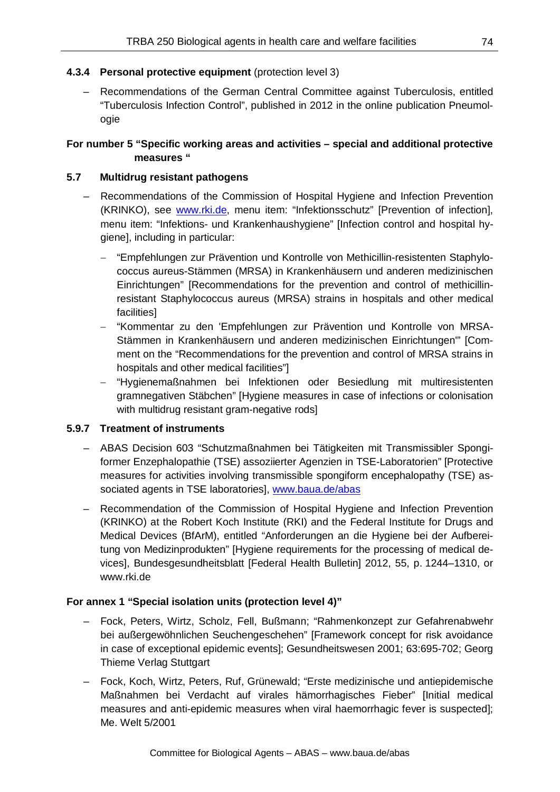## **4.3.4 Personal protective equipment** (protection level 3)

– Recommendations of the German Central Committee against Tuberculosis, entitled "Tuberculosis Infection Control", published in 2012 in the online publication Pneumologie

## **For number 5 "Specific working areas and activities – special and additional protective measures "**

### **5.7 Multidrug resistant pathogens**

- Recommendations of the Commission of Hospital Hygiene and Infection Prevention (KRINKO), see [www.rki.de,](http://www.rki.de/) menu item: "Infektionsschutz" [Prevention of infection], menu item: "Infektions- und Krankenhaushygiene" [Infection control and hospital hygiene], including in particular:
	- − "Empfehlungen zur Prävention und Kontrolle von Methicillin-resistenten Staphylococcus aureus-Stämmen (MRSA) in Krankenhäusern und anderen medizinischen Einrichtungen" [Recommendations for the prevention and control of methicillinresistant Staphylococcus aureus (MRSA) strains in hospitals and other medical facilities]
	- − "Kommentar zu den 'Empfehlungen zur Prävention und Kontrolle von MRSA-Stämmen in Krankenhäusern und anderen medizinischen Einrichtungen'" [Comment on the "Recommendations for the prevention and control of MRSA strains in hospitals and other medical facilities"]
	- − "Hygienemaßnahmen bei Infektionen oder Besiedlung mit multiresistenten gramnegativen Stäbchen" [Hygiene measures in case of infections or colonisation with multidrug resistant gram-negative rods]

#### **5.9.7 Treatment of instruments**

- ABAS Decision 603 "Schutzmaßnahmen bei Tätigkeiten mit Transmissibler Spongiformer Enzephalopathie (TSE) assoziierter Agenzien in TSE-Laboratorien" [Protective measures for activities involving transmissible spongiform encephalopathy (TSE) associated agents in TSE laboratories], [www.baua.de/abas](http://www.baua.de/abas)
- Recommendation of the Commission of Hospital Hygiene and Infection Prevention (KRINKO) at the Robert Koch Institute (RKI) and the Federal Institute for Drugs and Medical Devices (BfArM), entitled "Anforderungen an die Hygiene bei der Aufbereitung von Medizinprodukten" [Hygiene requirements for the processing of medical devices], Bundesgesundheitsblatt [Federal Health Bulletin] 2012, 55, p. 1244–1310, or www.rki.de

## **For annex 1 "Special isolation units (protection level 4)"**

- Fock, Peters, Wirtz, Scholz, Fell, Bußmann; "Rahmenkonzept zur Gefahrenabwehr bei außergewöhnlichen Seuchengeschehen" [Framework concept for risk avoidance in case of exceptional epidemic events]; Gesundheitswesen 2001; 63:695-702; Georg Thieme Verlag Stuttgart
- Fock, Koch, Wirtz, Peters, Ruf, Grünewald; "Erste medizinische und antiepidemische Maßnahmen bei Verdacht auf virales hämorrhagisches Fieber" [Initial medical measures and anti-epidemic measures when viral haemorrhagic fever is suspected]; Me. Welt 5/2001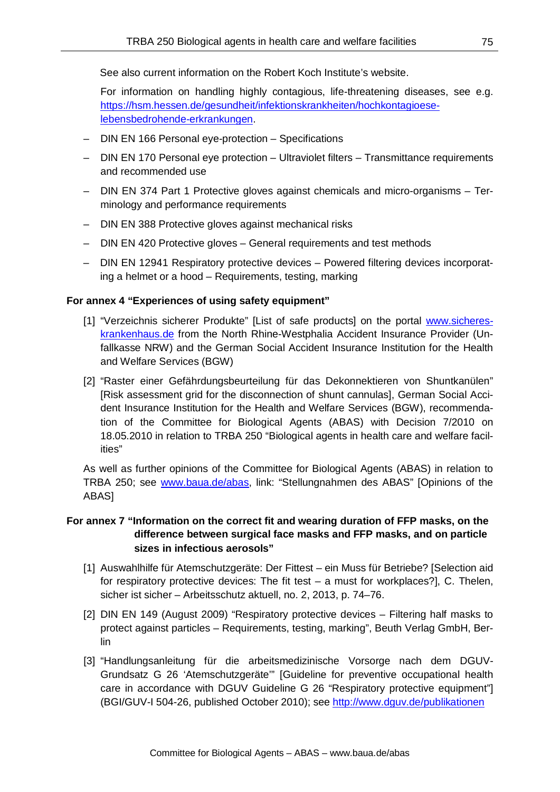See also current information on the Robert Koch Institute's website.

For information on handling highly contagious, life-threatening diseases, see e.g. [https://hsm.hessen.de/gesundheit/infektionskrankheiten/hochkontagioese](https://hsm.hessen.de/gesundheit/infektionskrankheiten/hochkontagioese-lebensbedrohende-erkrankungen)[lebensbedrohende-erkrankungen.](https://hsm.hessen.de/gesundheit/infektionskrankheiten/hochkontagioese-lebensbedrohende-erkrankungen)

- DIN EN 166 Personal eye-protection Specifications
- DIN EN 170 Personal eye protection Ultraviolet filters Transmittance requirements and recommended use
- DIN EN 374 Part 1 Protective gloves against chemicals and micro-organisms Terminology and performance requirements
- DIN EN 388 Protective gloves against mechanical risks
- DIN EN 420 Protective gloves General requirements and test methods
- DIN EN 12941 Respiratory protective devices Powered filtering devices incorporating a helmet or a hood – Requirements, testing, marking

#### **For annex 4 "Experiences of using safety equipment"**

- [1] "Verzeichnis sicherer Produkte" [List of safe products] on the portal [www.sicheres](http://www.sicheres-krankenhaus.de/)[krankenhaus.de](http://www.sicheres-krankenhaus.de/) from the North Rhine-Westphalia Accident Insurance Provider (Unfallkasse NRW) and the German Social Accident Insurance Institution for the Health and Welfare Services (BGW)
- [2] "Raster einer Gefährdungsbeurteilung für das Dekonnektieren von Shuntkanülen" [Risk assessment grid for the disconnection of shunt cannulas], German Social Accident Insurance Institution for the Health and Welfare Services (BGW), recommendation of the Committee for Biological Agents (ABAS) with Decision 7/2010 on 18.05.2010 in relation to TRBA 250 "Biological agents in health care and welfare facilities"

As well as further opinions of the Committee for Biological Agents (ABAS) in relation to TRBA 250; see [www.baua.de/abas,](http://www.baua.de/abas) link: "Stellungnahmen des ABAS" [Opinions of the ABAS]

### **For annex 7 "Information on the correct fit and wearing duration of FFP masks, on the difference between surgical face masks and FFP masks, and on particle sizes in infectious aerosols"**

- [1] Auswahlhilfe für Atemschutzgeräte: Der Fittest ein Muss für Betriebe? [Selection aid for respiratory protective devices: The fit test – a must for workplaces?], C. Thelen, sicher ist sicher – Arbeitsschutz aktuell, no. 2, 2013, p. 74–76.
- [2] DIN EN 149 (August 2009) "Respiratory protective devices Filtering half masks to protect against particles – Requirements, testing, marking", Beuth Verlag GmbH, Berlin
- [3] "Handlungsanleitung für die arbeitsmedizinische Vorsorge nach dem DGUV-Grundsatz G 26 'Atemschutzgeräte'" [Guideline for preventive occupational health care in accordance with DGUV Guideline G 26 "Respiratory protective equipment"] (BGI/GUV-I 504-26, published October 2010); see<http://www.dguv.de/publikationen>